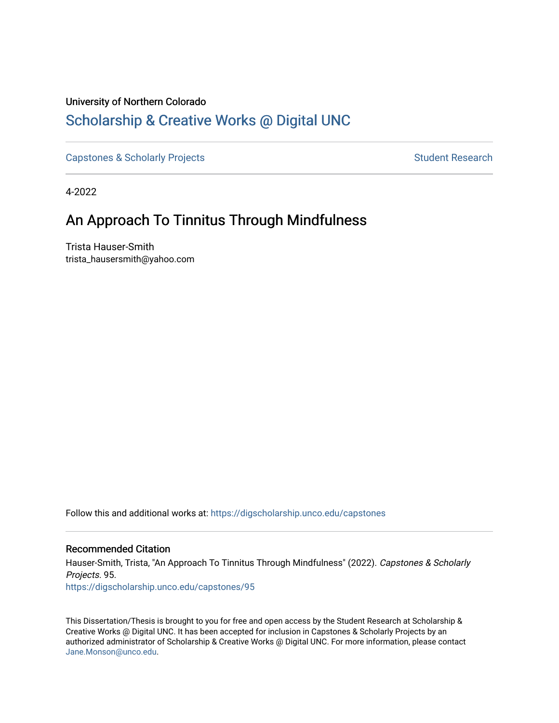# University of Northern Colorado [Scholarship & Creative Works @ Digital UNC](https://digscholarship.unco.edu/)

[Capstones & Scholarly Projects](https://digscholarship.unco.edu/capstones) **Student Research** Student Research

4-2022

# An Approach To Tinnitus Through Mindfulness

Trista Hauser-Smith trista\_hausersmith@yahoo.com

Follow this and additional works at: [https://digscholarship.unco.edu/capstones](https://digscholarship.unco.edu/capstones?utm_source=digscholarship.unco.edu%2Fcapstones%2F95&utm_medium=PDF&utm_campaign=PDFCoverPages) 

## Recommended Citation

Hauser-Smith, Trista, "An Approach To Tinnitus Through Mindfulness" (2022). Capstones & Scholarly Projects. 95. [https://digscholarship.unco.edu/capstones/95](https://digscholarship.unco.edu/capstones/95?utm_source=digscholarship.unco.edu%2Fcapstones%2F95&utm_medium=PDF&utm_campaign=PDFCoverPages)

This Dissertation/Thesis is brought to you for free and open access by the Student Research at Scholarship & Creative Works @ Digital UNC. It has been accepted for inclusion in Capstones & Scholarly Projects by an authorized administrator of Scholarship & Creative Works @ Digital UNC. For more information, please contact [Jane.Monson@unco.edu.](mailto:Jane.Monson@unco.edu)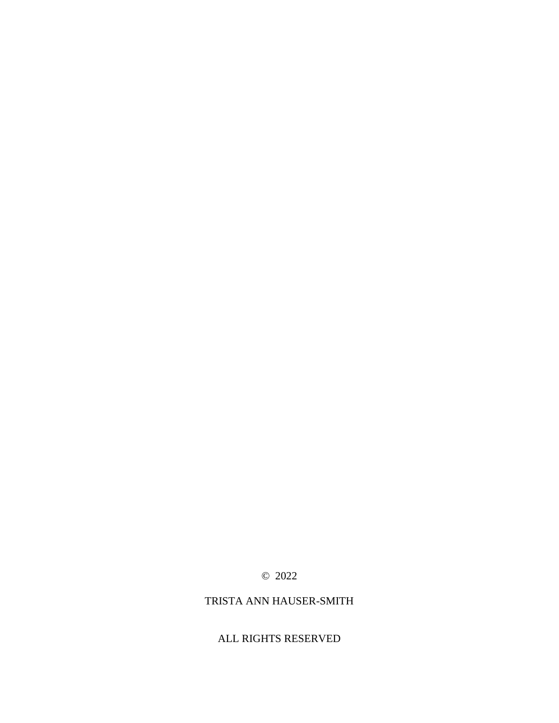# © 2022

## TRISTA ANN HAUSER-SMITH

## ALL RIGHTS RESERVED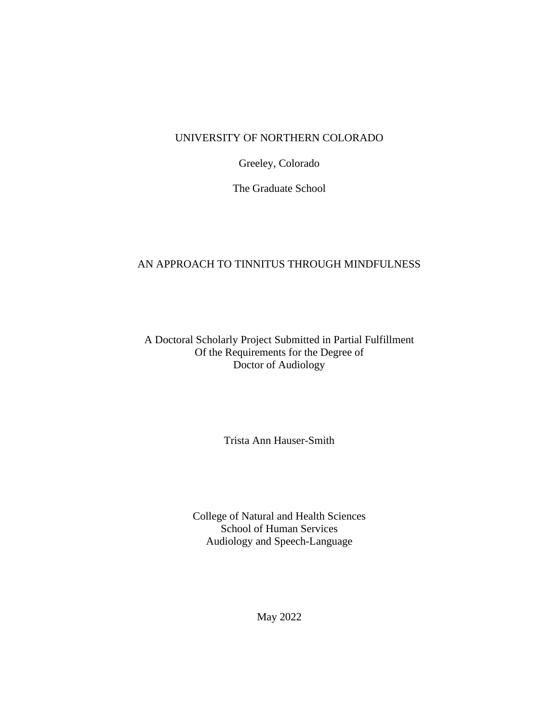## UNIVERSITY OF NORTHERN COLORADO

Greeley, Colorado

The Graduate School

# AN APPROACH TO TINNITUS THROUGH MINDFULNESS

## A Doctoral Scholarly Project Submitted in Partial Fulfillment Of the Requirements for the Degree of Doctor of Audiology

Trista Ann Hauser-Smith

College of Natural and Health Sciences School of Human Services Audiology and Speech-Language

May 2022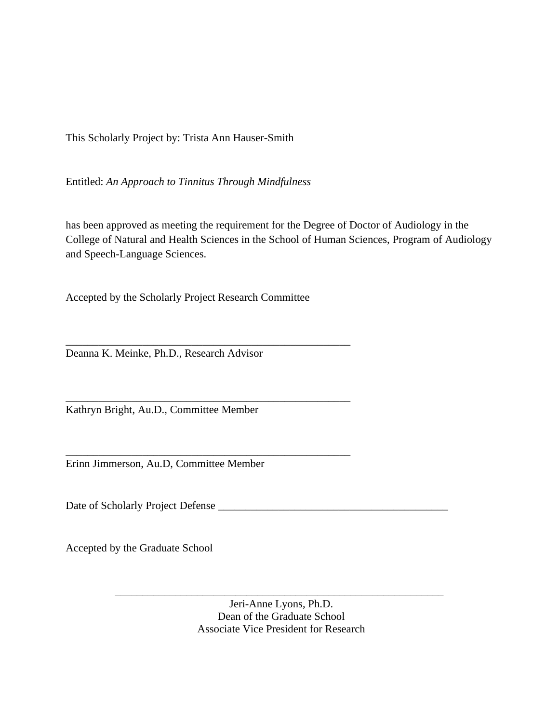This Scholarly Project by: Trista Ann Hauser-Smith

Entitled: *An Approach to Tinnitus Through Mindfulness*

has been approved as meeting the requirement for the Degree of Doctor of Audiology in the College of Natural and Health Sciences in the School of Human Sciences, Program of Audiology and Speech-Language Sciences.

Accepted by the Scholarly Project Research Committee

\_\_\_\_\_\_\_\_\_\_\_\_\_\_\_\_\_\_\_\_\_\_\_\_\_\_\_\_\_\_\_\_\_\_\_\_\_\_\_\_\_\_\_\_\_\_\_\_\_\_\_\_

\_\_\_\_\_\_\_\_\_\_\_\_\_\_\_\_\_\_\_\_\_\_\_\_\_\_\_\_\_\_\_\_\_\_\_\_\_\_\_\_\_\_\_\_\_\_\_\_\_\_\_\_

\_\_\_\_\_\_\_\_\_\_\_\_\_\_\_\_\_\_\_\_\_\_\_\_\_\_\_\_\_\_\_\_\_\_\_\_\_\_\_\_\_\_\_\_\_\_\_\_\_\_\_\_

Deanna K. Meinke, Ph.D., Research Advisor

Kathryn Bright, Au.D., Committee Member

Erinn Jimmerson, Au.D, Committee Member

Date of Scholarly Project Defense

Accepted by the Graduate School

Jeri-Anne Lyons, Ph.D. Dean of the Graduate School Associate Vice President for Research

\_\_\_\_\_\_\_\_\_\_\_\_\_\_\_\_\_\_\_\_\_\_\_\_\_\_\_\_\_\_\_\_\_\_\_\_\_\_\_\_\_\_\_\_\_\_\_\_\_\_\_\_\_\_\_\_\_\_\_\_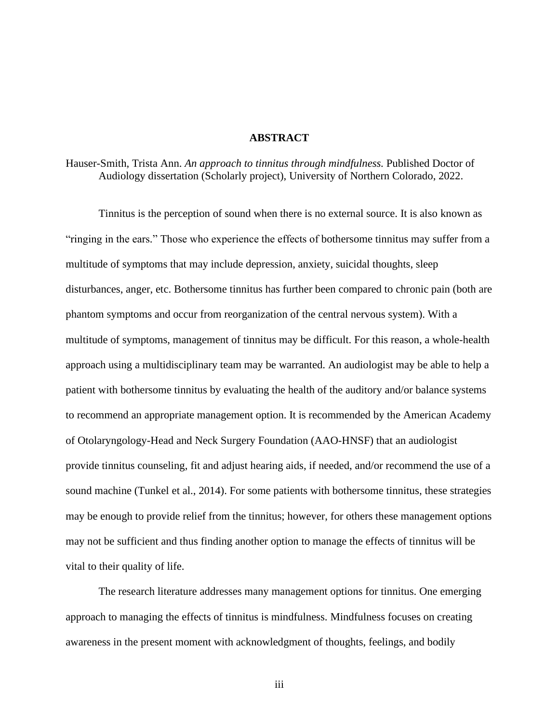### **ABSTRACT**

Hauser-Smith, Trista Ann. *An approach to tinnitus through mindfulness.* Published Doctor of Audiology dissertation (Scholarly project), University of Northern Colorado, 2022.

Tinnitus is the perception of sound when there is no external source. It is also known as "ringing in the ears." Those who experience the effects of bothersome tinnitus may suffer from a multitude of symptoms that may include depression, anxiety, suicidal thoughts, sleep disturbances, anger, etc. Bothersome tinnitus has further been compared to chronic pain (both are phantom symptoms and occur from reorganization of the central nervous system). With a multitude of symptoms, management of tinnitus may be difficult. For this reason, a whole-health approach using a multidisciplinary team may be warranted. An audiologist may be able to help a patient with bothersome tinnitus by evaluating the health of the auditory and/or balance systems to recommend an appropriate management option. It is recommended by the American Academy of Otolaryngology-Head and Neck Surgery Foundation (AAO-HNSF) that an audiologist provide tinnitus counseling, fit and adjust hearing aids, if needed, and/or recommend the use of a sound machine (Tunkel et al., 2014). For some patients with bothersome tinnitus, these strategies may be enough to provide relief from the tinnitus; however, for others these management options may not be sufficient and thus finding another option to manage the effects of tinnitus will be vital to their quality of life.

The research literature addresses many management options for tinnitus. One emerging approach to managing the effects of tinnitus is mindfulness. Mindfulness focuses on creating awareness in the present moment with acknowledgment of thoughts, feelings, and bodily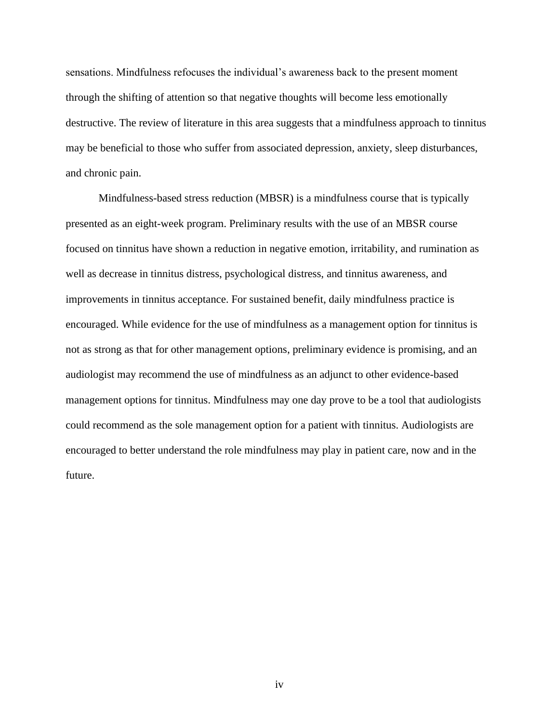sensations. Mindfulness refocuses the individual's awareness back to the present moment through the shifting of attention so that negative thoughts will become less emotionally destructive. The review of literature in this area suggests that a mindfulness approach to tinnitus may be beneficial to those who suffer from associated depression, anxiety, sleep disturbances, and chronic pain.

Mindfulness-based stress reduction (MBSR) is a mindfulness course that is typically presented as an eight-week program. Preliminary results with the use of an MBSR course focused on tinnitus have shown a reduction in negative emotion, irritability, and rumination as well as decrease in tinnitus distress, psychological distress, and tinnitus awareness, and improvements in tinnitus acceptance. For sustained benefit, daily mindfulness practice is encouraged. While evidence for the use of mindfulness as a management option for tinnitus is not as strong as that for other management options, preliminary evidence is promising, and an audiologist may recommend the use of mindfulness as an adjunct to other evidence-based management options for tinnitus. Mindfulness may one day prove to be a tool that audiologists could recommend as the sole management option for a patient with tinnitus. Audiologists are encouraged to better understand the role mindfulness may play in patient care, now and in the future.

iv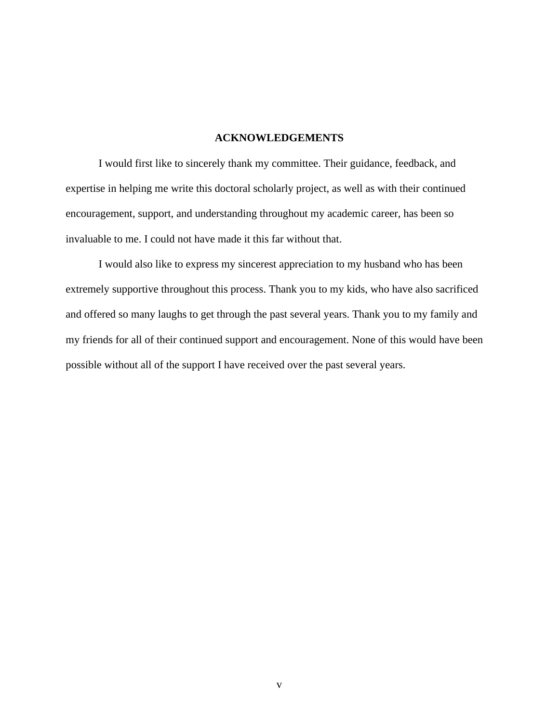### **ACKNOWLEDGEMENTS**

I would first like to sincerely thank my committee. Their guidance, feedback, and expertise in helping me write this doctoral scholarly project, as well as with their continued encouragement, support, and understanding throughout my academic career, has been so invaluable to me. I could not have made it this far without that.

I would also like to express my sincerest appreciation to my husband who has been extremely supportive throughout this process. Thank you to my kids, who have also sacrificed and offered so many laughs to get through the past several years. Thank you to my family and my friends for all of their continued support and encouragement. None of this would have been possible without all of the support I have received over the past several years.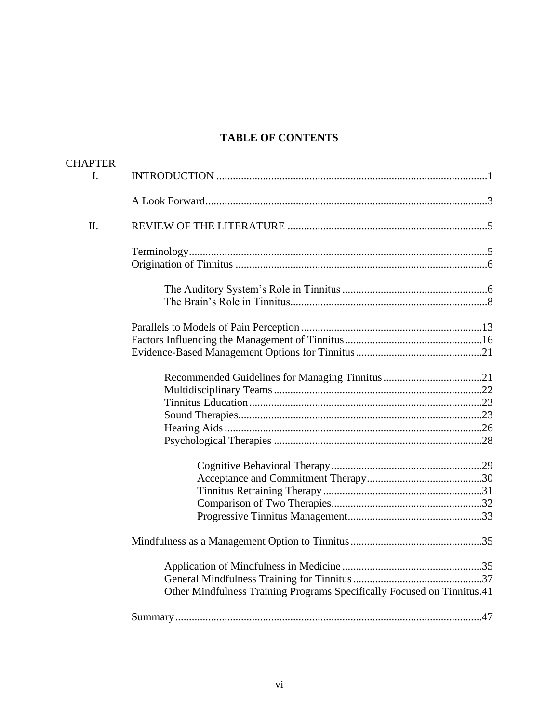# **TABLE OF CONTENTS**

| <b>CHAPTER</b> |                                                                         |
|----------------|-------------------------------------------------------------------------|
| I.             |                                                                         |
|                |                                                                         |
| II.            |                                                                         |
|                |                                                                         |
|                |                                                                         |
|                |                                                                         |
|                |                                                                         |
|                |                                                                         |
|                |                                                                         |
|                |                                                                         |
|                |                                                                         |
|                |                                                                         |
|                |                                                                         |
|                |                                                                         |
|                |                                                                         |
|                |                                                                         |
|                |                                                                         |
|                |                                                                         |
|                |                                                                         |
|                |                                                                         |
|                |                                                                         |
|                |                                                                         |
|                |                                                                         |
|                |                                                                         |
|                | Other Mindfulness Training Programs Specifically Focused on Tinnitus.41 |
|                |                                                                         |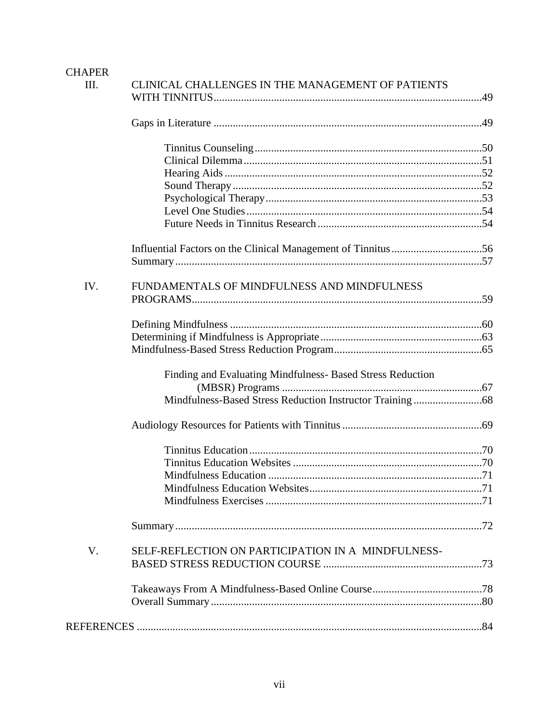# **CHAPER**

| Ш.  | CLINICAL CHALLENGES IN THE MANAGEMENT OF PATIENTS          |  |
|-----|------------------------------------------------------------|--|
|     |                                                            |  |
|     |                                                            |  |
|     |                                                            |  |
|     |                                                            |  |
|     |                                                            |  |
|     |                                                            |  |
|     |                                                            |  |
|     |                                                            |  |
|     |                                                            |  |
|     |                                                            |  |
| IV. | FUNDAMENTALS OF MINDFULNESS AND MINDFULNESS                |  |
|     |                                                            |  |
|     |                                                            |  |
|     |                                                            |  |
|     |                                                            |  |
|     | Finding and Evaluating Mindfulness- Based Stress Reduction |  |
|     |                                                            |  |
|     |                                                            |  |
|     |                                                            |  |
|     |                                                            |  |
|     |                                                            |  |
|     |                                                            |  |
|     |                                                            |  |
|     |                                                            |  |
|     |                                                            |  |
| V.  | SELF-REFLECTION ON PARTICIPATION IN A MINDFULNESS-         |  |
|     |                                                            |  |
|     |                                                            |  |
|     |                                                            |  |
|     |                                                            |  |
|     |                                                            |  |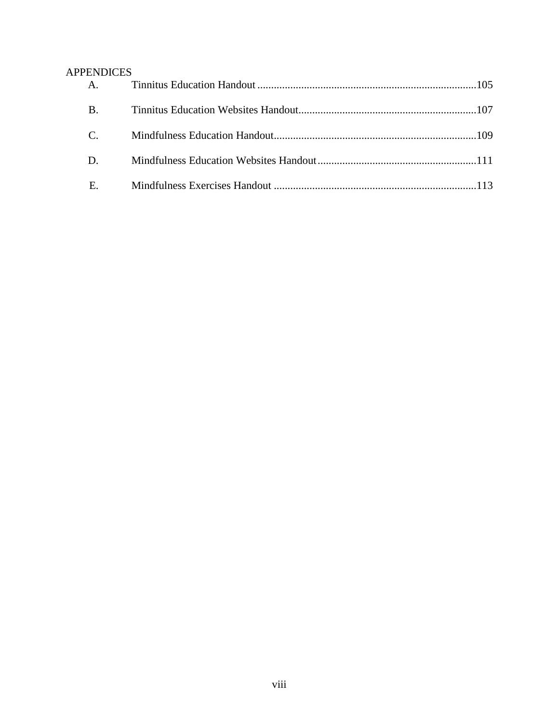# APPENDICES

| A.          |  |
|-------------|--|
| <b>B.</b>   |  |
| $C_{\cdot}$ |  |
| D.          |  |
| E.          |  |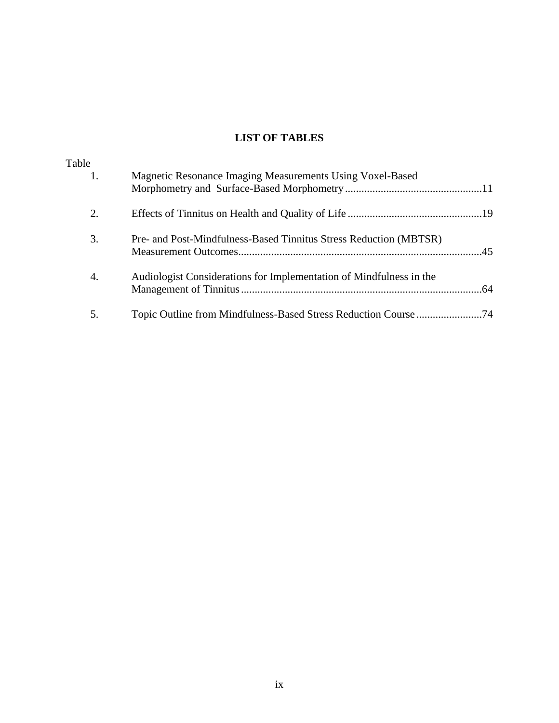# **LIST OF TABLES**

| Table<br>1. | Magnetic Resonance Imaging Measurements Using Voxel-Based           |  |
|-------------|---------------------------------------------------------------------|--|
|             |                                                                     |  |
| 2.          |                                                                     |  |
| 3.          | Pre- and Post-Mindfulness-Based Tinnitus Stress Reduction (MBTSR)   |  |
| 4.          | Audiologist Considerations for Implementation of Mindfulness in the |  |
| 5.          |                                                                     |  |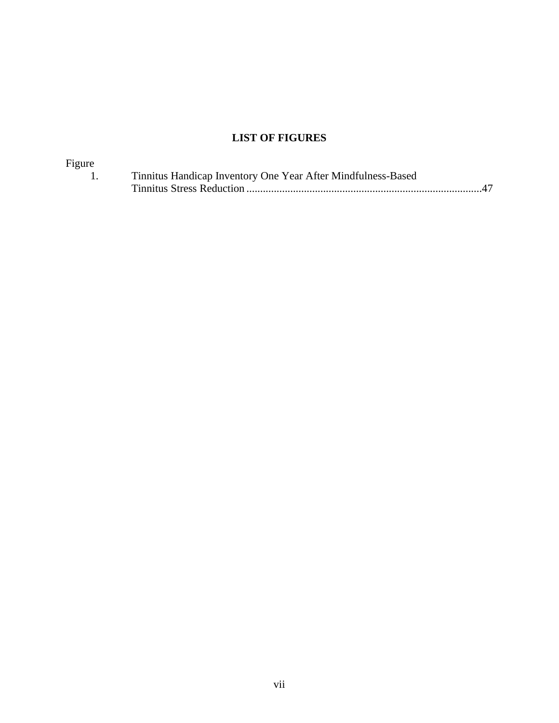# **LIST OF FIGURES**

| Figure |                                                              |
|--------|--------------------------------------------------------------|
|        | Tinnitus Handicap Inventory One Year After Mindfulness-Based |
|        |                                                              |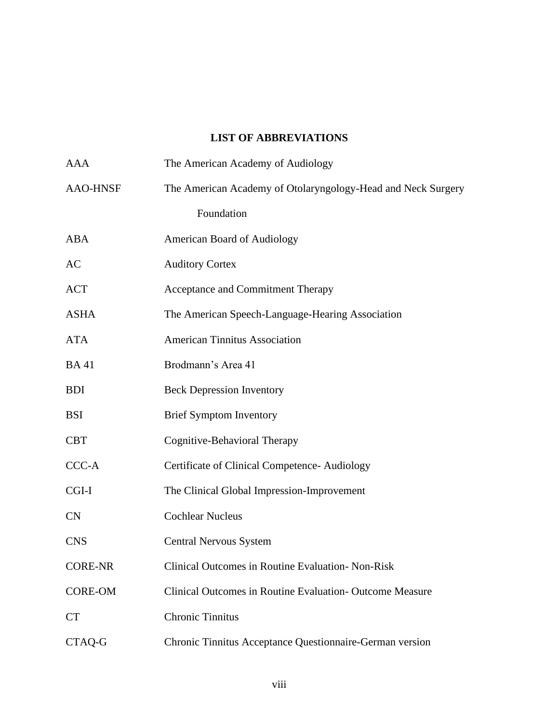# **LIST OF ABBREVIATIONS**

| <b>AAA</b>      | The American Academy of Audiology                            |  |  |
|-----------------|--------------------------------------------------------------|--|--|
| <b>AAO-HNSF</b> | The American Academy of Otolaryngology-Head and Neck Surgery |  |  |
|                 | Foundation                                                   |  |  |
| ABA             | <b>American Board of Audiology</b>                           |  |  |
| AC              | <b>Auditory Cortex</b>                                       |  |  |
| <b>ACT</b>      | Acceptance and Commitment Therapy                            |  |  |
| <b>ASHA</b>     | The American Speech-Language-Hearing Association             |  |  |
| <b>ATA</b>      | <b>American Tinnitus Association</b>                         |  |  |
| <b>BA41</b>     | Brodmann's Area 41                                           |  |  |
| <b>BDI</b>      | <b>Beck Depression Inventory</b>                             |  |  |
| <b>BSI</b>      | <b>Brief Symptom Inventory</b>                               |  |  |
| <b>CBT</b>      | Cognitive-Behavioral Therapy                                 |  |  |
| CCC-A           | Certificate of Clinical Competence-Audiology                 |  |  |
| CGI-I           | The Clinical Global Impression-Improvement                   |  |  |
| CN              | <b>Cochlear Nucleus</b>                                      |  |  |
| <b>CNS</b>      | <b>Central Nervous System</b>                                |  |  |
| <b>CORE-NR</b>  | Clinical Outcomes in Routine Evaluation-Non-Risk             |  |  |
| <b>CORE-OM</b>  | Clinical Outcomes in Routine Evaluation - Outcome Measure    |  |  |
| <b>CT</b>       | <b>Chronic Tinnitus</b>                                      |  |  |
| CTAQ-G          | Chronic Tinnitus Acceptance Questionnaire-German version     |  |  |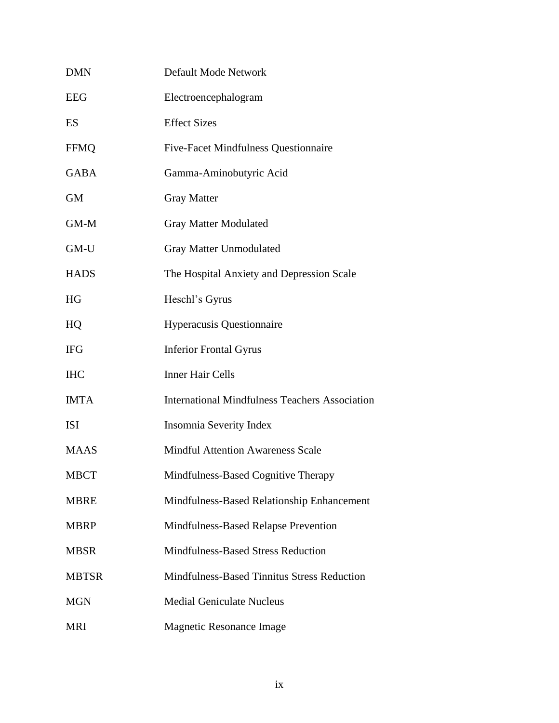| <b>DMN</b>   | Default Mode Network                                  |  |  |
|--------------|-------------------------------------------------------|--|--|
| EEG          | Electroencephalogram                                  |  |  |
| ES           | <b>Effect Sizes</b>                                   |  |  |
| FFMQ         | <b>Five-Facet Mindfulness Questionnaire</b>           |  |  |
| GABA         | Gamma-Aminobutyric Acid                               |  |  |
| <b>GM</b>    | <b>Gray Matter</b>                                    |  |  |
| $GM-M$       | <b>Gray Matter Modulated</b>                          |  |  |
| GM-U         | <b>Gray Matter Unmodulated</b>                        |  |  |
| <b>HADS</b>  | The Hospital Anxiety and Depression Scale             |  |  |
| HG           | Heschl's Gyrus                                        |  |  |
| HQ           | <b>Hyperacusis Questionnaire</b>                      |  |  |
| IFG          | <b>Inferior Frontal Gyrus</b>                         |  |  |
| IHC          | <b>Inner Hair Cells</b>                               |  |  |
| <b>IMTA</b>  | <b>International Mindfulness Teachers Association</b> |  |  |
| ISI          | Insomnia Severity Index                               |  |  |
| <b>MAAS</b>  | <b>Mindful Attention Awareness Scale</b>              |  |  |
| MBCT         | Mindfulness-Based Cognitive Therapy                   |  |  |
| <b>MBRE</b>  | Mindfulness-Based Relationship Enhancement            |  |  |
| <b>MBRP</b>  | Mindfulness-Based Relapse Prevention                  |  |  |
| MBSR         | <b>Mindfulness-Based Stress Reduction</b>             |  |  |
| <b>MBTSR</b> | Mindfulness-Based Tinnitus Stress Reduction           |  |  |
| <b>MGN</b>   | <b>Medial Geniculate Nucleus</b>                      |  |  |
| MRI          | <b>Magnetic Resonance Image</b>                       |  |  |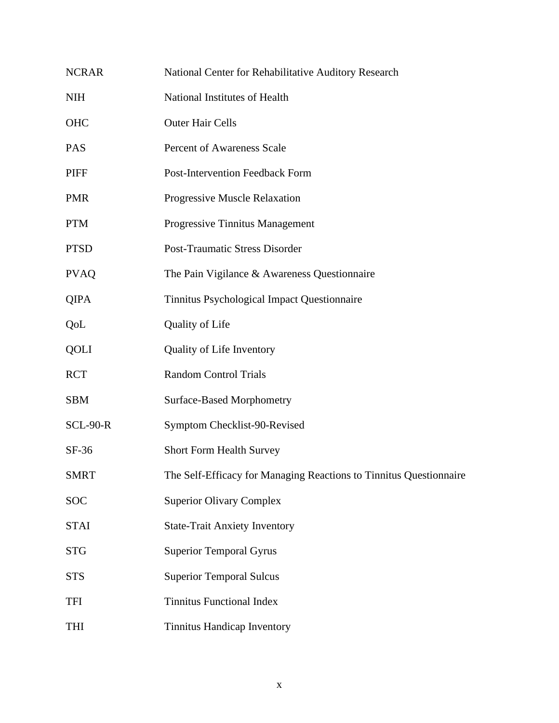| <b>NCRAR</b>    | National Center for Rehabilitative Auditory Research               |  |  |
|-----------------|--------------------------------------------------------------------|--|--|
| <b>NIH</b>      | National Institutes of Health                                      |  |  |
| OHC             | <b>Outer Hair Cells</b>                                            |  |  |
| <b>PAS</b>      | <b>Percent of Awareness Scale</b>                                  |  |  |
| <b>PIFF</b>     | <b>Post-Intervention Feedback Form</b>                             |  |  |
| <b>PMR</b>      | Progressive Muscle Relaxation                                      |  |  |
| <b>PTM</b>      | Progressive Tinnitus Management                                    |  |  |
| <b>PTSD</b>     | <b>Post-Traumatic Stress Disorder</b>                              |  |  |
| <b>PVAQ</b>     | The Pain Vigilance & Awareness Questionnaire                       |  |  |
| <b>QIPA</b>     | Tinnitus Psychological Impact Questionnaire                        |  |  |
| QoL             | Quality of Life                                                    |  |  |
| QOLI            | Quality of Life Inventory                                          |  |  |
| <b>RCT</b>      | <b>Random Control Trials</b>                                       |  |  |
| <b>SBM</b>      | <b>Surface-Based Morphometry</b>                                   |  |  |
| <b>SCL-90-R</b> | Symptom Checklist-90-Revised                                       |  |  |
| $SF-36$         | Short Form Health Survey                                           |  |  |
| <b>SMRT</b>     | The Self-Efficacy for Managing Reactions to Tinnitus Questionnaire |  |  |
| <b>SOC</b>      | <b>Superior Olivary Complex</b>                                    |  |  |
| <b>STAI</b>     | <b>State-Trait Anxiety Inventory</b>                               |  |  |
| <b>STG</b>      | <b>Superior Temporal Gyrus</b>                                     |  |  |
| <b>STS</b>      | <b>Superior Temporal Sulcus</b>                                    |  |  |
| <b>TFI</b>      | <b>Tinnitus Functional Index</b>                                   |  |  |
| <b>THI</b>      | Tinnitus Handicap Inventory                                        |  |  |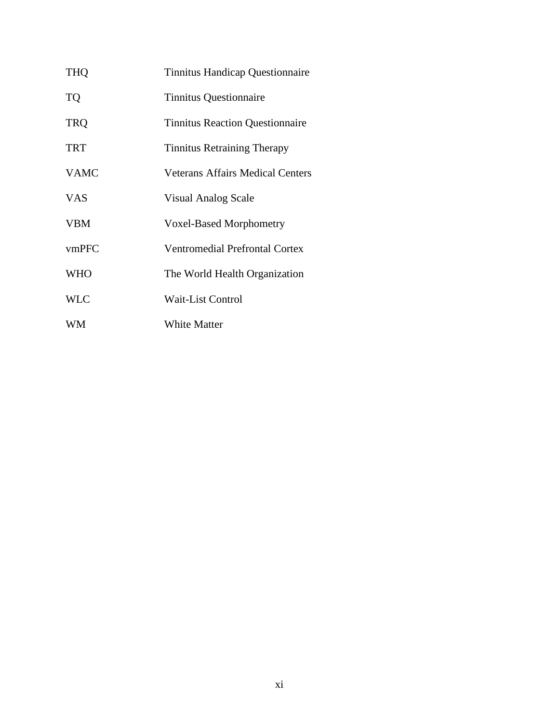| <b>THQ</b>  | <b>Tinnitus Handicap Questionnaire</b>  |  |
|-------------|-----------------------------------------|--|
| <b>TQ</b>   | <b>Tinnitus Questionnaire</b>           |  |
| <b>TRQ</b>  | <b>Tinnitus Reaction Questionnaire</b>  |  |
| <b>TRT</b>  | <b>Tinnitus Retraining Therapy</b>      |  |
| <b>VAMC</b> | <b>Veterans Affairs Medical Centers</b> |  |
| <b>VAS</b>  | <b>Visual Analog Scale</b>              |  |
| <b>VBM</b>  | <b>Voxel-Based Morphometry</b>          |  |
| vmPFC       | <b>Ventromedial Prefrontal Cortex</b>   |  |
| <b>WHO</b>  | The World Health Organization           |  |
| <b>WLC</b>  | <b>Wait-List Control</b>                |  |
| WM          | <b>White Matter</b>                     |  |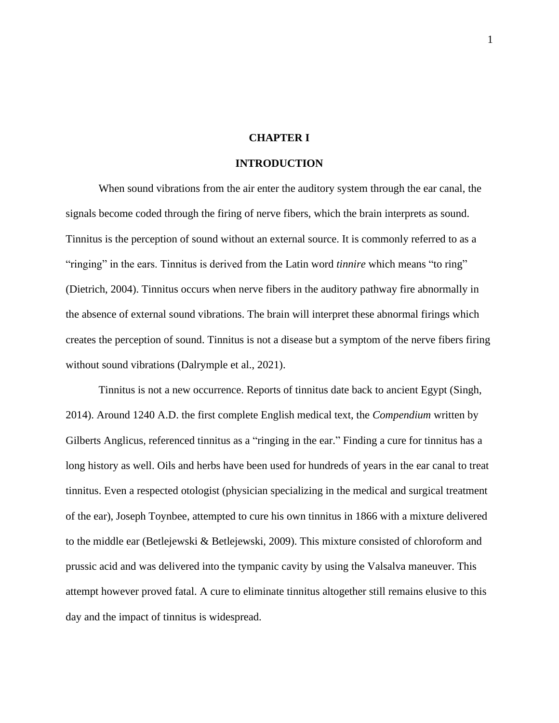## **CHAPTER I**

## **INTRODUCTION**

When sound vibrations from the air enter the auditory system through the ear canal, the signals become coded through the firing of nerve fibers, which the brain interprets as sound. Tinnitus is the perception of sound without an external source. It is commonly referred to as a "ringing" in the ears. Tinnitus is derived from the Latin word *tinnire* which means "to ring" (Dietrich, 2004). Tinnitus occurs when nerve fibers in the auditory pathway fire abnormally in the absence of external sound vibrations. The brain will interpret these abnormal firings which creates the perception of sound. Tinnitus is not a disease but a symptom of the nerve fibers firing without sound vibrations (Dalrymple et al., 2021).

Tinnitus is not a new occurrence. Reports of tinnitus date back to ancient Egypt (Singh, 2014). Around 1240 A.D. the first complete English medical text, the *Compendium* written by Gilberts Anglicus, referenced tinnitus as a "ringing in the ear." Finding a cure for tinnitus has a long history as well. Oils and herbs have been used for hundreds of years in the ear canal to treat tinnitus. Even a respected otologist (physician specializing in the medical and surgical treatment of the ear), Joseph Toynbee, attempted to cure his own tinnitus in 1866 with a mixture delivered to the middle ear (Betlejewski & Betlejewski, 2009). This mixture consisted of chloroform and prussic acid and was delivered into the tympanic cavity by using the Valsalva maneuver. This attempt however proved fatal. A cure to eliminate tinnitus altogether still remains elusive to this day and the impact of tinnitus is widespread.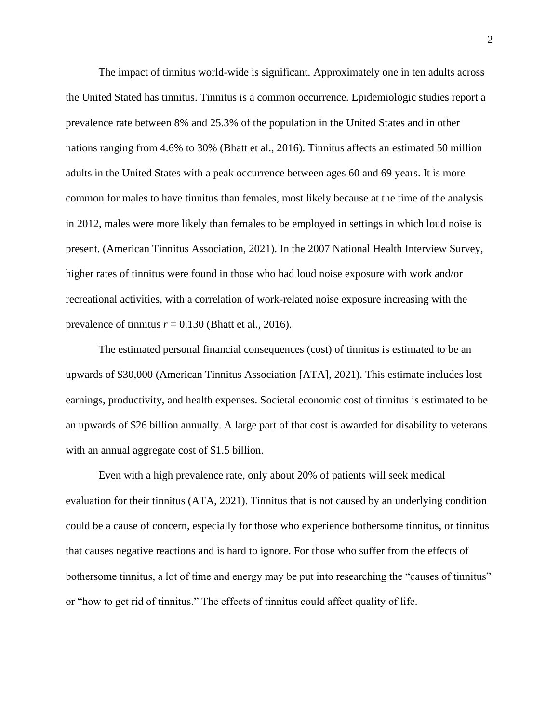The impact of tinnitus world-wide is significant. Approximately one in ten adults across the United Stated has tinnitus. Tinnitus is a common occurrence. Epidemiologic studies report a prevalence rate between 8% and 25.3% of the population in the United States and in other nations ranging from 4.6% to 30% (Bhatt et al., 2016). Tinnitus affects an estimated 50 million adults in the United States with a peak occurrence between ages 60 and 69 years. It is more common for males to have tinnitus than females, most likely because at the time of the analysis in 2012, males were more likely than females to be employed in settings in which loud noise is present. (American Tinnitus Association, 2021). In the 2007 National Health Interview Survey, higher rates of tinnitus were found in those who had loud noise exposure with work and/or recreational activities, with a correlation of work-related noise exposure increasing with the prevalence of tinnitus  $r = 0.130$  (Bhatt et al., 2016).

The estimated personal financial consequences (cost) of tinnitus is estimated to be an upwards of \$30,000 (American Tinnitus Association [ATA], 2021). This estimate includes lost earnings, productivity, and health expenses. Societal economic cost of tinnitus is estimated to be an upwards of \$26 billion annually. A large part of that cost is awarded for disability to veterans with an annual aggregate cost of \$1.5 billion.

Even with a high prevalence rate, only about 20% of patients will seek medical evaluation for their tinnitus (ATA, 2021). Tinnitus that is not caused by an underlying condition could be a cause of concern, especially for those who experience bothersome tinnitus, or tinnitus that causes negative reactions and is hard to ignore. For those who suffer from the effects of bothersome tinnitus, a lot of time and energy may be put into researching the "causes of tinnitus" or "how to get rid of tinnitus." The effects of tinnitus could affect quality of life.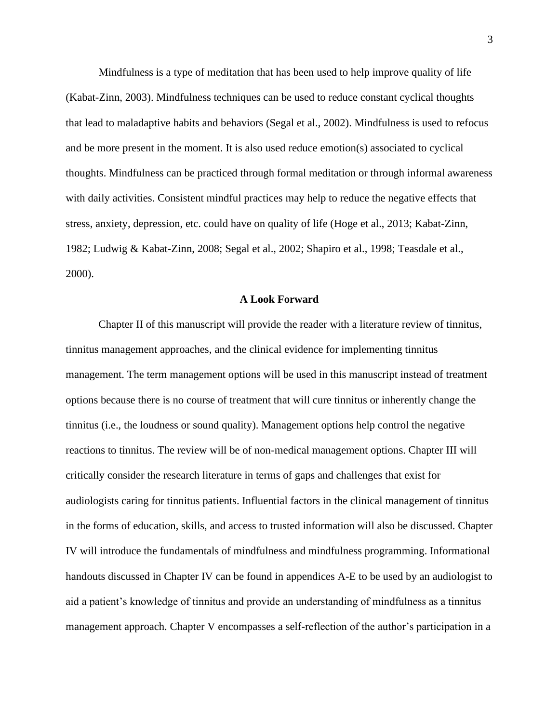Mindfulness is a type of meditation that has been used to help improve quality of life (Kabat-Zinn, 2003). Mindfulness techniques can be used to reduce constant cyclical thoughts that lead to maladaptive habits and behaviors (Segal et al., 2002). Mindfulness is used to refocus and be more present in the moment. It is also used reduce emotion(s) associated to cyclical thoughts. Mindfulness can be practiced through formal meditation or through informal awareness with daily activities. Consistent mindful practices may help to reduce the negative effects that stress, anxiety, depression, etc. could have on quality of life (Hoge et al., 2013; Kabat-Zinn, 1982; Ludwig & Kabat-Zinn, 2008; Segal et al., 2002; Shapiro et al., 1998; Teasdale et al., 2000).

#### **A Look Forward**

Chapter II of this manuscript will provide the reader with a literature review of tinnitus, tinnitus management approaches, and the clinical evidence for implementing tinnitus management. The term management options will be used in this manuscript instead of treatment options because there is no course of treatment that will cure tinnitus or inherently change the tinnitus (i.e., the loudness or sound quality). Management options help control the negative reactions to tinnitus. The review will be of non-medical management options. Chapter III will critically consider the research literature in terms of gaps and challenges that exist for audiologists caring for tinnitus patients. Influential factors in the clinical management of tinnitus in the forms of education, skills, and access to trusted information will also be discussed. Chapter IV will introduce the fundamentals of mindfulness and mindfulness programming. Informational handouts discussed in Chapter IV can be found in appendices A-E to be used by an audiologist to aid a patient's knowledge of tinnitus and provide an understanding of mindfulness as a tinnitus management approach. Chapter V encompasses a self-reflection of the author's participation in a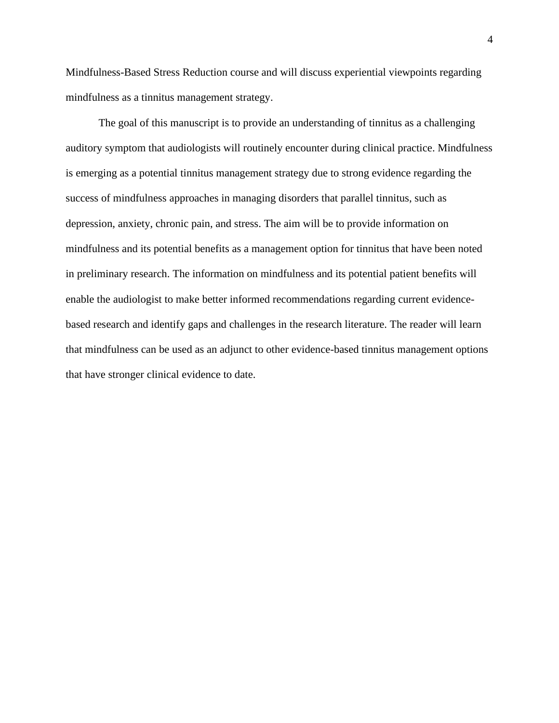Mindfulness-Based Stress Reduction course and will discuss experiential viewpoints regarding mindfulness as a tinnitus management strategy.

The goal of this manuscript is to provide an understanding of tinnitus as a challenging auditory symptom that audiologists will routinely encounter during clinical practice. Mindfulness is emerging as a potential tinnitus management strategy due to strong evidence regarding the success of mindfulness approaches in managing disorders that parallel tinnitus, such as depression, anxiety, chronic pain, and stress. The aim will be to provide information on mindfulness and its potential benefits as a management option for tinnitus that have been noted in preliminary research. The information on mindfulness and its potential patient benefits will enable the audiologist to make better informed recommendations regarding current evidencebased research and identify gaps and challenges in the research literature. The reader will learn that mindfulness can be used as an adjunct to other evidence-based tinnitus management options that have stronger clinical evidence to date.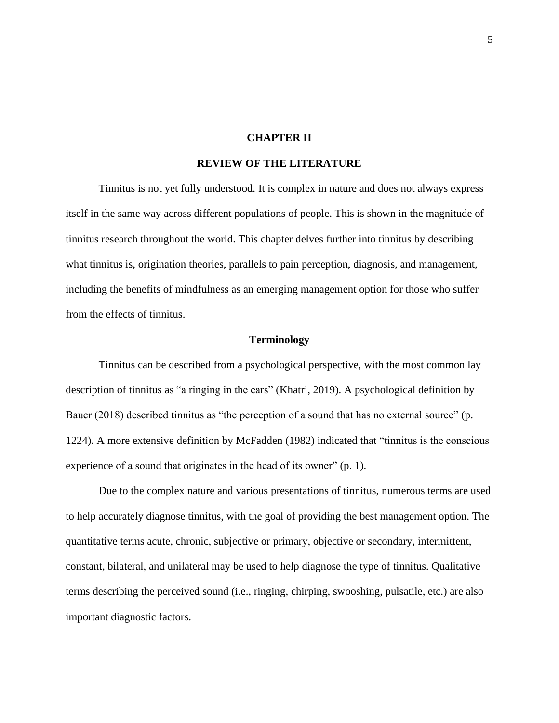#### **CHAPTER II**

## **REVIEW OF THE LITERATURE**

Tinnitus is not yet fully understood. It is complex in nature and does not always express itself in the same way across different populations of people. This is shown in the magnitude of tinnitus research throughout the world. This chapter delves further into tinnitus by describing what tinnitus is, origination theories, parallels to pain perception, diagnosis, and management, including the benefits of mindfulness as an emerging management option for those who suffer from the effects of tinnitus.

#### **Terminology**

Tinnitus can be described from a psychological perspective, with the most common lay description of tinnitus as "a ringing in the ears" (Khatri, 2019). A psychological definition by Bauer (2018) described tinnitus as "the perception of a sound that has no external source" (p. 1224). A more extensive definition by McFadden (1982) indicated that "tinnitus is the conscious experience of a sound that originates in the head of its owner" (p. 1).

Due to the complex nature and various presentations of tinnitus, numerous terms are used to help accurately diagnose tinnitus, with the goal of providing the best management option. The quantitative terms acute, chronic, subjective or primary, objective or secondary, intermittent, constant, bilateral, and unilateral may be used to help diagnose the type of tinnitus. Qualitative terms describing the perceived sound (i.e., ringing, chirping, swooshing, pulsatile, etc.) are also important diagnostic factors.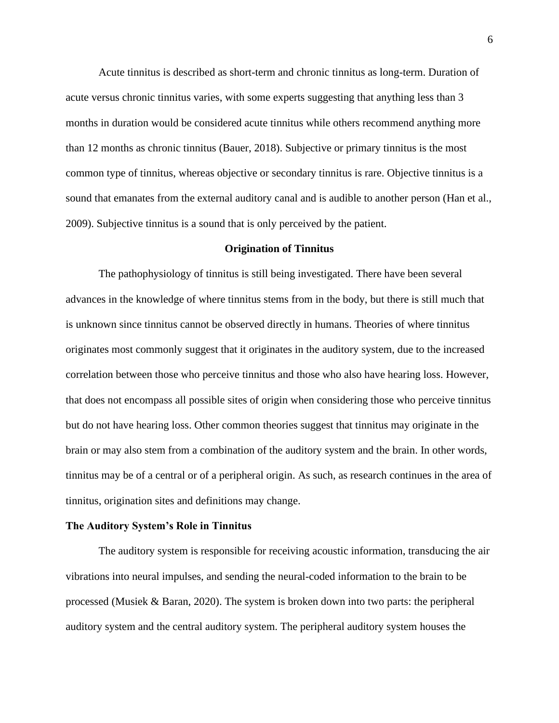Acute tinnitus is described as short-term and chronic tinnitus as long-term. Duration of acute versus chronic tinnitus varies, with some experts suggesting that anything less than 3 months in duration would be considered acute tinnitus while others recommend anything more than 12 months as chronic tinnitus (Bauer, 2018). Subjective or primary tinnitus is the most common type of tinnitus, whereas objective or secondary tinnitus is rare. Objective tinnitus is a sound that emanates from the external auditory canal and is audible to another person (Han et al., 2009). Subjective tinnitus is a sound that is only perceived by the patient.

#### **Origination of Tinnitus**

The pathophysiology of tinnitus is still being investigated. There have been several advances in the knowledge of where tinnitus stems from in the body, but there is still much that is unknown since tinnitus cannot be observed directly in humans. Theories of where tinnitus originates most commonly suggest that it originates in the auditory system, due to the increased correlation between those who perceive tinnitus and those who also have hearing loss. However, that does not encompass all possible sites of origin when considering those who perceive tinnitus but do not have hearing loss. Other common theories suggest that tinnitus may originate in the brain or may also stem from a combination of the auditory system and the brain. In other words, tinnitus may be of a central or of a peripheral origin. As such, as research continues in the area of tinnitus, origination sites and definitions may change.

#### **The Auditory System's Role in Tinnitus**

The auditory system is responsible for receiving acoustic information, transducing the air vibrations into neural impulses, and sending the neural-coded information to the brain to be processed (Musiek & Baran, 2020). The system is broken down into two parts: the peripheral auditory system and the central auditory system. The peripheral auditory system houses the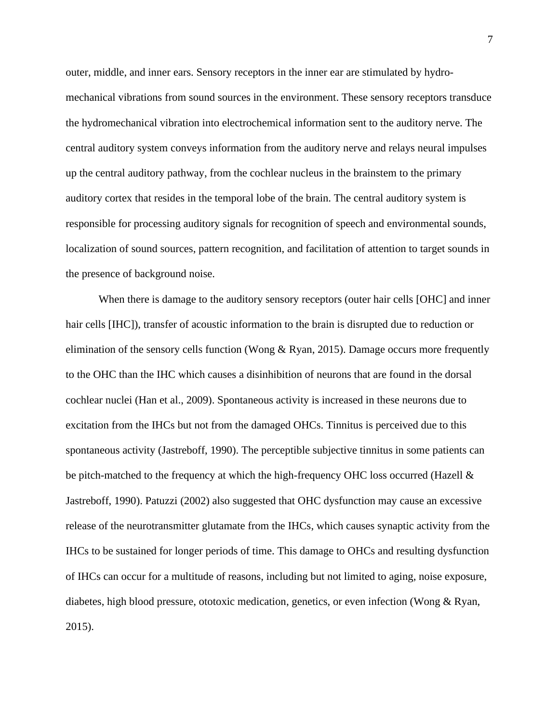outer, middle, and inner ears. Sensory receptors in the inner ear are stimulated by hydromechanical vibrations from sound sources in the environment. These sensory receptors transduce the hydromechanical vibration into electrochemical information sent to the auditory nerve. The central auditory system conveys information from the auditory nerve and relays neural impulses up the central auditory pathway, from the cochlear nucleus in the brainstem to the primary auditory cortex that resides in the temporal lobe of the brain. The central auditory system is responsible for processing auditory signals for recognition of speech and environmental sounds, localization of sound sources, pattern recognition, and facilitation of attention to target sounds in the presence of background noise.

When there is damage to the auditory sensory receptors (outer hair cells [OHC] and inner hair cells [IHC]), transfer of acoustic information to the brain is disrupted due to reduction or elimination of the sensory cells function (Wong  $\&$  Ryan, 2015). Damage occurs more frequently to the OHC than the IHC which causes a disinhibition of neurons that are found in the dorsal cochlear nuclei (Han et al., 2009). Spontaneous activity is increased in these neurons due to excitation from the IHCs but not from the damaged OHCs. Tinnitus is perceived due to this spontaneous activity (Jastreboff, 1990). The perceptible subjective tinnitus in some patients can be pitch-matched to the frequency at which the high-frequency OHC loss occurred (Hazell  $\&$ Jastreboff, 1990). Patuzzi (2002) also suggested that OHC dysfunction may cause an excessive release of the neurotransmitter glutamate from the IHCs, which causes synaptic activity from the IHCs to be sustained for longer periods of time. This damage to OHCs and resulting dysfunction of IHCs can occur for a multitude of reasons, including but not limited to aging, noise exposure, diabetes, high blood pressure, ototoxic medication, genetics, or even infection (Wong & Ryan, 2015).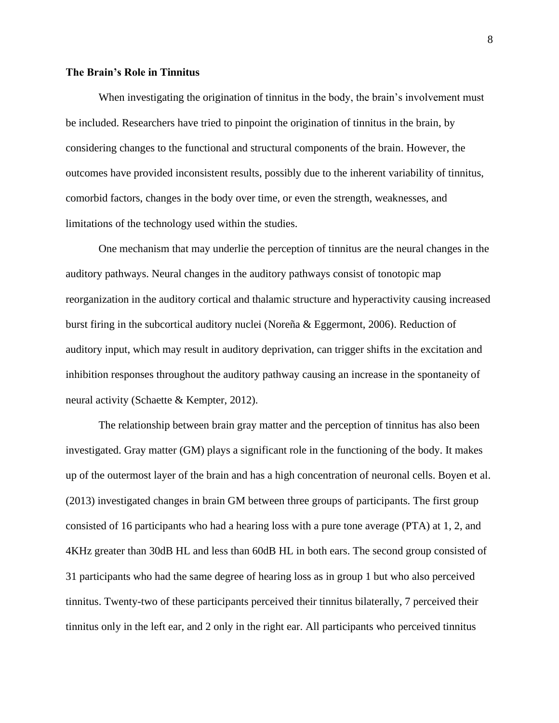## **The Brain's Role in Tinnitus**

When investigating the origination of tinnitus in the body, the brain's involvement must be included. Researchers have tried to pinpoint the origination of tinnitus in the brain, by considering changes to the functional and structural components of the brain. However, the outcomes have provided inconsistent results, possibly due to the inherent variability of tinnitus, comorbid factors, changes in the body over time, or even the strength, weaknesses, and limitations of the technology used within the studies.

One mechanism that may underlie the perception of tinnitus are the neural changes in the auditory pathways. Neural changes in the auditory pathways consist of tonotopic map reorganization in the auditory cortical and thalamic structure and hyperactivity causing increased burst firing in the subcortical auditory nuclei (Noreña & Eggermont, 2006). Reduction of auditory input, which may result in auditory deprivation, can trigger shifts in the excitation and inhibition responses throughout the auditory pathway causing an increase in the spontaneity of neural activity (Schaette & Kempter, 2012).

The relationship between brain gray matter and the perception of tinnitus has also been investigated. Gray matter (GM) plays a significant role in the functioning of the body. It makes up of the outermost layer of the brain and has a high concentration of neuronal cells. Boyen et al. (2013) investigated changes in brain GM between three groups of participants. The first group consisted of 16 participants who had a hearing loss with a pure tone average (PTA) at 1, 2, and 4KHz greater than 30dB HL and less than 60dB HL in both ears. The second group consisted of 31 participants who had the same degree of hearing loss as in group 1 but who also perceived tinnitus. Twenty-two of these participants perceived their tinnitus bilaterally, 7 perceived their tinnitus only in the left ear, and 2 only in the right ear. All participants who perceived tinnitus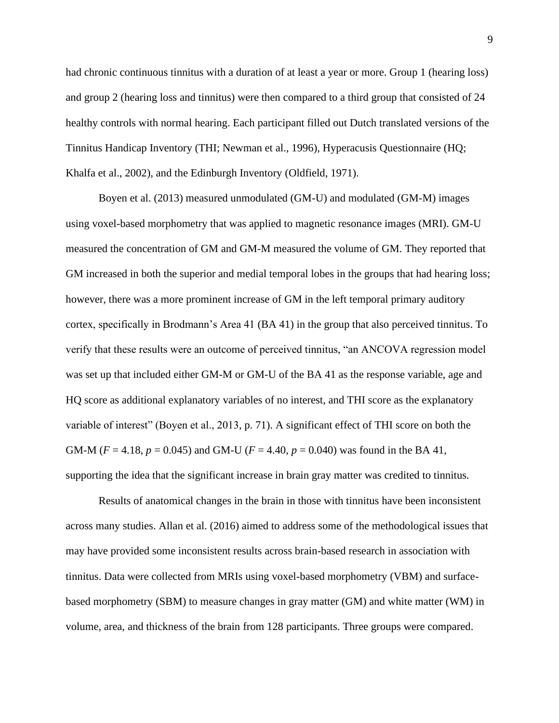had chronic continuous tinnitus with a duration of at least a year or more. Group 1 (hearing loss) and group 2 (hearing loss and tinnitus) were then compared to a third group that consisted of 24 healthy controls with normal hearing. Each participant filled out Dutch translated versions of the Tinnitus Handicap Inventory (THI; Newman et al., 1996), Hyperacusis Questionnaire (HQ; Khalfa et al., 2002), and the Edinburgh Inventory (Oldfield, 1971).

Boyen et al. (2013) measured unmodulated (GM-U) and modulated (GM-M) images using voxel-based morphometry that was applied to magnetic resonance images (MRI). GM-U measured the concentration of GM and GM-M measured the volume of GM. They reported that GM increased in both the superior and medial temporal lobes in the groups that had hearing loss; however, there was a more prominent increase of GM in the left temporal primary auditory cortex, specifically in Brodmann's Area 41 (BA 41) in the group that also perceived tinnitus. To verify that these results were an outcome of perceived tinnitus, "an ANCOVA regression model was set up that included either GM-M or GM-U of the BA 41 as the response variable, age and HQ score as additional explanatory variables of no interest, and THI score as the explanatory variable of interest" (Boyen et al., 2013, p. 71). A significant effect of THI score on both the GM-M ( $F = 4.18$ ,  $p = 0.045$ ) and GM-U ( $F = 4.40$ ,  $p = 0.040$ ) was found in the BA 41, supporting the idea that the significant increase in brain gray matter was credited to tinnitus.

Results of anatomical changes in the brain in those with tinnitus have been inconsistent across many studies. Allan et al. (2016) aimed to address some of the methodological issues that may have provided some inconsistent results across brain-based research in association with tinnitus. Data were collected from MRIs using voxel-based morphometry (VBM) and surfacebased morphometry (SBM) to measure changes in gray matter (GM) and white matter (WM) in volume, area, and thickness of the brain from 128 participants. Three groups were compared.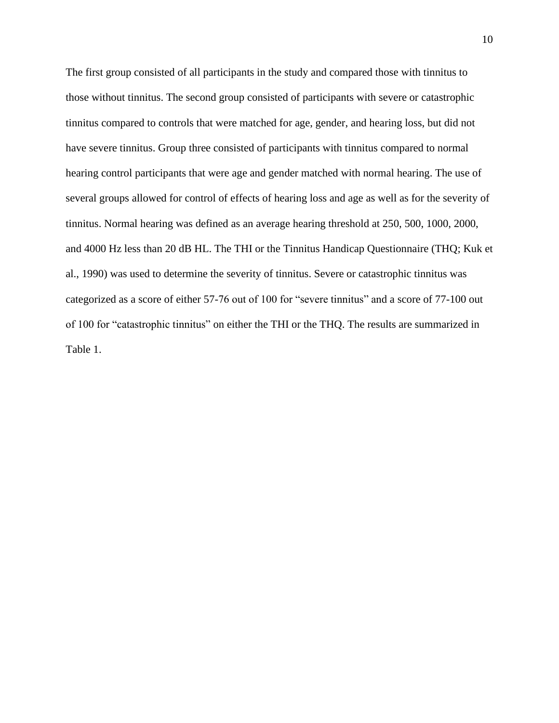The first group consisted of all participants in the study and compared those with tinnitus to those without tinnitus. The second group consisted of participants with severe or catastrophic tinnitus compared to controls that were matched for age, gender, and hearing loss, but did not have severe tinnitus. Group three consisted of participants with tinnitus compared to normal hearing control participants that were age and gender matched with normal hearing. The use of several groups allowed for control of effects of hearing loss and age as well as for the severity of tinnitus. Normal hearing was defined as an average hearing threshold at 250, 500, 1000, 2000, and 4000 Hz less than 20 dB HL. The THI or the Tinnitus Handicap Questionnaire (THQ; Kuk et al., 1990) was used to determine the severity of tinnitus. Severe or catastrophic tinnitus was categorized as a score of either 57-76 out of 100 for "severe tinnitus" and a score of 77-100 out of 100 for "catastrophic tinnitus" on either the THI or the THQ. The results are summarized in Table 1.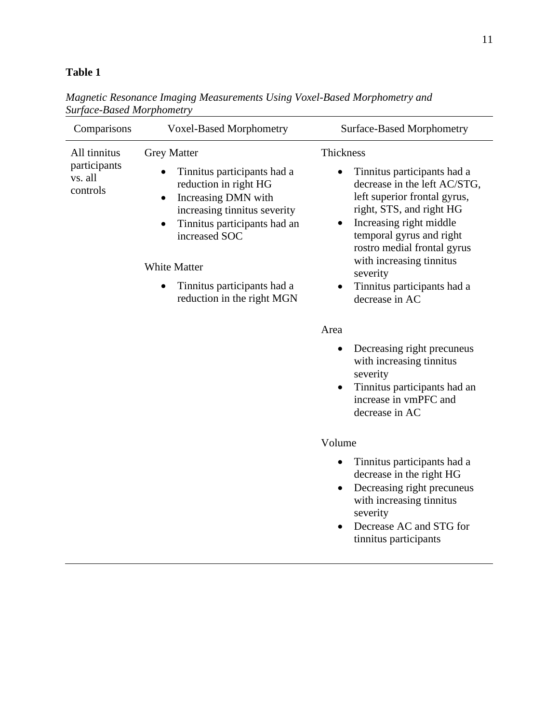# **Table 1**

| Comparisons                                         | <b>Voxel-Based Morphometry</b>                                                                                                                                                                                                                                                                   | <b>Surface-Based Morphometry</b>                                                                                                                                                                                                                                                                                                                                                                                                                                                                                                                                                                                                                     |
|-----------------------------------------------------|--------------------------------------------------------------------------------------------------------------------------------------------------------------------------------------------------------------------------------------------------------------------------------------------------|------------------------------------------------------------------------------------------------------------------------------------------------------------------------------------------------------------------------------------------------------------------------------------------------------------------------------------------------------------------------------------------------------------------------------------------------------------------------------------------------------------------------------------------------------------------------------------------------------------------------------------------------------|
| All tinnitus<br>participants<br>vs. all<br>controls | <b>Grey Matter</b><br>Tinnitus participants had a<br>reduction in right HG<br>Increasing DMN with<br>$\bullet$<br>increasing tinnitus severity<br>Tinnitus participants had an<br>$\bullet$<br>increased SOC<br><b>White Matter</b><br>Tinnitus participants had a<br>reduction in the right MGN | Thickness<br>Tinnitus participants had a<br>decrease in the left AC/STG,<br>left superior frontal gyrus,<br>right, STS, and right HG<br>Increasing right middle<br>٠<br>temporal gyrus and right<br>rostro medial frontal gyrus<br>with increasing tinnitus<br>severity<br>Tinnitus participants had a<br>decrease in AC<br>Area<br>Decreasing right precuneus<br>٠<br>with increasing tinnitus<br>severity<br>Tinnitus participants had an<br>$\bullet$<br>increase in vmPFC and<br>decrease in AC<br>Volume<br>Tinnitus participants had a<br>$\bullet$<br>decrease in the right HG<br>Decreasing right precuneus<br>٠<br>with increasing tinnitus |
|                                                     |                                                                                                                                                                                                                                                                                                  | severity<br>Decrease AC and STG for<br>$\bullet$<br>tinnitus participants                                                                                                                                                                                                                                                                                                                                                                                                                                                                                                                                                                            |

*Magnetic Resonance Imaging Measurements Using Voxel-Based Morphometry and Surface-Based Morphometry*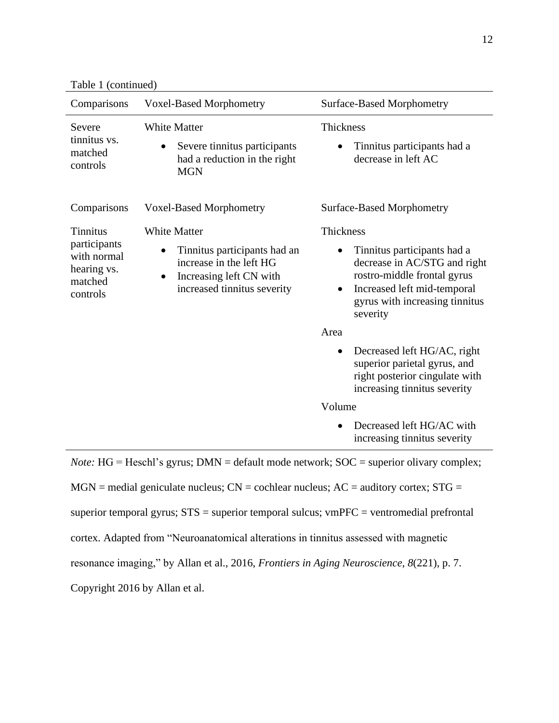Table 1 (continued)

| Comparisons                                                                          | <b>Voxel-Based Morphometry</b>                                                                                                                        | <b>Surface-Based Morphometry</b>                                                                                                                                                                          |  |
|--------------------------------------------------------------------------------------|-------------------------------------------------------------------------------------------------------------------------------------------------------|-----------------------------------------------------------------------------------------------------------------------------------------------------------------------------------------------------------|--|
| Severe<br>tinnitus vs.<br>matched<br>controls                                        | <b>White Matter</b><br>Severe tinnitus participants<br>had a reduction in the right<br><b>MGN</b>                                                     | Thickness<br>Tinnitus participants had a<br>decrease in left AC                                                                                                                                           |  |
| Comparisons                                                                          | <b>Voxel-Based Morphometry</b>                                                                                                                        | <b>Surface-Based Morphometry</b>                                                                                                                                                                          |  |
| <b>Tinnitus</b><br>participants<br>with normal<br>hearing vs.<br>matched<br>controls | <b>White Matter</b><br>Tinnitus participants had an<br>increase in the left HG<br>Increasing left CN with<br>$\bullet$<br>increased tinnitus severity | Thickness<br>Tinnitus participants had a<br>decrease in AC/STG and right<br>rostro-middle frontal gyrus<br>Increased left mid-temporal<br>$\bullet$<br>gyrus with increasing tinnitus<br>severity<br>Area |  |
|                                                                                      |                                                                                                                                                       | Decreased left HG/AC, right<br>$\bullet$<br>superior parietal gyrus, and<br>right posterior cingulate with<br>increasing tinnitus severity                                                                |  |
|                                                                                      |                                                                                                                                                       | Volume                                                                                                                                                                                                    |  |
|                                                                                      |                                                                                                                                                       | Decreased left HG/AC with<br>increasing tinnitus severity                                                                                                                                                 |  |

*Note:* HG = Heschl's gyrus; DMN = default mode network; SOC = superior olivary complex;

 $MGN$  = medial geniculate nucleus;  $CN$  = cochlear nucleus;  $AC$  = auditory cortex;  $STG$  =

superior temporal gyrus; STS = superior temporal sulcus; vmPFC = ventromedial prefrontal

cortex. Adapted from "Neuroanatomical alterations in tinnitus assessed with magnetic

resonance imaging," by Allan et al., 2016, *Frontiers in Aging Neuroscience*, *8*(221), p. 7.

Copyright 2016 by Allan et al.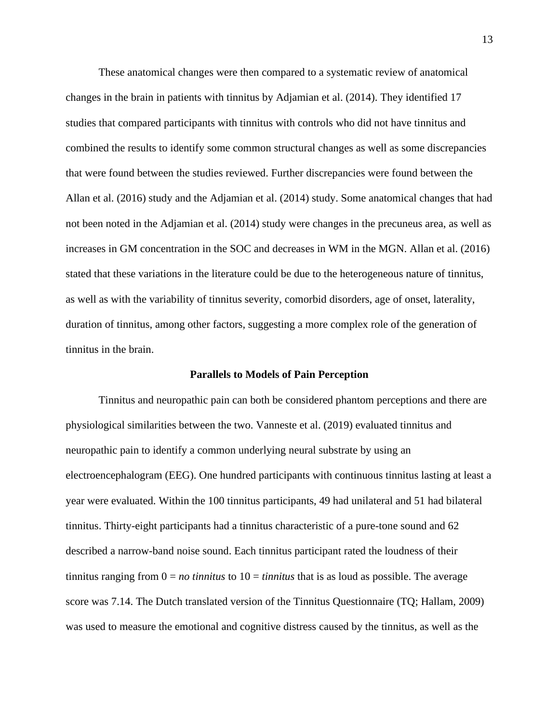These anatomical changes were then compared to a systematic review of anatomical changes in the brain in patients with tinnitus by Adjamian et al. (2014). They identified 17 studies that compared participants with tinnitus with controls who did not have tinnitus and combined the results to identify some common structural changes as well as some discrepancies that were found between the studies reviewed. Further discrepancies were found between the Allan et al. (2016) study and the Adjamian et al. (2014) study. Some anatomical changes that had not been noted in the Adjamian et al. (2014) study were changes in the precuneus area, as well as increases in GM concentration in the SOC and decreases in WM in the MGN. Allan et al. (2016) stated that these variations in the literature could be due to the heterogeneous nature of tinnitus, as well as with the variability of tinnitus severity, comorbid disorders, age of onset, laterality, duration of tinnitus, among other factors, suggesting a more complex role of the generation of tinnitus in the brain.

#### **Parallels to Models of Pain Perception**

Tinnitus and neuropathic pain can both be considered phantom perceptions and there are physiological similarities between the two. Vanneste et al. (2019) evaluated tinnitus and neuropathic pain to identify a common underlying neural substrate by using an electroencephalogram (EEG). One hundred participants with continuous tinnitus lasting at least a year were evaluated. Within the 100 tinnitus participants, 49 had unilateral and 51 had bilateral tinnitus. Thirty-eight participants had a tinnitus characteristic of a pure-tone sound and 62 described a narrow-band noise sound. Each tinnitus participant rated the loudness of their tinnitus ranging from  $0 = no$  *tinnitus* to  $10 =$  *tinnitus* that is as loud as possible. The average score was 7.14. The Dutch translated version of the Tinnitus Questionnaire (TQ; Hallam, 2009) was used to measure the emotional and cognitive distress caused by the tinnitus, as well as the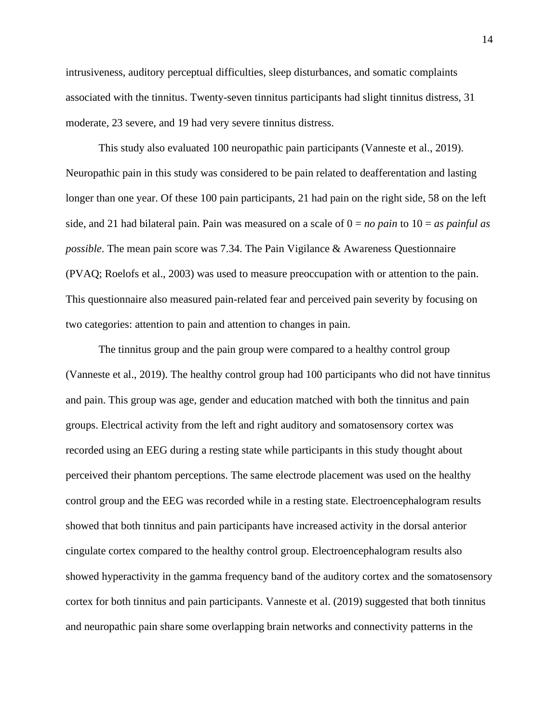intrusiveness, auditory perceptual difficulties, sleep disturbances, and somatic complaints associated with the tinnitus. Twenty-seven tinnitus participants had slight tinnitus distress, 31 moderate, 23 severe, and 19 had very severe tinnitus distress.

This study also evaluated 100 neuropathic pain participants (Vanneste et al., 2019). Neuropathic pain in this study was considered to be pain related to deafferentation and lasting longer than one year. Of these 100 pain participants, 21 had pain on the right side, 58 on the left side, and 21 had bilateral pain. Pain was measured on a scale of  $0 = no$  pain to  $10 = as$  painful as *possible*. The mean pain score was 7.34. The Pain Vigilance & Awareness Questionnaire (PVAQ; Roelofs et al., 2003) was used to measure preoccupation with or attention to the pain. This questionnaire also measured pain-related fear and perceived pain severity by focusing on two categories: attention to pain and attention to changes in pain.

The tinnitus group and the pain group were compared to a healthy control group (Vanneste et al., 2019). The healthy control group had 100 participants who did not have tinnitus and pain. This group was age, gender and education matched with both the tinnitus and pain groups. Electrical activity from the left and right auditory and somatosensory cortex was recorded using an EEG during a resting state while participants in this study thought about perceived their phantom perceptions. The same electrode placement was used on the healthy control group and the EEG was recorded while in a resting state. Electroencephalogram results showed that both tinnitus and pain participants have increased activity in the dorsal anterior cingulate cortex compared to the healthy control group. Electroencephalogram results also showed hyperactivity in the gamma frequency band of the auditory cortex and the somatosensory cortex for both tinnitus and pain participants. Vanneste et al. (2019) suggested that both tinnitus and neuropathic pain share some overlapping brain networks and connectivity patterns in the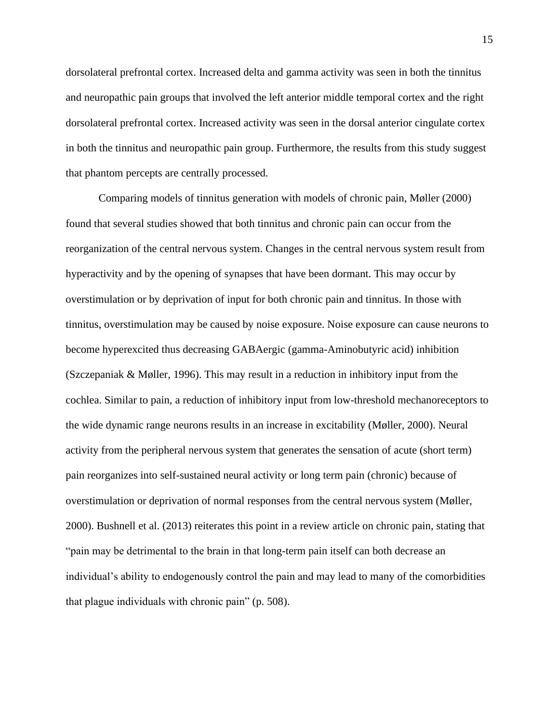dorsolateral prefrontal cortex. Increased delta and gamma activity was seen in both the tinnitus and neuropathic pain groups that involved the left anterior middle temporal cortex and the right dorsolateral prefrontal cortex. Increased activity was seen in the dorsal anterior cingulate cortex in both the tinnitus and neuropathic pain group. Furthermore, the results from this study suggest that phantom percepts are centrally processed.

Comparing models of tinnitus generation with models of chronic pain, Møller (2000) found that several studies showed that both tinnitus and chronic pain can occur from the reorganization of the central nervous system. Changes in the central nervous system result from hyperactivity and by the opening of synapses that have been dormant. This may occur by overstimulation or by deprivation of input for both chronic pain and tinnitus. In those with tinnitus, overstimulation may be caused by noise exposure. Noise exposure can cause neurons to become hyperexcited thus decreasing GABAergic (gamma-Aminobutyric acid) inhibition (Szczepaniak & Møller, 1996). This may result in a reduction in inhibitory input from the cochlea. Similar to pain, a reduction of inhibitory input from low-threshold mechanoreceptors to the wide dynamic range neurons results in an increase in excitability (Møller, 2000). Neural activity from the peripheral nervous system that generates the sensation of acute (short term) pain reorganizes into self-sustained neural activity or long term pain (chronic) because of overstimulation or deprivation of normal responses from the central nervous system (Møller, 2000). Bushnell et al. (2013) reiterates this point in a review article on chronic pain, stating that "pain may be detrimental to the brain in that long-term pain itself can both decrease an individual's ability to endogenously control the pain and may lead to many of the comorbidities that plague individuals with chronic pain" (p. 508).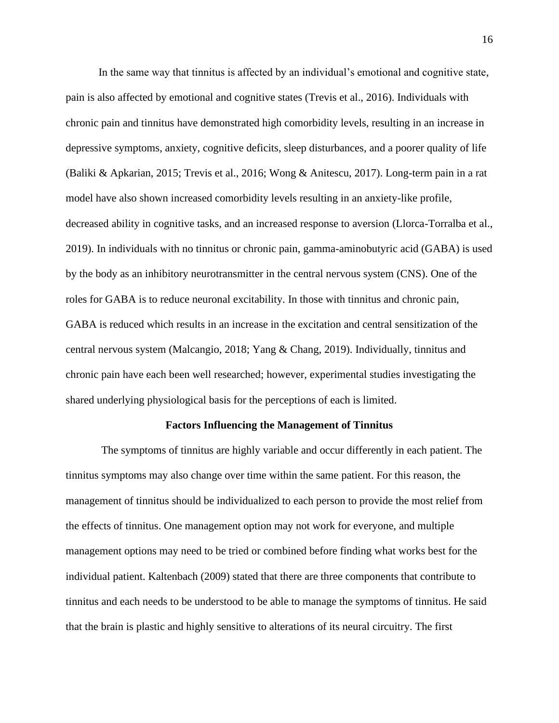In the same way that tinnitus is affected by an individual's emotional and cognitive state, pain is also affected by emotional and cognitive states (Trevis et al., 2016). Individuals with chronic pain and tinnitus have demonstrated high comorbidity levels, resulting in an increase in depressive symptoms, anxiety, cognitive deficits, sleep disturbances, and a poorer quality of life (Baliki & Apkarian, 2015; Trevis et al., 2016; Wong & Anitescu, 2017). Long-term pain in a rat model have also shown increased comorbidity levels resulting in an anxiety-like profile, decreased ability in cognitive tasks, and an increased response to aversion (Llorca-Torralba et al., 2019). In individuals with no tinnitus or chronic pain, gamma-aminobutyric acid (GABA) is used by the body as an inhibitory neurotransmitter in the central nervous system (CNS). One of the roles for GABA is to reduce neuronal excitability. In those with tinnitus and chronic pain, GABA is reduced which results in an increase in the excitation and central sensitization of the central nervous system (Malcangio, 2018; Yang & Chang, 2019). Individually, tinnitus and chronic pain have each been well researched; however, experimental studies investigating the shared underlying physiological basis for the perceptions of each is limited.

#### **Factors Influencing the Management of Tinnitus**

The symptoms of tinnitus are highly variable and occur differently in each patient. The tinnitus symptoms may also change over time within the same patient. For this reason, the management of tinnitus should be individualized to each person to provide the most relief from the effects of tinnitus. One management option may not work for everyone, and multiple management options may need to be tried or combined before finding what works best for the individual patient. Kaltenbach (2009) stated that there are three components that contribute to tinnitus and each needs to be understood to be able to manage the symptoms of tinnitus. He said that the brain is plastic and highly sensitive to alterations of its neural circuitry. The first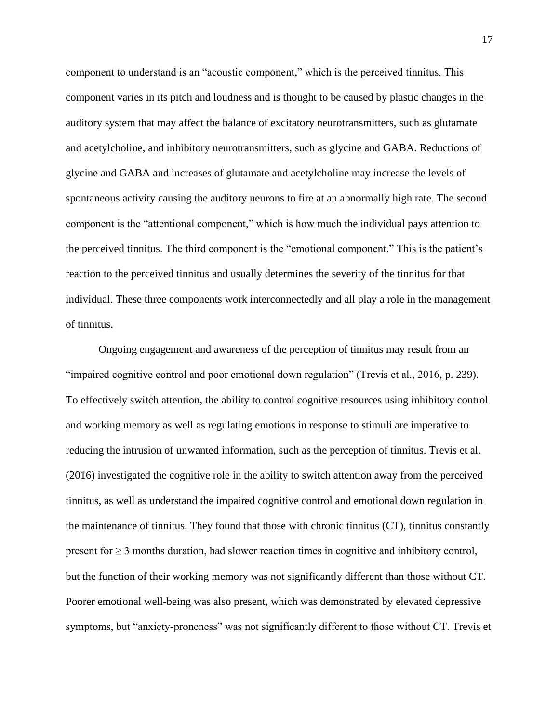component to understand is an "acoustic component," which is the perceived tinnitus. This component varies in its pitch and loudness and is thought to be caused by plastic changes in the auditory system that may affect the balance of excitatory neurotransmitters, such as glutamate and acetylcholine, and inhibitory neurotransmitters, such as glycine and GABA. Reductions of glycine and GABA and increases of glutamate and acetylcholine may increase the levels of spontaneous activity causing the auditory neurons to fire at an abnormally high rate. The second component is the "attentional component," which is how much the individual pays attention to the perceived tinnitus. The third component is the "emotional component." This is the patient's reaction to the perceived tinnitus and usually determines the severity of the tinnitus for that individual. These three components work interconnectedly and all play a role in the management of tinnitus.

Ongoing engagement and awareness of the perception of tinnitus may result from an "impaired cognitive control and poor emotional down regulation" (Trevis et al., 2016, p. 239). To effectively switch attention, the ability to control cognitive resources using inhibitory control and working memory as well as regulating emotions in response to stimuli are imperative to reducing the intrusion of unwanted information, such as the perception of tinnitus. Trevis et al. (2016) investigated the cognitive role in the ability to switch attention away from the perceived tinnitus, as well as understand the impaired cognitive control and emotional down regulation in the maintenance of tinnitus. They found that those with chronic tinnitus (CT), tinnitus constantly present for  $\geq 3$  months duration, had slower reaction times in cognitive and inhibitory control, but the function of their working memory was not significantly different than those without CT. Poorer emotional well-being was also present, which was demonstrated by elevated depressive symptoms, but "anxiety-proneness" was not significantly different to those without CT. Trevis et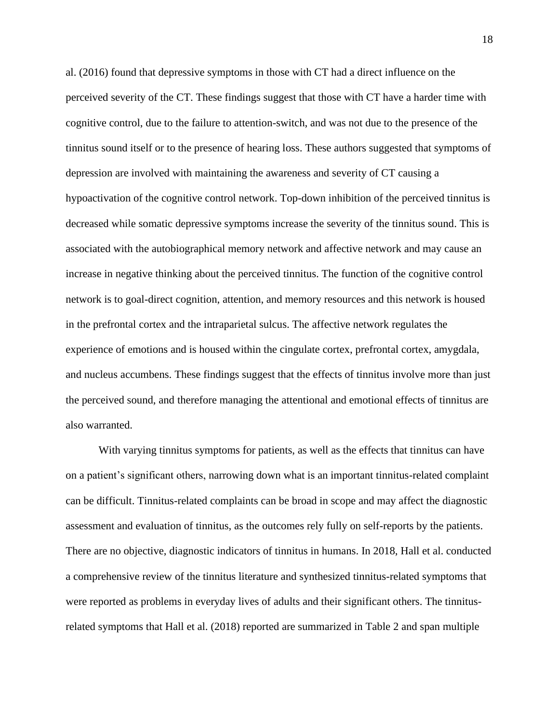al. (2016) found that depressive symptoms in those with CT had a direct influence on the perceived severity of the CT. These findings suggest that those with CT have a harder time with cognitive control, due to the failure to attention-switch, and was not due to the presence of the tinnitus sound itself or to the presence of hearing loss. These authors suggested that symptoms of depression are involved with maintaining the awareness and severity of CT causing a hypoactivation of the cognitive control network. Top-down inhibition of the perceived tinnitus is decreased while somatic depressive symptoms increase the severity of the tinnitus sound. This is associated with the autobiographical memory network and affective network and may cause an increase in negative thinking about the perceived tinnitus. The function of the cognitive control network is to goal-direct cognition, attention, and memory resources and this network is housed in the prefrontal cortex and the intraparietal sulcus. The affective network regulates the experience of emotions and is housed within the cingulate cortex, prefrontal cortex, amygdala, and nucleus accumbens. These findings suggest that the effects of tinnitus involve more than just the perceived sound, and therefore managing the attentional and emotional effects of tinnitus are also warranted.

With varying tinnitus symptoms for patients, as well as the effects that tinnitus can have on a patient's significant others, narrowing down what is an important tinnitus-related complaint can be difficult. Tinnitus-related complaints can be broad in scope and may affect the diagnostic assessment and evaluation of tinnitus, as the outcomes rely fully on self-reports by the patients. There are no objective, diagnostic indicators of tinnitus in humans. In 2018, Hall et al. conducted a comprehensive review of the tinnitus literature and synthesized tinnitus-related symptoms that were reported as problems in everyday lives of adults and their significant others. The tinnitusrelated symptoms that Hall et al. (2018) reported are summarized in Table 2 and span multiple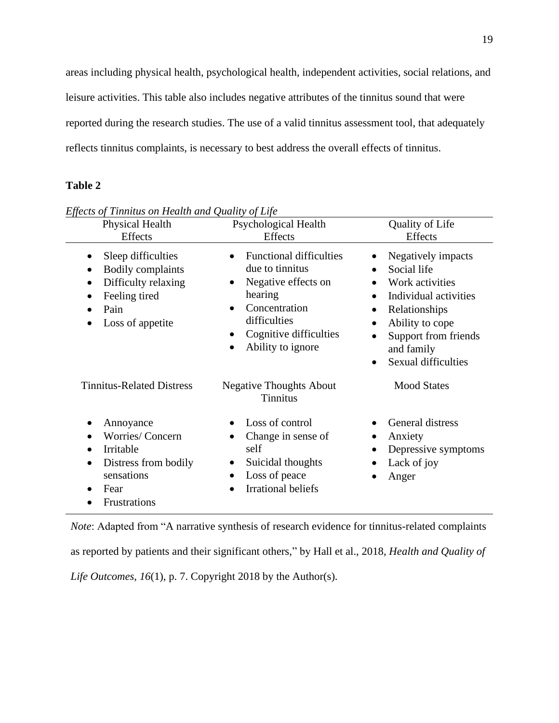areas including physical health, psychological health, independent activities, social relations, and leisure activities. This table also includes negative attributes of the tinnitus sound that were reported during the research studies. The use of a valid tinnitus assessment tool, that adequately reflects tinnitus complaints, is necessary to best address the overall effects of tinnitus.

## **Table 2**

| Physical Health<br><b>Effects</b>                                                                                                                         | <b>Psychological Health</b><br>Effects                                                                                                                                                        | Quality of Life<br><b>Effects</b>                                                                                                                                                                                          |
|-----------------------------------------------------------------------------------------------------------------------------------------------------------|-----------------------------------------------------------------------------------------------------------------------------------------------------------------------------------------------|----------------------------------------------------------------------------------------------------------------------------------------------------------------------------------------------------------------------------|
| Sleep difficulties<br>$\bullet$<br><b>Bodily complaints</b><br>Difficulty relaxing<br>$\bullet$<br>Feeling tired<br>$\bullet$<br>Pain<br>Loss of appetite | <b>Functional difficulties</b><br>due to tinnitus<br>Negative effects on<br>$\bullet$<br>hearing<br>Concentration<br>difficulties<br>Cognitive difficulties<br>$\bullet$<br>Ability to ignore | Negatively impacts<br>Social life<br>Work activities<br>$\bullet$<br>Individual activities<br>Relationships<br>$\bullet$<br>Ability to cope<br>٠<br>Support from friends<br>and family<br>Sexual difficulties<br>$\bullet$ |
| <b>Tinnitus-Related Distress</b>                                                                                                                          | <b>Negative Thoughts About</b><br><b>Tinnitus</b>                                                                                                                                             | <b>Mood States</b>                                                                                                                                                                                                         |
| Annoyance<br>Worries/Concern<br>$\bullet$<br>Irritable<br>$\bullet$<br>Distress from bodily<br>$\bullet$<br>sensations<br>Fear<br>Frustrations            | Loss of control<br>Change in sense of<br>self<br>Suicidal thoughts<br>Loss of peace<br>$\bullet$<br><b>Irrational beliefs</b>                                                                 | General distress<br>Anxiety<br>$\bullet$<br>Depressive symptoms<br>$\bullet$<br>Lack of joy<br>Anger                                                                                                                       |

*Effects of Tinnitus on Health and Quality of Life* 

*Note*: Adapted from "A narrative synthesis of research evidence for tinnitus-related complaints as reported by patients and their significant others," by Hall et al., 2018, *Health and Quality of Life Outcomes*, *16*(1), p. 7. Copyright 2018 by the Author(s).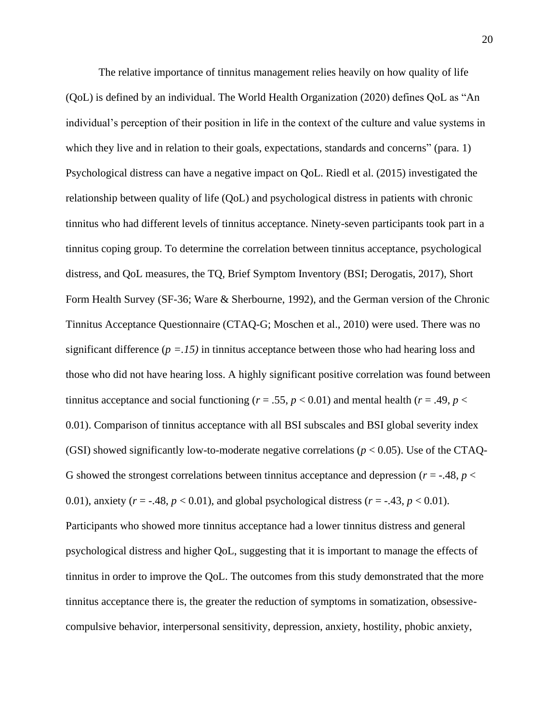The relative importance of tinnitus management relies heavily on how quality of life (QoL) is defined by an individual. The World Health Organization (2020) defines QoL as "An individual's perception of their position in life in the context of the culture and value systems in which they live and in relation to their goals, expectations, standards and concerns" (para. 1) Psychological distress can have a negative impact on QoL. Riedl et al. (2015) investigated the relationship between quality of life (QoL) and psychological distress in patients with chronic tinnitus who had different levels of tinnitus acceptance. Ninety-seven participants took part in a tinnitus coping group. To determine the correlation between tinnitus acceptance, psychological distress, and QoL measures, the TQ, Brief Symptom Inventory (BSI; Derogatis, 2017), Short Form Health Survey (SF-36; Ware & Sherbourne, 1992), and the German version of the Chronic Tinnitus Acceptance Questionnaire (CTAQ-G; Moschen et al., 2010) were used. There was no significant difference  $(p = 0.15)$  in tinnitus acceptance between those who had hearing loss and those who did not have hearing loss. A highly significant positive correlation was found between tinnitus acceptance and social functioning ( $r = .55$ ,  $p < 0.01$ ) and mental health ( $r = .49$ ,  $p <$ 0.01). Comparison of tinnitus acceptance with all BSI subscales and BSI global severity index (GSI) showed significantly low-to-moderate negative correlations ( $p < 0.05$ ). Use of the CTAQ-G showed the strongest correlations between tinnitus acceptance and depression ( $r = -0.48$ ,  $p <$ 0.01), anxiety  $(r = -.48, p < 0.01)$ , and global psychological distress  $(r = -.43, p < 0.01)$ . Participants who showed more tinnitus acceptance had a lower tinnitus distress and general psychological distress and higher QoL, suggesting that it is important to manage the effects of tinnitus in order to improve the QoL. The outcomes from this study demonstrated that the more tinnitus acceptance there is, the greater the reduction of symptoms in somatization, obsessivecompulsive behavior, interpersonal sensitivity, depression, anxiety, hostility, phobic anxiety,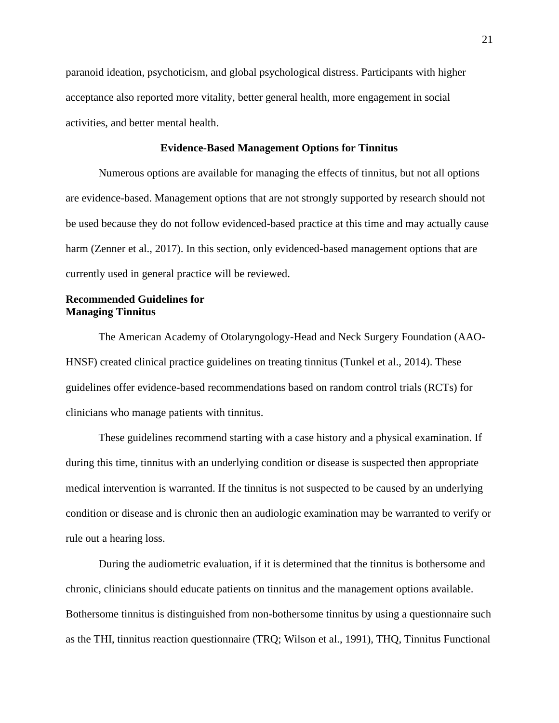paranoid ideation, psychoticism, and global psychological distress. Participants with higher acceptance also reported more vitality, better general health, more engagement in social activities, and better mental health.

# **Evidence-Based Management Options for Tinnitus**

Numerous options are available for managing the effects of tinnitus, but not all options are evidence-based. Management options that are not strongly supported by research should not be used because they do not follow evidenced-based practice at this time and may actually cause harm (Zenner et al., 2017). In this section, only evidenced-based management options that are currently used in general practice will be reviewed.

# **Recommended Guidelines for Managing Tinnitus**

The American Academy of Otolaryngology-Head and Neck Surgery Foundation (AAO-HNSF) created clinical practice guidelines on treating tinnitus (Tunkel et al., 2014). These guidelines offer evidence-based recommendations based on random control trials (RCTs) for clinicians who manage patients with tinnitus.

These guidelines recommend starting with a case history and a physical examination. If during this time, tinnitus with an underlying condition or disease is suspected then appropriate medical intervention is warranted. If the tinnitus is not suspected to be caused by an underlying condition or disease and is chronic then an audiologic examination may be warranted to verify or rule out a hearing loss.

During the audiometric evaluation, if it is determined that the tinnitus is bothersome and chronic, clinicians should educate patients on tinnitus and the management options available. Bothersome tinnitus is distinguished from non-bothersome tinnitus by using a questionnaire such as the THI, tinnitus reaction questionnaire (TRQ; Wilson et al., 1991), THQ, Tinnitus Functional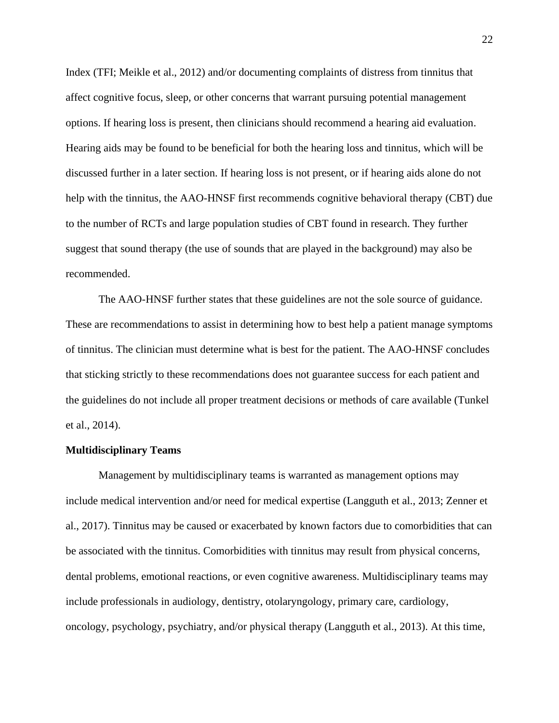Index (TFI; Meikle et al., 2012) and/or documenting complaints of distress from tinnitus that affect cognitive focus, sleep, or other concerns that warrant pursuing potential management options. If hearing loss is present, then clinicians should recommend a hearing aid evaluation. Hearing aids may be found to be beneficial for both the hearing loss and tinnitus, which will be discussed further in a later section. If hearing loss is not present, or if hearing aids alone do not help with the tinnitus, the AAO-HNSF first recommends cognitive behavioral therapy (CBT) due to the number of RCTs and large population studies of CBT found in research. They further suggest that sound therapy (the use of sounds that are played in the background) may also be recommended.

The AAO-HNSF further states that these guidelines are not the sole source of guidance. These are recommendations to assist in determining how to best help a patient manage symptoms of tinnitus. The clinician must determine what is best for the patient. The AAO-HNSF concludes that sticking strictly to these recommendations does not guarantee success for each patient and the guidelines do not include all proper treatment decisions or methods of care available (Tunkel et al., 2014).

### **Multidisciplinary Teams**

Management by multidisciplinary teams is warranted as management options may include medical intervention and/or need for medical expertise (Langguth et al., 2013; Zenner et al., 2017). Tinnitus may be caused or exacerbated by known factors due to comorbidities that can be associated with the tinnitus. Comorbidities with tinnitus may result from physical concerns, dental problems, emotional reactions, or even cognitive awareness. Multidisciplinary teams may include professionals in audiology, dentistry, otolaryngology, primary care, cardiology, oncology, psychology, psychiatry, and/or physical therapy (Langguth et al., 2013). At this time,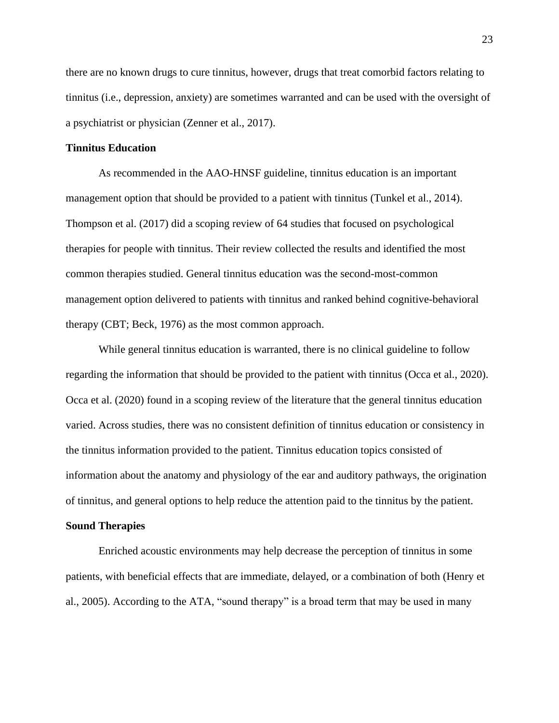there are no known drugs to cure tinnitus, however, drugs that treat comorbid factors relating to tinnitus (i.e., depression, anxiety) are sometimes warranted and can be used with the oversight of a psychiatrist or physician (Zenner et al., 2017).

## **Tinnitus Education**

As recommended in the AAO-HNSF guideline, tinnitus education is an important management option that should be provided to a patient with tinnitus (Tunkel et al., 2014). Thompson et al. (2017) did a scoping review of 64 studies that focused on psychological therapies for people with tinnitus. Their review collected the results and identified the most common therapies studied. General tinnitus education was the second-most-common management option delivered to patients with tinnitus and ranked behind cognitive-behavioral therapy (CBT; Beck, 1976) as the most common approach.

While general tinnitus education is warranted, there is no clinical guideline to follow regarding the information that should be provided to the patient with tinnitus (Occa et al., 2020). Occa et al. (2020) found in a scoping review of the literature that the general tinnitus education varied. Across studies, there was no consistent definition of tinnitus education or consistency in the tinnitus information provided to the patient. Tinnitus education topics consisted of information about the anatomy and physiology of the ear and auditory pathways, the origination of tinnitus, and general options to help reduce the attention paid to the tinnitus by the patient.

### **Sound Therapies**

Enriched acoustic environments may help decrease the perception of tinnitus in some patients, with beneficial effects that are immediate, delayed, or a combination of both (Henry et al., 2005). According to the ATA, "sound therapy" is a broad term that may be used in many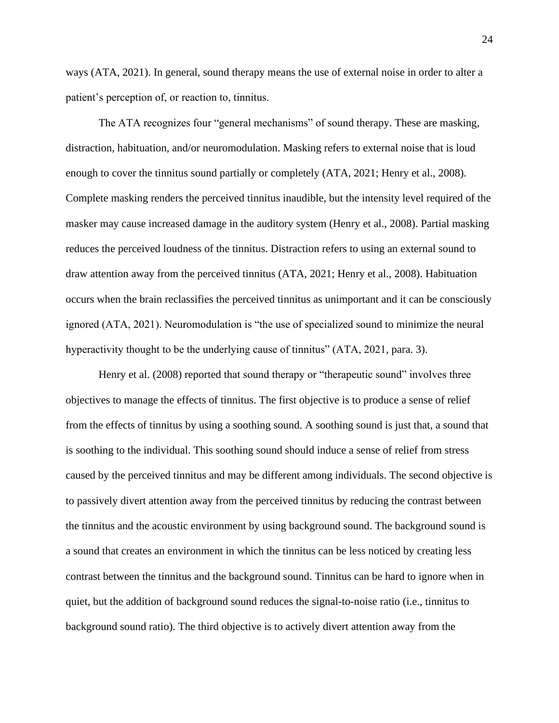ways (ATA, 2021). In general, sound therapy means the use of external noise in order to alter a patient's perception of, or reaction to, tinnitus.

The ATA recognizes four "general mechanisms" of sound therapy. These are masking, distraction, habituation, and/or neuromodulation. Masking refers to external noise that is loud enough to cover the tinnitus sound partially or completely (ATA, 2021; Henry et al., 2008). Complete masking renders the perceived tinnitus inaudible, but the intensity level required of the masker may cause increased damage in the auditory system (Henry et al., 2008). Partial masking reduces the perceived loudness of the tinnitus. Distraction refers to using an external sound to draw attention away from the perceived tinnitus (ATA, 2021; Henry et al., 2008). Habituation occurs when the brain reclassifies the perceived tinnitus as unimportant and it can be consciously ignored (ATA, 2021). Neuromodulation is "the use of specialized sound to minimize the neural hyperactivity thought to be the underlying cause of tinnitus" (ATA, 2021, para. 3).

Henry et al. (2008) reported that sound therapy or "therapeutic sound" involves three objectives to manage the effects of tinnitus. The first objective is to produce a sense of relief from the effects of tinnitus by using a soothing sound. A soothing sound is just that, a sound that is soothing to the individual. This soothing sound should induce a sense of relief from stress caused by the perceived tinnitus and may be different among individuals. The second objective is to passively divert attention away from the perceived tinnitus by reducing the contrast between the tinnitus and the acoustic environment by using background sound. The background sound is a sound that creates an environment in which the tinnitus can be less noticed by creating less contrast between the tinnitus and the background sound. Tinnitus can be hard to ignore when in quiet, but the addition of background sound reduces the signal-to-noise ratio (i.e., tinnitus to background sound ratio). The third objective is to actively divert attention away from the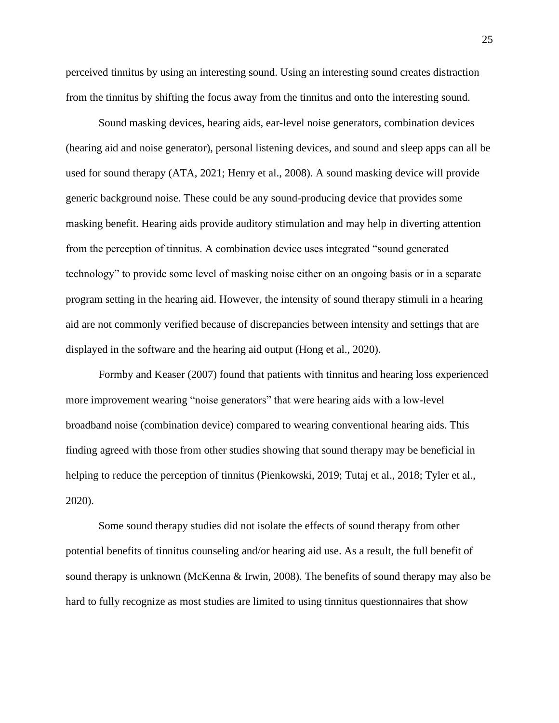perceived tinnitus by using an interesting sound. Using an interesting sound creates distraction from the tinnitus by shifting the focus away from the tinnitus and onto the interesting sound.

Sound masking devices, hearing aids, ear-level noise generators, combination devices (hearing aid and noise generator), personal listening devices, and sound and sleep apps can all be used for sound therapy (ATA, 2021; Henry et al., 2008). A sound masking device will provide generic background noise. These could be any sound-producing device that provides some masking benefit. Hearing aids provide auditory stimulation and may help in diverting attention from the perception of tinnitus. A combination device uses integrated "sound generated technology" to provide some level of masking noise either on an ongoing basis or in a separate program setting in the hearing aid. However, the intensity of sound therapy stimuli in a hearing aid are not commonly verified because of discrepancies between intensity and settings that are displayed in the software and the hearing aid output (Hong et al., 2020).

Formby and Keaser (2007) found that patients with tinnitus and hearing loss experienced more improvement wearing "noise generators" that were hearing aids with a low-level broadband noise (combination device) compared to wearing conventional hearing aids. This finding agreed with those from other studies showing that sound therapy may be beneficial in helping to reduce the perception of tinnitus (Pienkowski, 2019; Tutaj et al., 2018; Tyler et al., 2020).

Some sound therapy studies did not isolate the effects of sound therapy from other potential benefits of tinnitus counseling and/or hearing aid use. As a result, the full benefit of sound therapy is unknown (McKenna & Irwin, 2008). The benefits of sound therapy may also be hard to fully recognize as most studies are limited to using tinnitus questionnaires that show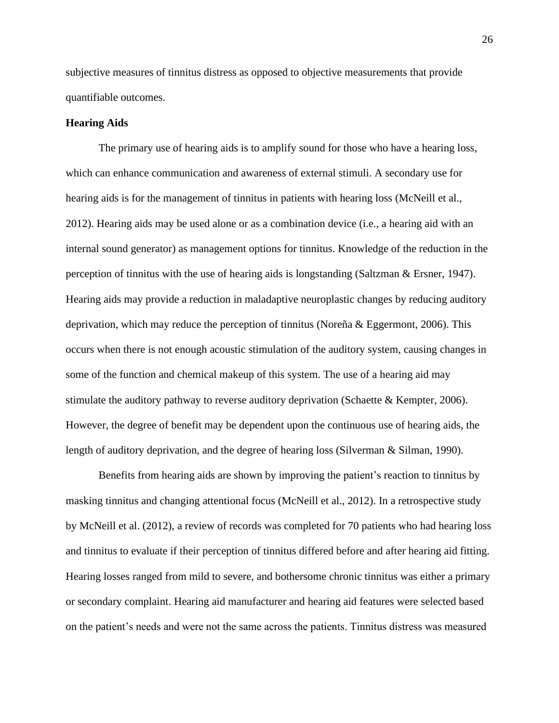subjective measures of tinnitus distress as opposed to objective measurements that provide quantifiable outcomes.

### **Hearing Aids**

The primary use of hearing aids is to amplify sound for those who have a hearing loss, which can enhance communication and awareness of external stimuli. A secondary use for hearing aids is for the management of tinnitus in patients with hearing loss (McNeill et al., 2012). Hearing aids may be used alone or as a combination device (i.e., a hearing aid with an internal sound generator) as management options for tinnitus. Knowledge of the reduction in the perception of tinnitus with the use of hearing aids is longstanding (Saltzman & Ersner, 1947). Hearing aids may provide a reduction in maladaptive neuroplastic changes by reducing auditory deprivation, which may reduce the perception of tinnitus (Noreña & Eggermont, 2006). This occurs when there is not enough acoustic stimulation of the auditory system, causing changes in some of the function and chemical makeup of this system. The use of a hearing aid may stimulate the auditory pathway to reverse auditory deprivation (Schaette & Kempter, 2006). However, the degree of benefit may be dependent upon the continuous use of hearing aids, the length of auditory deprivation, and the degree of hearing loss (Silverman & Silman, 1990).

Benefits from hearing aids are shown by improving the patient's reaction to tinnitus by masking tinnitus and changing attentional focus (McNeill et al., 2012). In a retrospective study by McNeill et al. (2012), a review of records was completed for 70 patients who had hearing loss and tinnitus to evaluate if their perception of tinnitus differed before and after hearing aid fitting. Hearing losses ranged from mild to severe, and bothersome chronic tinnitus was either a primary or secondary complaint. Hearing aid manufacturer and hearing aid features were selected based on the patient's needs and were not the same across the patients. Tinnitus distress was measured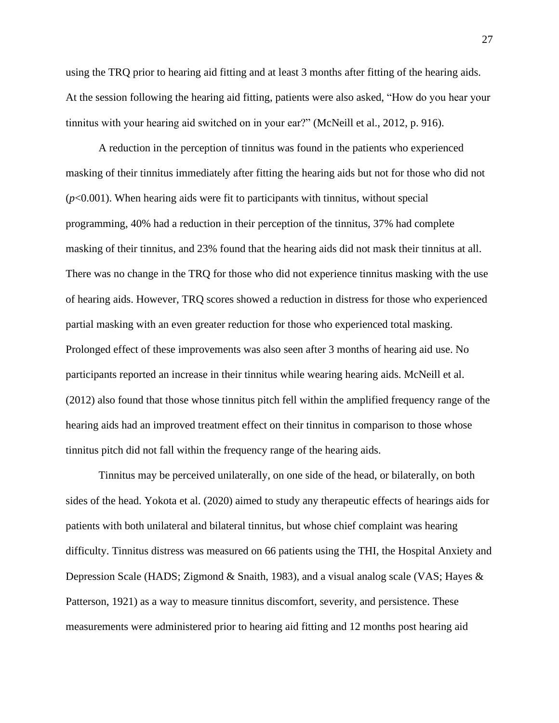using the TRQ prior to hearing aid fitting and at least 3 months after fitting of the hearing aids. At the session following the hearing aid fitting, patients were also asked, "How do you hear your tinnitus with your hearing aid switched on in your ear?" (McNeill et al., 2012, p. 916).

A reduction in the perception of tinnitus was found in the patients who experienced masking of their tinnitus immediately after fitting the hearing aids but not for those who did not (*p*<0.001). When hearing aids were fit to participants with tinnitus, without special programming, 40% had a reduction in their perception of the tinnitus, 37% had complete masking of their tinnitus, and 23% found that the hearing aids did not mask their tinnitus at all. There was no change in the TRQ for those who did not experience tinnitus masking with the use of hearing aids. However, TRQ scores showed a reduction in distress for those who experienced partial masking with an even greater reduction for those who experienced total masking. Prolonged effect of these improvements was also seen after 3 months of hearing aid use. No participants reported an increase in their tinnitus while wearing hearing aids. McNeill et al. (2012) also found that those whose tinnitus pitch fell within the amplified frequency range of the hearing aids had an improved treatment effect on their tinnitus in comparison to those whose tinnitus pitch did not fall within the frequency range of the hearing aids.

Tinnitus may be perceived unilaterally, on one side of the head, or bilaterally, on both sides of the head. Yokota et al. (2020) aimed to study any therapeutic effects of hearings aids for patients with both unilateral and bilateral tinnitus, but whose chief complaint was hearing difficulty. Tinnitus distress was measured on 66 patients using the THI, the Hospital Anxiety and Depression Scale (HADS; Zigmond & Snaith, 1983), and a visual analog scale (VAS; Hayes & Patterson, 1921) as a way to measure tinnitus discomfort, severity, and persistence. These measurements were administered prior to hearing aid fitting and 12 months post hearing aid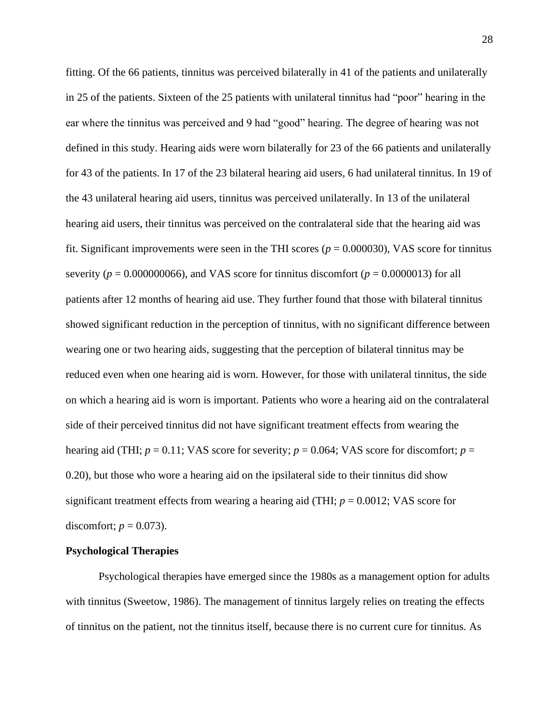fitting. Of the 66 patients, tinnitus was perceived bilaterally in 41 of the patients and unilaterally in 25 of the patients. Sixteen of the 25 patients with unilateral tinnitus had "poor" hearing in the ear where the tinnitus was perceived and 9 had "good" hearing. The degree of hearing was not defined in this study. Hearing aids were worn bilaterally for 23 of the 66 patients and unilaterally for 43 of the patients. In 17 of the 23 bilateral hearing aid users, 6 had unilateral tinnitus. In 19 of the 43 unilateral hearing aid users, tinnitus was perceived unilaterally. In 13 of the unilateral hearing aid users, their tinnitus was perceived on the contralateral side that the hearing aid was fit. Significant improvements were seen in the THI scores ( $p = 0.000030$ ), VAS score for tinnitus severity ( $p = 0.000000066$ ), and VAS score for tinnitus discomfort ( $p = 0.0000013$ ) for all patients after 12 months of hearing aid use. They further found that those with bilateral tinnitus showed significant reduction in the perception of tinnitus, with no significant difference between wearing one or two hearing aids, suggesting that the perception of bilateral tinnitus may be reduced even when one hearing aid is worn. However, for those with unilateral tinnitus, the side on which a hearing aid is worn is important. Patients who wore a hearing aid on the contralateral side of their perceived tinnitus did not have significant treatment effects from wearing the hearing aid (THI;  $p = 0.11$ ; VAS score for severity;  $p = 0.064$ ; VAS score for discomfort;  $p =$ 0.20), but those who wore a hearing aid on the ipsilateral side to their tinnitus did show significant treatment effects from wearing a hearing aid (THI; *p* = 0.0012; VAS score for discomfort;  $p = 0.073$ ).

# **Psychological Therapies**

Psychological therapies have emerged since the 1980s as a management option for adults with tinnitus (Sweetow, 1986). The management of tinnitus largely relies on treating the effects of tinnitus on the patient, not the tinnitus itself, because there is no current cure for tinnitus. As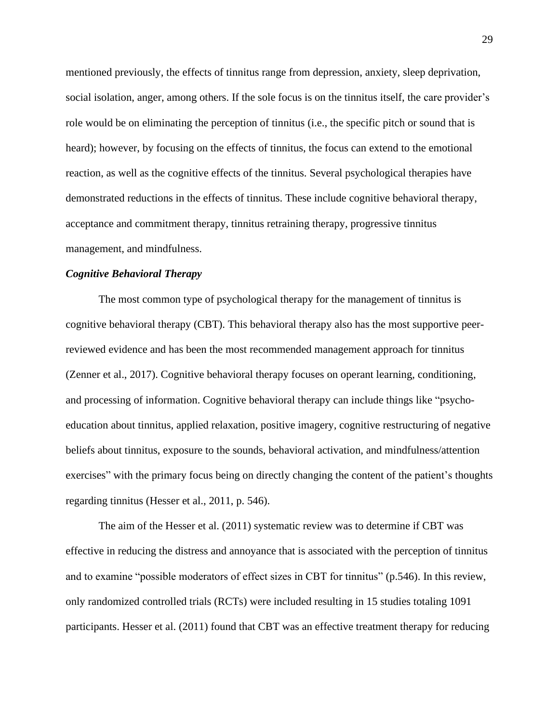mentioned previously, the effects of tinnitus range from depression, anxiety, sleep deprivation, social isolation, anger, among others. If the sole focus is on the tinnitus itself, the care provider's role would be on eliminating the perception of tinnitus (i.e., the specific pitch or sound that is heard); however, by focusing on the effects of tinnitus, the focus can extend to the emotional reaction, as well as the cognitive effects of the tinnitus. Several psychological therapies have demonstrated reductions in the effects of tinnitus. These include cognitive behavioral therapy, acceptance and commitment therapy, tinnitus retraining therapy, progressive tinnitus management, and mindfulness.

### *Cognitive Behavioral Therapy*

The most common type of psychological therapy for the management of tinnitus is cognitive behavioral therapy (CBT). This behavioral therapy also has the most supportive peerreviewed evidence and has been the most recommended management approach for tinnitus (Zenner et al., 2017). Cognitive behavioral therapy focuses on operant learning, conditioning, and processing of information. Cognitive behavioral therapy can include things like "psychoeducation about tinnitus, applied relaxation, positive imagery, cognitive restructuring of negative beliefs about tinnitus, exposure to the sounds, behavioral activation, and mindfulness/attention exercises" with the primary focus being on directly changing the content of the patient's thoughts regarding tinnitus (Hesser et al., 2011, p. 546).

The aim of the Hesser et al. (2011) systematic review was to determine if CBT was effective in reducing the distress and annoyance that is associated with the perception of tinnitus and to examine "possible moderators of effect sizes in CBT for tinnitus" (p.546). In this review, only randomized controlled trials (RCTs) were included resulting in 15 studies totaling 1091 participants. Hesser et al. (2011) found that CBT was an effective treatment therapy for reducing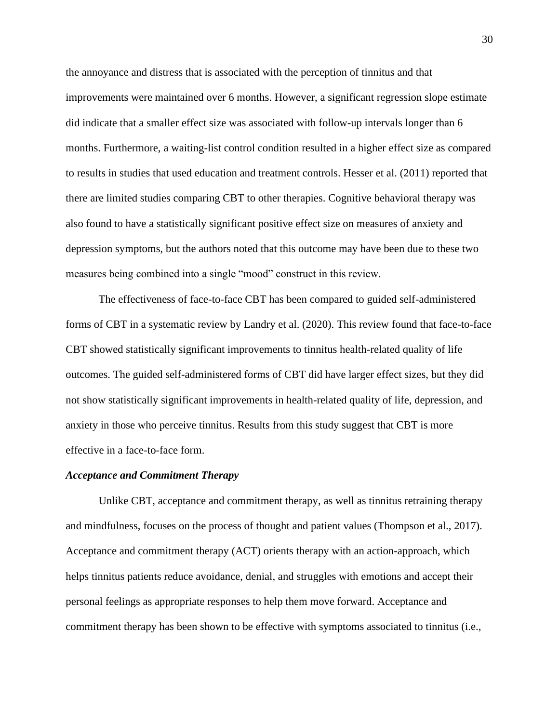the annoyance and distress that is associated with the perception of tinnitus and that improvements were maintained over 6 months. However, a significant regression slope estimate did indicate that a smaller effect size was associated with follow-up intervals longer than 6 months. Furthermore, a waiting-list control condition resulted in a higher effect size as compared to results in studies that used education and treatment controls. Hesser et al. (2011) reported that there are limited studies comparing CBT to other therapies. Cognitive behavioral therapy was also found to have a statistically significant positive effect size on measures of anxiety and depression symptoms, but the authors noted that this outcome may have been due to these two measures being combined into a single "mood" construct in this review.

The effectiveness of face-to-face CBT has been compared to guided self-administered forms of CBT in a systematic review by Landry et al. (2020). This review found that face-to-face CBT showed statistically significant improvements to tinnitus health-related quality of life outcomes. The guided self-administered forms of CBT did have larger effect sizes, but they did not show statistically significant improvements in health-related quality of life, depression, and anxiety in those who perceive tinnitus. Results from this study suggest that CBT is more effective in a face-to-face form.

### *Acceptance and Commitment Therapy*

Unlike CBT, acceptance and commitment therapy, as well as tinnitus retraining therapy and mindfulness, focuses on the process of thought and patient values (Thompson et al., 2017). Acceptance and commitment therapy (ACT) orients therapy with an action-approach, which helps tinnitus patients reduce avoidance, denial, and struggles with emotions and accept their personal feelings as appropriate responses to help them move forward. Acceptance and commitment therapy has been shown to be effective with symptoms associated to tinnitus (i.e.,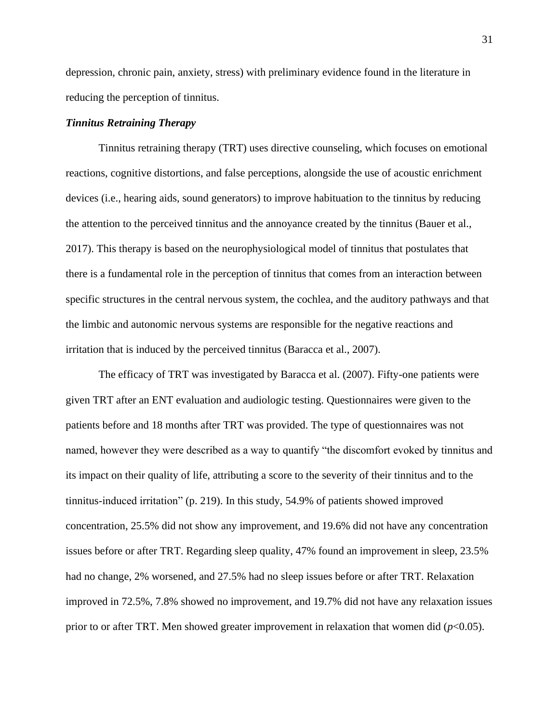depression, chronic pain, anxiety, stress) with preliminary evidence found in the literature in reducing the perception of tinnitus.

# *Tinnitus Retraining Therapy*

Tinnitus retraining therapy (TRT) uses directive counseling, which focuses on emotional reactions, cognitive distortions, and false perceptions, alongside the use of acoustic enrichment devices (i.e., hearing aids, sound generators) to improve habituation to the tinnitus by reducing the attention to the perceived tinnitus and the annoyance created by the tinnitus (Bauer et al., 2017). This therapy is based on the neurophysiological model of tinnitus that postulates that there is a fundamental role in the perception of tinnitus that comes from an interaction between specific structures in the central nervous system, the cochlea, and the auditory pathways and that the limbic and autonomic nervous systems are responsible for the negative reactions and irritation that is induced by the perceived tinnitus (Baracca et al., 2007).

The efficacy of TRT was investigated by Baracca et al. (2007). Fifty-one patients were given TRT after an ENT evaluation and audiologic testing. Questionnaires were given to the patients before and 18 months after TRT was provided. The type of questionnaires was not named, however they were described as a way to quantify "the discomfort evoked by tinnitus and its impact on their quality of life, attributing a score to the severity of their tinnitus and to the tinnitus-induced irritation" (p. 219). In this study, 54.9% of patients showed improved concentration, 25.5% did not show any improvement, and 19.6% did not have any concentration issues before or after TRT. Regarding sleep quality, 47% found an improvement in sleep, 23.5% had no change, 2% worsened, and 27.5% had no sleep issues before or after TRT. Relaxation improved in 72.5%, 7.8% showed no improvement, and 19.7% did not have any relaxation issues prior to or after TRT. Men showed greater improvement in relaxation that women did  $(p<0.05)$ .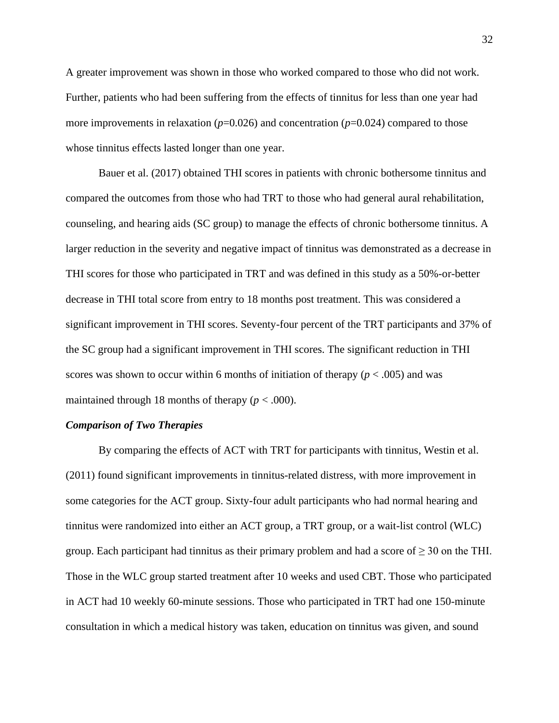A greater improvement was shown in those who worked compared to those who did not work. Further, patients who had been suffering from the effects of tinnitus for less than one year had more improvements in relaxation (*p*=0.026) and concentration (*p*=0.024) compared to those whose tinnitus effects lasted longer than one year.

Bauer et al. (2017) obtained THI scores in patients with chronic bothersome tinnitus and compared the outcomes from those who had TRT to those who had general aural rehabilitation, counseling, and hearing aids (SC group) to manage the effects of chronic bothersome tinnitus. A larger reduction in the severity and negative impact of tinnitus was demonstrated as a decrease in THI scores for those who participated in TRT and was defined in this study as a 50%-or-better decrease in THI total score from entry to 18 months post treatment. This was considered a significant improvement in THI scores. Seventy-four percent of the TRT participants and 37% of the SC group had a significant improvement in THI scores. The significant reduction in THI scores was shown to occur within 6 months of initiation of therapy  $(p < .005)$  and was maintained through 18 months of therapy  $(p < .000)$ .

### *Comparison of Two Therapies*

By comparing the effects of ACT with TRT for participants with tinnitus, Westin et al. (2011) found significant improvements in tinnitus-related distress, with more improvement in some categories for the ACT group. Sixty-four adult participants who had normal hearing and tinnitus were randomized into either an ACT group, a TRT group, or a wait-list control (WLC) group. Each participant had tinnitus as their primary problem and had a score of  $\geq$  30 on the THI. Those in the WLC group started treatment after 10 weeks and used CBT. Those who participated in ACT had 10 weekly 60-minute sessions. Those who participated in TRT had one 150-minute consultation in which a medical history was taken, education on tinnitus was given, and sound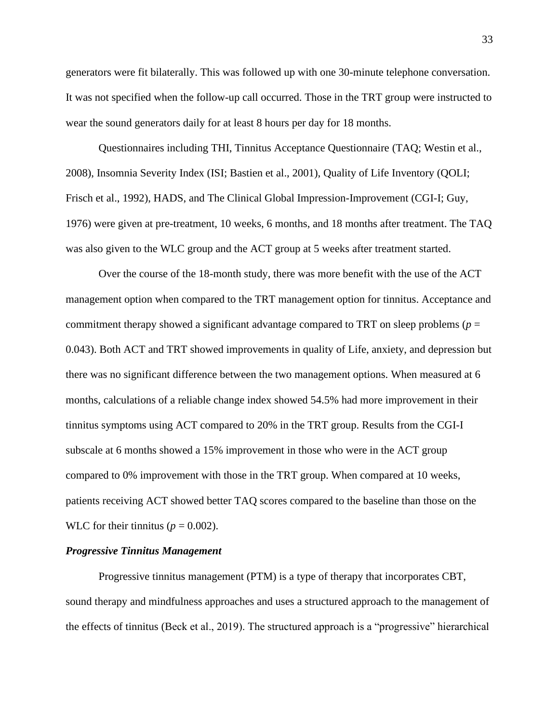generators were fit bilaterally. This was followed up with one 30-minute telephone conversation. It was not specified when the follow-up call occurred. Those in the TRT group were instructed to wear the sound generators daily for at least 8 hours per day for 18 months.

Questionnaires including THI, Tinnitus Acceptance Questionnaire (TAQ; Westin et al., 2008), Insomnia Severity Index (ISI; Bastien et al., 2001), Quality of Life Inventory (QOLI; Frisch et al., 1992), HADS, and The Clinical Global Impression-Improvement (CGI-I; Guy, 1976) were given at pre-treatment, 10 weeks, 6 months, and 18 months after treatment. The TAQ was also given to the WLC group and the ACT group at 5 weeks after treatment started.

Over the course of the 18-month study, there was more benefit with the use of the ACT management option when compared to the TRT management option for tinnitus. Acceptance and commitment therapy showed a significant advantage compared to TRT on sleep problems ( $p =$ 0.043). Both ACT and TRT showed improvements in quality of Life, anxiety, and depression but there was no significant difference between the two management options. When measured at 6 months, calculations of a reliable change index showed 54.5% had more improvement in their tinnitus symptoms using ACT compared to 20% in the TRT group. Results from the CGI-I subscale at 6 months showed a 15% improvement in those who were in the ACT group compared to 0% improvement with those in the TRT group. When compared at 10 weeks, patients receiving ACT showed better TAQ scores compared to the baseline than those on the WLC for their tinnitus ( $p = 0.002$ ).

### *Progressive Tinnitus Management*

Progressive tinnitus management (PTM) is a type of therapy that incorporates CBT, sound therapy and mindfulness approaches and uses a structured approach to the management of the effects of tinnitus (Beck et al., 2019). The structured approach is a "progressive" hierarchical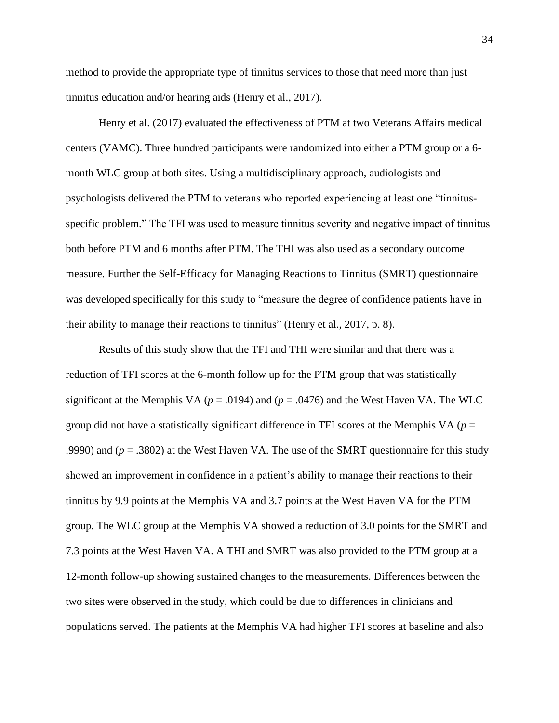method to provide the appropriate type of tinnitus services to those that need more than just tinnitus education and/or hearing aids (Henry et al., 2017).

Henry et al. (2017) evaluated the effectiveness of PTM at two Veterans Affairs medical centers (VAMC). Three hundred participants were randomized into either a PTM group or a 6 month WLC group at both sites. Using a multidisciplinary approach, audiologists and psychologists delivered the PTM to veterans who reported experiencing at least one "tinnitusspecific problem." The TFI was used to measure tinnitus severity and negative impact of tinnitus both before PTM and 6 months after PTM. The THI was also used as a secondary outcome measure. Further the Self-Efficacy for Managing Reactions to Tinnitus (SMRT) questionnaire was developed specifically for this study to "measure the degree of confidence patients have in their ability to manage their reactions to tinnitus" (Henry et al., 2017, p. 8).

Results of this study show that the TFI and THI were similar and that there was a reduction of TFI scores at the 6-month follow up for the PTM group that was statistically significant at the Memphis VA ( $p = .0194$ ) and ( $p = .0476$ ) and the West Haven VA. The WLC group did not have a statistically significant difference in TFI scores at the Memphis VA ( $p =$ .9990) and (*p* = .3802) at the West Haven VA. The use of the SMRT questionnaire for this study showed an improvement in confidence in a patient's ability to manage their reactions to their tinnitus by 9.9 points at the Memphis VA and 3.7 points at the West Haven VA for the PTM group. The WLC group at the Memphis VA showed a reduction of 3.0 points for the SMRT and 7.3 points at the West Haven VA. A THI and SMRT was also provided to the PTM group at a 12-month follow-up showing sustained changes to the measurements. Differences between the two sites were observed in the study, which could be due to differences in clinicians and populations served. The patients at the Memphis VA had higher TFI scores at baseline and also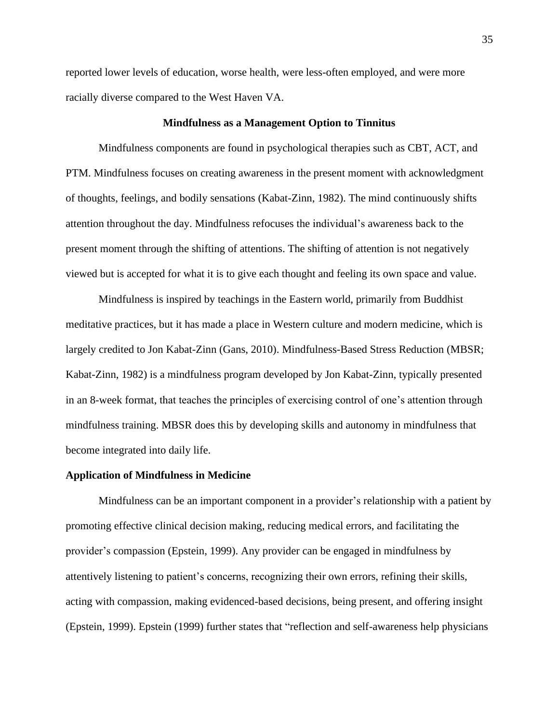reported lower levels of education, worse health, were less-often employed, and were more racially diverse compared to the West Haven VA.

### **Mindfulness as a Management Option to Tinnitus**

Mindfulness components are found in psychological therapies such as CBT, ACT, and PTM. Mindfulness focuses on creating awareness in the present moment with acknowledgment of thoughts, feelings, and bodily sensations (Kabat-Zinn, 1982). The mind continuously shifts attention throughout the day. Mindfulness refocuses the individual's awareness back to the present moment through the shifting of attentions. The shifting of attention is not negatively viewed but is accepted for what it is to give each thought and feeling its own space and value.

Mindfulness is inspired by teachings in the Eastern world, primarily from Buddhist meditative practices, but it has made a place in Western culture and modern medicine, which is largely credited to Jon Kabat-Zinn (Gans, 2010). Mindfulness-Based Stress Reduction (MBSR; Kabat-Zinn, 1982) is a mindfulness program developed by Jon Kabat-Zinn, typically presented in an 8-week format, that teaches the principles of exercising control of one's attention through mindfulness training. MBSR does this by developing skills and autonomy in mindfulness that become integrated into daily life.

## **Application of Mindfulness in Medicine**

Mindfulness can be an important component in a provider's relationship with a patient by promoting effective clinical decision making, reducing medical errors, and facilitating the provider's compassion (Epstein, 1999). Any provider can be engaged in mindfulness by attentively listening to patient's concerns, recognizing their own errors, refining their skills, acting with compassion, making evidenced-based decisions, being present, and offering insight (Epstein, 1999). Epstein (1999) further states that "reflection and self-awareness help physicians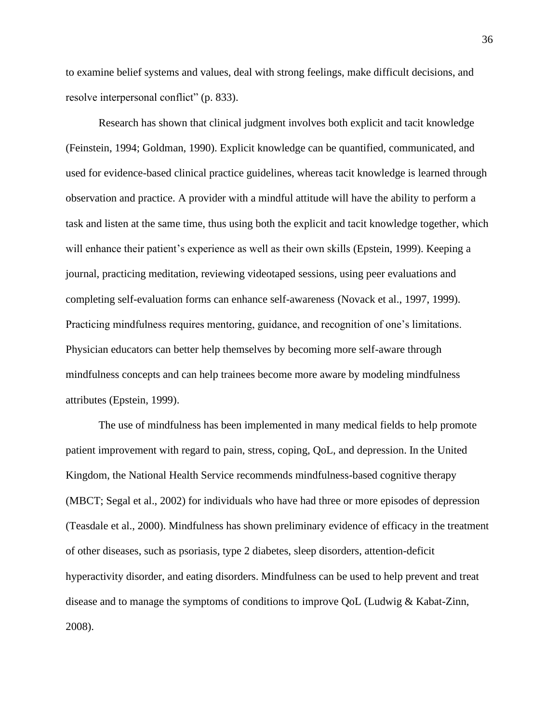to examine belief systems and values, deal with strong feelings, make difficult decisions, and resolve interpersonal conflict" (p. 833).

Research has shown that clinical judgment involves both explicit and tacit knowledge (Feinstein, 1994; Goldman, 1990). Explicit knowledge can be quantified, communicated, and used for evidence-based clinical practice guidelines, whereas tacit knowledge is learned through observation and practice. A provider with a mindful attitude will have the ability to perform a task and listen at the same time, thus using both the explicit and tacit knowledge together, which will enhance their patient's experience as well as their own skills (Epstein, 1999). Keeping a journal, practicing meditation, reviewing videotaped sessions, using peer evaluations and completing self-evaluation forms can enhance self-awareness (Novack et al., 1997, 1999). Practicing mindfulness requires mentoring, guidance, and recognition of one's limitations. Physician educators can better help themselves by becoming more self-aware through mindfulness concepts and can help trainees become more aware by modeling mindfulness attributes (Epstein, 1999).

The use of mindfulness has been implemented in many medical fields to help promote patient improvement with regard to pain, stress, coping, QoL, and depression. In the United Kingdom, the National Health Service recommends mindfulness-based cognitive therapy (MBCT; Segal et al., 2002) for individuals who have had three or more episodes of depression (Teasdale et al., 2000). Mindfulness has shown preliminary evidence of efficacy in the treatment of other diseases, such as psoriasis, type 2 diabetes, sleep disorders, attention-deficit hyperactivity disorder, and eating disorders. Mindfulness can be used to help prevent and treat disease and to manage the symptoms of conditions to improve QoL (Ludwig & Kabat-Zinn, 2008).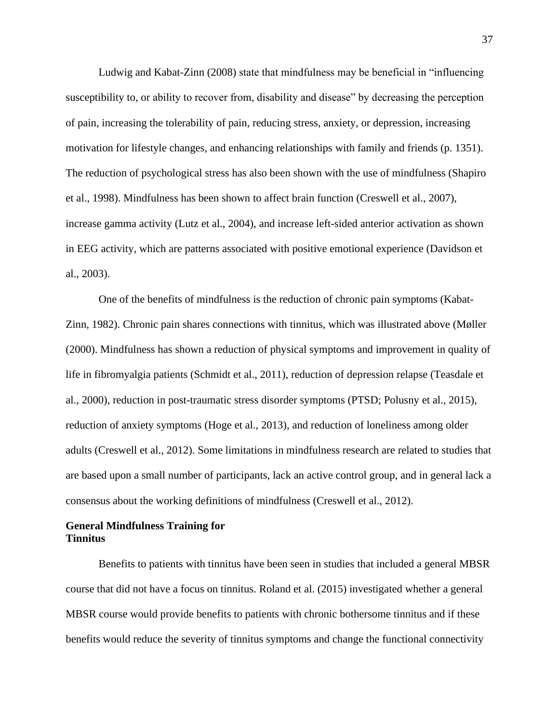Ludwig and Kabat-Zinn (2008) state that mindfulness may be beneficial in "influencing susceptibility to, or ability to recover from, disability and disease" by decreasing the perception of pain, increasing the tolerability of pain, reducing stress, anxiety, or depression, increasing motivation for lifestyle changes, and enhancing relationships with family and friends (p. 1351). The reduction of psychological stress has also been shown with the use of mindfulness (Shapiro et al., 1998). Mindfulness has been shown to affect brain function (Creswell et al., 2007), increase gamma activity (Lutz et al., 2004), and increase left-sided anterior activation as shown in EEG activity, which are patterns associated with positive emotional experience (Davidson et al., 2003).

One of the benefits of mindfulness is the reduction of chronic pain symptoms (Kabat-Zinn, 1982). Chronic pain shares connections with tinnitus, which was illustrated above (Møller (2000). Mindfulness has shown a reduction of physical symptoms and improvement in quality of life in fibromyalgia patients (Schmidt et al., 2011), reduction of depression relapse (Teasdale et al., 2000), reduction in post-traumatic stress disorder symptoms (PTSD; Polusny et al., 2015), reduction of anxiety symptoms (Hoge et al., 2013), and reduction of loneliness among older adults (Creswell et al., 2012). Some limitations in mindfulness research are related to studies that are based upon a small number of participants, lack an active control group, and in general lack a consensus about the working definitions of mindfulness (Creswell et al., 2012).

# **General Mindfulness Training for Tinnitus**

Benefits to patients with tinnitus have been seen in studies that included a general MBSR course that did not have a focus on tinnitus. Roland et al. (2015) investigated whether a general MBSR course would provide benefits to patients with chronic bothersome tinnitus and if these benefits would reduce the severity of tinnitus symptoms and change the functional connectivity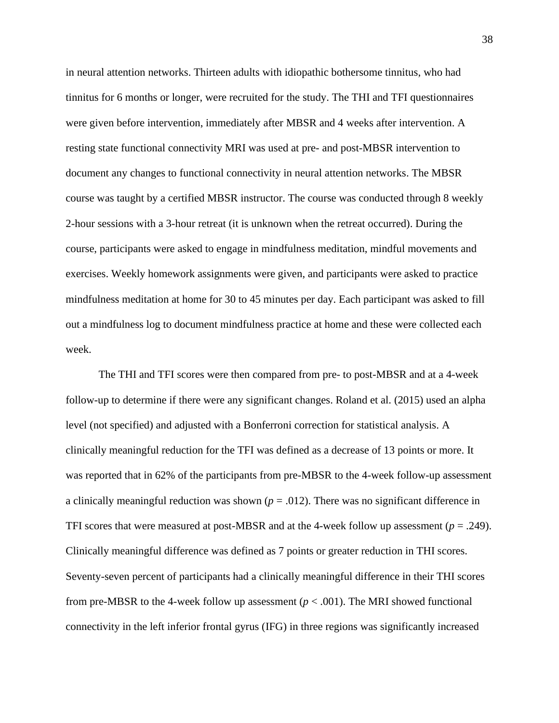in neural attention networks. Thirteen adults with idiopathic bothersome tinnitus, who had tinnitus for 6 months or longer, were recruited for the study. The THI and TFI questionnaires were given before intervention, immediately after MBSR and 4 weeks after intervention. A resting state functional connectivity MRI was used at pre- and post-MBSR intervention to document any changes to functional connectivity in neural attention networks. The MBSR course was taught by a certified MBSR instructor. The course was conducted through 8 weekly 2-hour sessions with a 3-hour retreat (it is unknown when the retreat occurred). During the course, participants were asked to engage in mindfulness meditation, mindful movements and exercises. Weekly homework assignments were given, and participants were asked to practice mindfulness meditation at home for 30 to 45 minutes per day. Each participant was asked to fill out a mindfulness log to document mindfulness practice at home and these were collected each week.

The THI and TFI scores were then compared from pre- to post-MBSR and at a 4-week follow-up to determine if there were any significant changes. Roland et al. (2015) used an alpha level (not specified) and adjusted with a Bonferroni correction for statistical analysis. A clinically meaningful reduction for the TFI was defined as a decrease of 13 points or more. It was reported that in 62% of the participants from pre-MBSR to the 4-week follow-up assessment a clinically meaningful reduction was shown  $(p = .012)$ . There was no significant difference in TFI scores that were measured at post-MBSR and at the 4-week follow up assessment ( $p = .249$ ). Clinically meaningful difference was defined as 7 points or greater reduction in THI scores. Seventy-seven percent of participants had a clinically meaningful difference in their THI scores from pre-MBSR to the 4-week follow up assessment  $(p < .001)$ . The MRI showed functional connectivity in the left inferior frontal gyrus (IFG) in three regions was significantly increased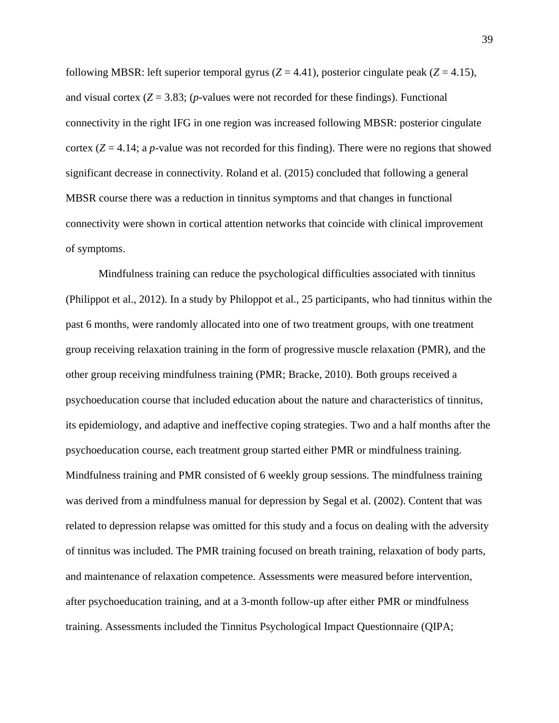following MBSR: left superior temporal gyrus  $(Z = 4.41)$ , posterior cingulate peak  $(Z = 4.15)$ , and visual cortex  $(Z = 3.83$ ; (*p*-values were not recorded for these findings). Functional connectivity in the right IFG in one region was increased following MBSR: posterior cingulate cortex  $(Z = 4.14$ ; a *p*-value was not recorded for this finding). There were no regions that showed significant decrease in connectivity. Roland et al. (2015) concluded that following a general MBSR course there was a reduction in tinnitus symptoms and that changes in functional connectivity were shown in cortical attention networks that coincide with clinical improvement of symptoms.

Mindfulness training can reduce the psychological difficulties associated with tinnitus (Philippot et al., 2012). In a study by Philoppot et al., 25 participants, who had tinnitus within the past 6 months, were randomly allocated into one of two treatment groups, with one treatment group receiving relaxation training in the form of progressive muscle relaxation (PMR), and the other group receiving mindfulness training (PMR; Bracke, 2010). Both groups received a psychoeducation course that included education about the nature and characteristics of tinnitus, its epidemiology, and adaptive and ineffective coping strategies. Two and a half months after the psychoeducation course, each treatment group started either PMR or mindfulness training. Mindfulness training and PMR consisted of 6 weekly group sessions. The mindfulness training was derived from a mindfulness manual for depression by Segal et al. (2002). Content that was related to depression relapse was omitted for this study and a focus on dealing with the adversity of tinnitus was included. The PMR training focused on breath training, relaxation of body parts, and maintenance of relaxation competence. Assessments were measured before intervention, after psychoeducation training, and at a 3-month follow-up after either PMR or mindfulness training. Assessments included the Tinnitus Psychological Impact Questionnaire (QIPA;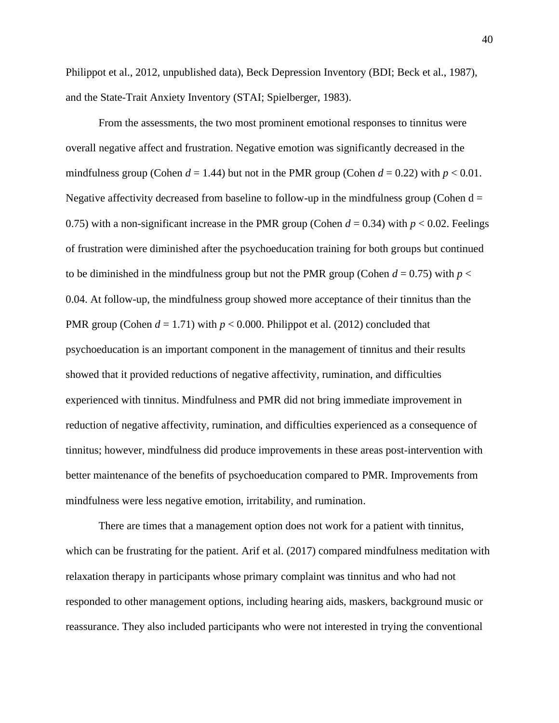Philippot et al., 2012, unpublished data), Beck Depression Inventory (BDI; Beck et al., 1987), and the State-Trait Anxiety Inventory (STAI; Spielberger, 1983).

From the assessments, the two most prominent emotional responses to tinnitus were overall negative affect and frustration. Negative emotion was significantly decreased in the mindfulness group (Cohen  $d = 1.44$ ) but not in the PMR group (Cohen  $d = 0.22$ ) with  $p < 0.01$ . Negative affectivity decreased from baseline to follow-up in the mindfulness group (Cohen  $d =$ 0.75) with a non-significant increase in the PMR group (Cohen  $d = 0.34$ ) with  $p < 0.02$ . Feelings of frustration were diminished after the psychoeducation training for both groups but continued to be diminished in the mindfulness group but not the PMR group (Cohen  $d = 0.75$ ) with  $p <$ 0.04. At follow-up, the mindfulness group showed more acceptance of their tinnitus than the PMR group (Cohen  $d = 1.71$ ) with  $p < 0.000$ . Philippot et al. (2012) concluded that psychoeducation is an important component in the management of tinnitus and their results showed that it provided reductions of negative affectivity, rumination, and difficulties experienced with tinnitus. Mindfulness and PMR did not bring immediate improvement in reduction of negative affectivity, rumination, and difficulties experienced as a consequence of tinnitus; however, mindfulness did produce improvements in these areas post-intervention with better maintenance of the benefits of psychoeducation compared to PMR. Improvements from mindfulness were less negative emotion, irritability, and rumination.

There are times that a management option does not work for a patient with tinnitus, which can be frustrating for the patient. Arif et al. (2017) compared mindfulness meditation with relaxation therapy in participants whose primary complaint was tinnitus and who had not responded to other management options, including hearing aids, maskers, background music or reassurance. They also included participants who were not interested in trying the conventional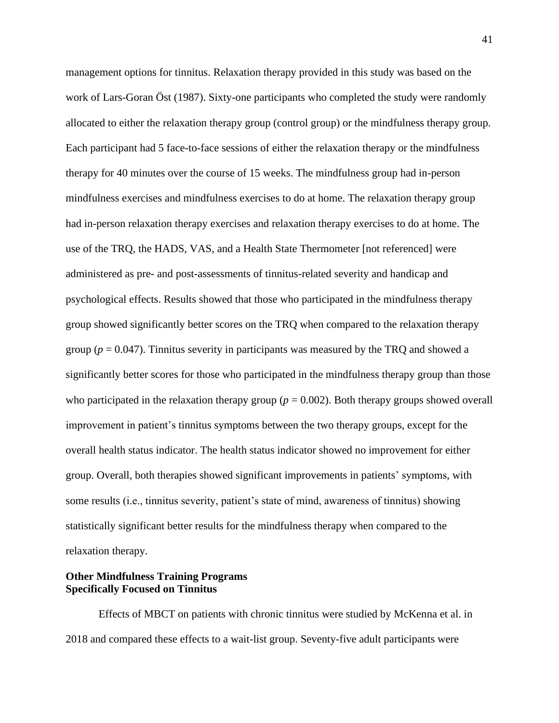management options for tinnitus. Relaxation therapy provided in this study was based on the work of Lars-Goran Öst (1987). Sixty-one participants who completed the study were randomly allocated to either the relaxation therapy group (control group) or the mindfulness therapy group. Each participant had 5 face-to-face sessions of either the relaxation therapy or the mindfulness therapy for 40 minutes over the course of 15 weeks. The mindfulness group had in-person mindfulness exercises and mindfulness exercises to do at home. The relaxation therapy group had in-person relaxation therapy exercises and relaxation therapy exercises to do at home. The use of the TRQ, the HADS, VAS, and a Health State Thermometer [not referenced] were administered as pre- and post-assessments of tinnitus-related severity and handicap and psychological effects. Results showed that those who participated in the mindfulness therapy group showed significantly better scores on the TRQ when compared to the relaxation therapy group ( $p = 0.047$ ). Tinnitus severity in participants was measured by the TRQ and showed a significantly better scores for those who participated in the mindfulness therapy group than those who participated in the relaxation therapy group ( $p = 0.002$ ). Both therapy groups showed overall improvement in patient's tinnitus symptoms between the two therapy groups, except for the overall health status indicator. The health status indicator showed no improvement for either group. Overall, both therapies showed significant improvements in patients' symptoms, with some results (i.e., tinnitus severity, patient's state of mind, awareness of tinnitus) showing statistically significant better results for the mindfulness therapy when compared to the relaxation therapy.

# **Other Mindfulness Training Programs Specifically Focused on Tinnitus**

Effects of MBCT on patients with chronic tinnitus were studied by McKenna et al. in 2018 and compared these effects to a wait-list group. Seventy-five adult participants were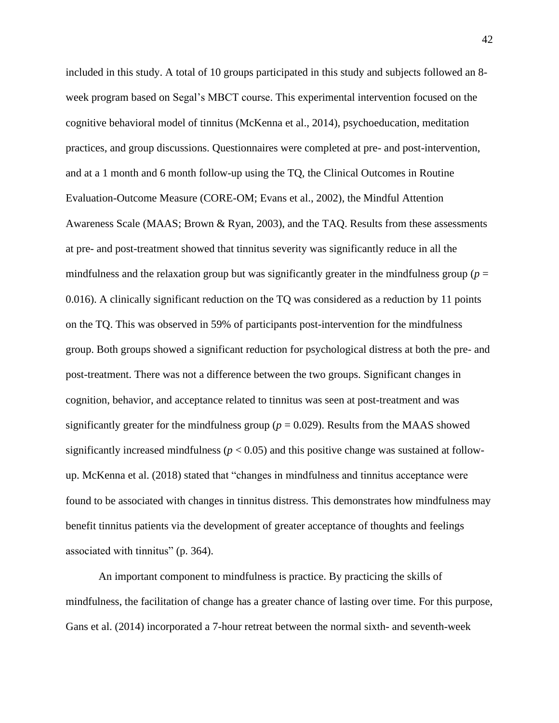included in this study. A total of 10 groups participated in this study and subjects followed an 8 week program based on Segal's MBCT course. This experimental intervention focused on the cognitive behavioral model of tinnitus (McKenna et al., 2014), psychoeducation, meditation practices, and group discussions. Questionnaires were completed at pre- and post-intervention, and at a 1 month and 6 month follow-up using the TQ, the Clinical Outcomes in Routine Evaluation-Outcome Measure (CORE-OM; Evans et al., 2002), the Mindful Attention Awareness Scale (MAAS; Brown & Ryan, 2003), and the TAQ. Results from these assessments at pre- and post-treatment showed that tinnitus severity was significantly reduce in all the mindfulness and the relaxation group but was significantly greater in the mindfulness group ( $p =$ 0.016). A clinically significant reduction on the TQ was considered as a reduction by 11 points on the TQ. This was observed in 59% of participants post-intervention for the mindfulness group. Both groups showed a significant reduction for psychological distress at both the pre- and post-treatment. There was not a difference between the two groups. Significant changes in cognition, behavior, and acceptance related to tinnitus was seen at post-treatment and was significantly greater for the mindfulness group ( $p = 0.029$ ). Results from the MAAS showed significantly increased mindfulness ( $p < 0.05$ ) and this positive change was sustained at followup. McKenna et al. (2018) stated that "changes in mindfulness and tinnitus acceptance were found to be associated with changes in tinnitus distress. This demonstrates how mindfulness may benefit tinnitus patients via the development of greater acceptance of thoughts and feelings associated with tinnitus" (p. 364).

An important component to mindfulness is practice. By practicing the skills of mindfulness, the facilitation of change has a greater chance of lasting over time. For this purpose, Gans et al. (2014) incorporated a 7-hour retreat between the normal sixth- and seventh-week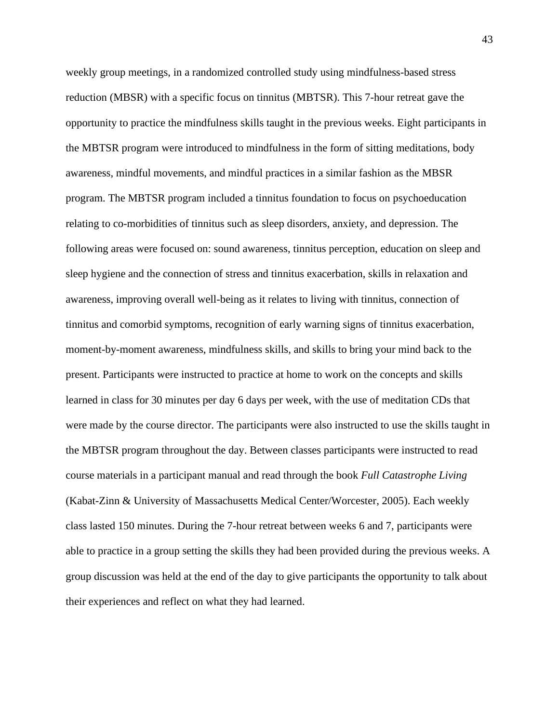weekly group meetings, in a randomized controlled study using mindfulness-based stress reduction (MBSR) with a specific focus on tinnitus (MBTSR). This 7-hour retreat gave the opportunity to practice the mindfulness skills taught in the previous weeks. Eight participants in the MBTSR program were introduced to mindfulness in the form of sitting meditations, body awareness, mindful movements, and mindful practices in a similar fashion as the MBSR program. The MBTSR program included a tinnitus foundation to focus on psychoeducation relating to co-morbidities of tinnitus such as sleep disorders, anxiety, and depression. The following areas were focused on: sound awareness, tinnitus perception, education on sleep and sleep hygiene and the connection of stress and tinnitus exacerbation, skills in relaxation and awareness, improving overall well-being as it relates to living with tinnitus, connection of tinnitus and comorbid symptoms, recognition of early warning signs of tinnitus exacerbation, moment-by-moment awareness, mindfulness skills, and skills to bring your mind back to the present. Participants were instructed to practice at home to work on the concepts and skills learned in class for 30 minutes per day 6 days per week, with the use of meditation CDs that were made by the course director. The participants were also instructed to use the skills taught in the MBTSR program throughout the day. Between classes participants were instructed to read course materials in a participant manual and read through the book *Full Catastrophe Living* (Kabat-Zinn & University of Massachusetts Medical Center/Worcester, 2005). Each weekly class lasted 150 minutes. During the 7-hour retreat between weeks 6 and 7, participants were able to practice in a group setting the skills they had been provided during the previous weeks. A group discussion was held at the end of the day to give participants the opportunity to talk about their experiences and reflect on what they had learned.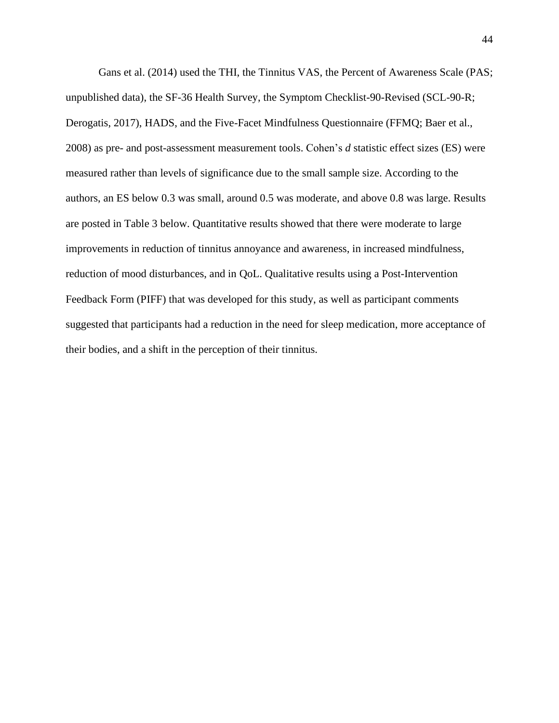Gans et al. (2014) used the THI, the Tinnitus VAS, the Percent of Awareness Scale (PAS; unpublished data), the SF-36 Health Survey, the Symptom Checklist-90-Revised (SCL-90-R; Derogatis, 2017), HADS, and the Five-Facet Mindfulness Questionnaire (FFMQ; Baer et al., 2008) as pre- and post-assessment measurement tools. Cohen's *d* statistic effect sizes (ES) were measured rather than levels of significance due to the small sample size. According to the authors, an ES below 0.3 was small, around 0.5 was moderate, and above 0.8 was large. Results are posted in Table 3 below. Quantitative results showed that there were moderate to large improvements in reduction of tinnitus annoyance and awareness, in increased mindfulness, reduction of mood disturbances, and in QoL. Qualitative results using a Post-Intervention Feedback Form (PIFF) that was developed for this study, as well as participant comments suggested that participants had a reduction in the need for sleep medication, more acceptance of their bodies, and a shift in the perception of their tinnitus.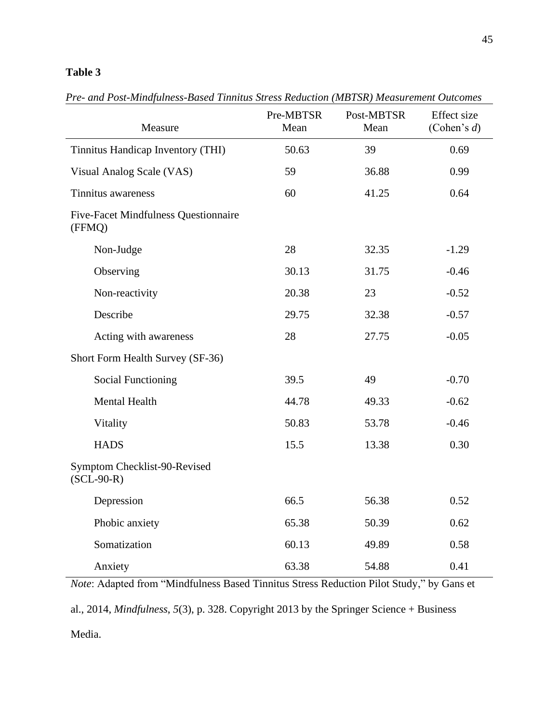# **Table 3**

| Measure                                               | Pre-MBTSR<br>Mean | Post-MBTSR<br>Mean | <b>Effect</b> size<br>(Cohen's $d$ ) |
|-------------------------------------------------------|-------------------|--------------------|--------------------------------------|
| Tinnitus Handicap Inventory (THI)                     | 50.63             | 39                 | 0.69                                 |
| Visual Analog Scale (VAS)                             | 59                | 36.88              | 0.99                                 |
| Tinnitus awareness                                    | 60                | 41.25              | 0.64                                 |
| <b>Five-Facet Mindfulness Questionnaire</b><br>(FFMQ) |                   |                    |                                      |
| Non-Judge                                             | 28                | 32.35              | $-1.29$                              |
| Observing                                             | 30.13             | 31.75              | $-0.46$                              |
| Non-reactivity                                        | 20.38             | 23                 | $-0.52$                              |
| Describe                                              | 29.75             | 32.38              | $-0.57$                              |
| Acting with awareness                                 | 28                | 27.75              | $-0.05$                              |
| Short Form Health Survey (SF-36)                      |                   |                    |                                      |
| <b>Social Functioning</b>                             | 39.5              | 49                 | $-0.70$                              |
| Mental Health                                         | 44.78             | 49.33              | $-0.62$                              |
| Vitality                                              | 50.83             | 53.78              | $-0.46$                              |
| <b>HADS</b>                                           | 15.5              | 13.38              | 0.30                                 |
| Symptom Checklist-90-Revised<br>$(SCL-90-R)$          |                   |                    |                                      |
| Depression                                            | 66.5              | 56.38              | 0.52                                 |
| Phobic anxiety                                        | 65.38             | 50.39              | 0.62                                 |
| Somatization                                          | 60.13             | 49.89              | 0.58                                 |
| Anxiety                                               | 63.38             | 54.88              | 0.41                                 |

*Pre- and Post-Mindfulness-Based Tinnitus Stress Reduction (MBTSR) Measurement Outcomes*

*Note*: Adapted from "Mindfulness Based Tinnitus Stress Reduction Pilot Study," by Gans et

al., 2014, *Mindfulness*, *5*(3), p. 328. Copyright 2013 by the Springer Science + Business Media.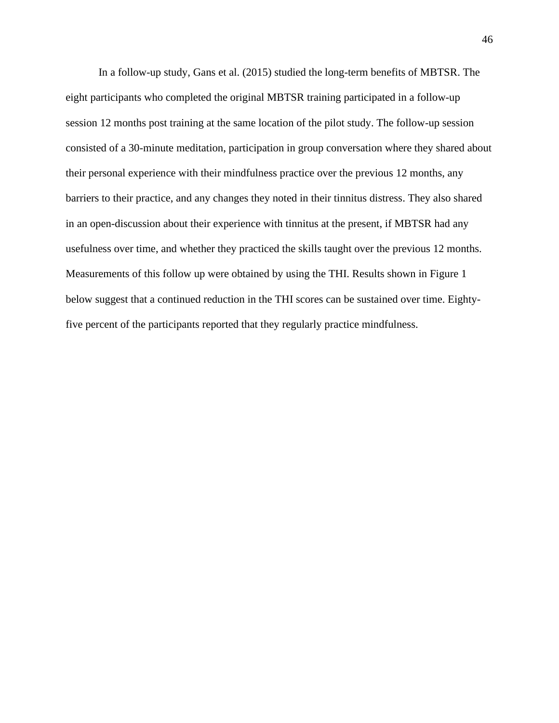In a follow-up study, Gans et al. (2015) studied the long-term benefits of MBTSR. The eight participants who completed the original MBTSR training participated in a follow-up session 12 months post training at the same location of the pilot study. The follow-up session consisted of a 30-minute meditation, participation in group conversation where they shared about their personal experience with their mindfulness practice over the previous 12 months, any barriers to their practice, and any changes they noted in their tinnitus distress. They also shared in an open-discussion about their experience with tinnitus at the present, if MBTSR had any usefulness over time, and whether they practiced the skills taught over the previous 12 months. Measurements of this follow up were obtained by using the THI. Results shown in Figure 1 below suggest that a continued reduction in the THI scores can be sustained over time. Eightyfive percent of the participants reported that they regularly practice mindfulness.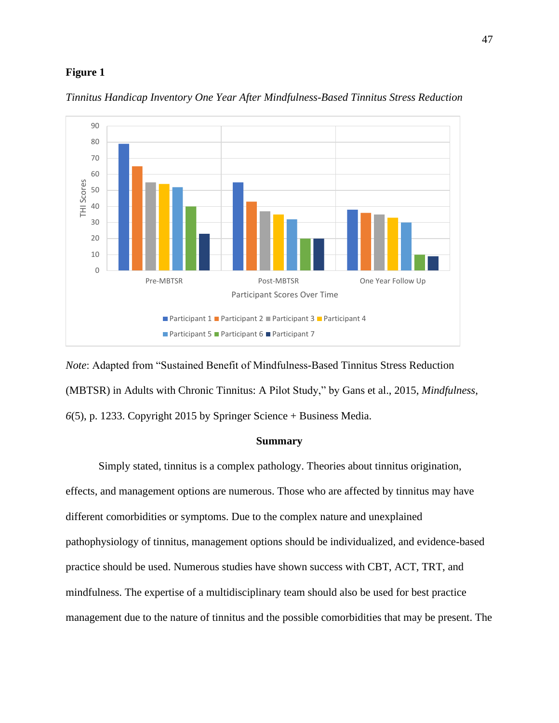## **Figure 1**



*Tinnitus Handicap Inventory One Year After Mindfulness-Based Tinnitus Stress Reduction*

*Note*: Adapted from "Sustained Benefit of Mindfulness-Based Tinnitus Stress Reduction (MBTSR) in Adults with Chronic Tinnitus: A Pilot Study," by Gans et al., 2015, *Mindfulness*, *6*(5), p. 1233. Copyright 2015 by Springer Science + Business Media.

## **Summary**

Simply stated, tinnitus is a complex pathology. Theories about tinnitus origination, effects, and management options are numerous. Those who are affected by tinnitus may have different comorbidities or symptoms. Due to the complex nature and unexplained pathophysiology of tinnitus, management options should be individualized, and evidence-based practice should be used. Numerous studies have shown success with CBT, ACT, TRT, and mindfulness. The expertise of a multidisciplinary team should also be used for best practice management due to the nature of tinnitus and the possible comorbidities that may be present. The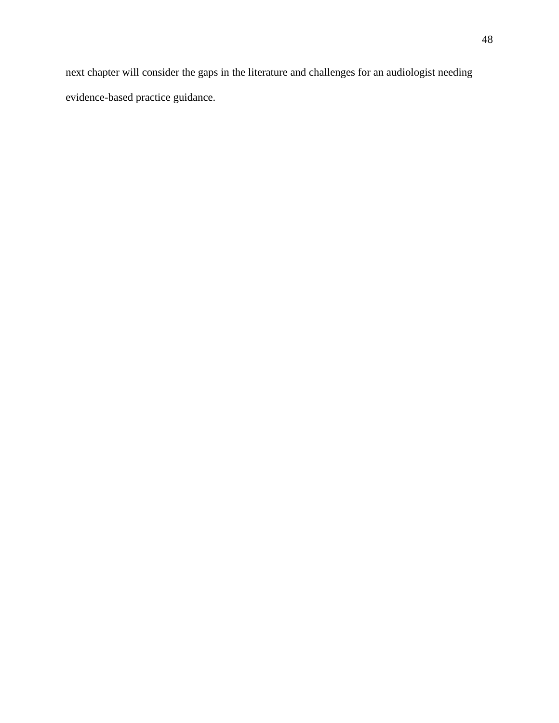next chapter will consider the gaps in the literature and challenges for an audiologist needing evidence-based practice guidance.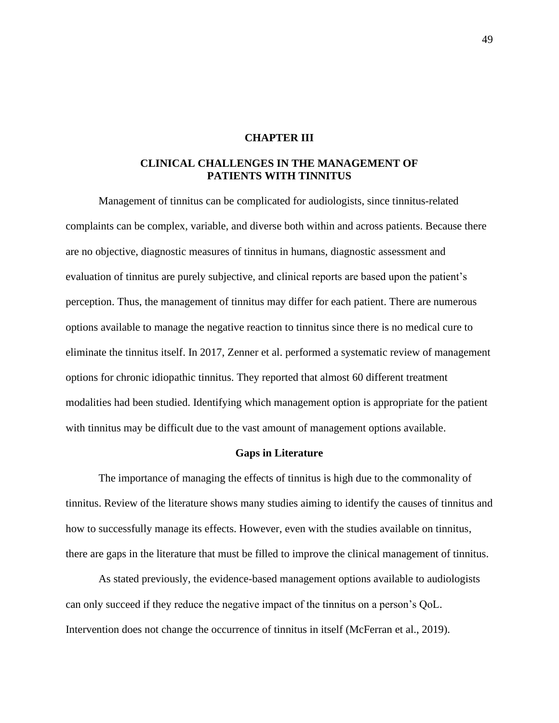# **CHAPTER III**

# **CLINICAL CHALLENGES IN THE MANAGEMENT OF PATIENTS WITH TINNITUS**

Management of tinnitus can be complicated for audiologists, since tinnitus-related complaints can be complex, variable, and diverse both within and across patients. Because there are no objective, diagnostic measures of tinnitus in humans, diagnostic assessment and evaluation of tinnitus are purely subjective, and clinical reports are based upon the patient's perception. Thus, the management of tinnitus may differ for each patient. There are numerous options available to manage the negative reaction to tinnitus since there is no medical cure to eliminate the tinnitus itself. In 2017, Zenner et al. performed a systematic review of management options for chronic idiopathic tinnitus. They reported that almost 60 different treatment modalities had been studied. Identifying which management option is appropriate for the patient with tinnitus may be difficult due to the vast amount of management options available.

# **Gaps in Literature**

The importance of managing the effects of tinnitus is high due to the commonality of tinnitus. Review of the literature shows many studies aiming to identify the causes of tinnitus and how to successfully manage its effects. However, even with the studies available on tinnitus, there are gaps in the literature that must be filled to improve the clinical management of tinnitus.

As stated previously, the evidence-based management options available to audiologists can only succeed if they reduce the negative impact of the tinnitus on a person's QoL. Intervention does not change the occurrence of tinnitus in itself (McFerran et al., 2019).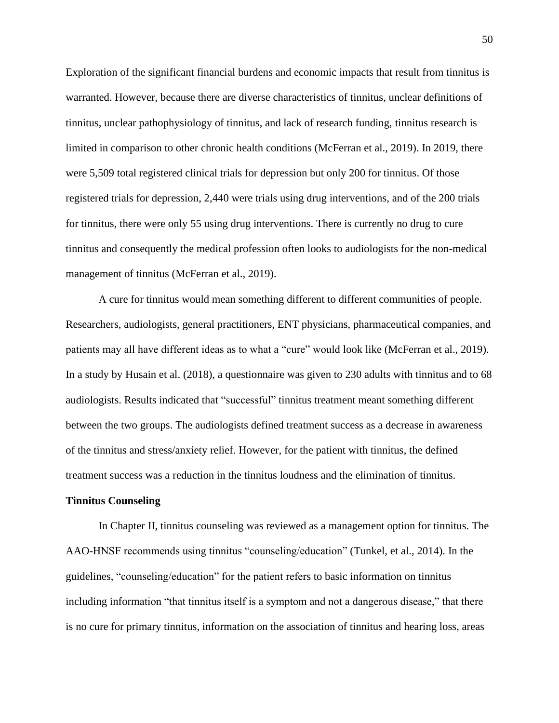Exploration of the significant financial burdens and economic impacts that result from tinnitus is warranted. However, because there are diverse characteristics of tinnitus, unclear definitions of tinnitus, unclear pathophysiology of tinnitus, and lack of research funding, tinnitus research is limited in comparison to other chronic health conditions (McFerran et al., 2019). In 2019, there were 5,509 total registered clinical trials for depression but only 200 for tinnitus. Of those registered trials for depression, 2,440 were trials using drug interventions, and of the 200 trials for tinnitus, there were only 55 using drug interventions. There is currently no drug to cure tinnitus and consequently the medical profession often looks to audiologists for the non-medical management of tinnitus (McFerran et al., 2019).

A cure for tinnitus would mean something different to different communities of people. Researchers, audiologists, general practitioners, ENT physicians, pharmaceutical companies, and patients may all have different ideas as to what a "cure" would look like (McFerran et al., 2019). In a study by Husain et al. (2018), a questionnaire was given to 230 adults with tinnitus and to 68 audiologists. Results indicated that "successful" tinnitus treatment meant something different between the two groups. The audiologists defined treatment success as a decrease in awareness of the tinnitus and stress/anxiety relief. However, for the patient with tinnitus, the defined treatment success was a reduction in the tinnitus loudness and the elimination of tinnitus.

### **Tinnitus Counseling**

In Chapter II, tinnitus counseling was reviewed as a management option for tinnitus. The AAO-HNSF recommends using tinnitus "counseling/education" (Tunkel, et al., 2014). In the guidelines, "counseling/education" for the patient refers to basic information on tinnitus including information "that tinnitus itself is a symptom and not a dangerous disease," that there is no cure for primary tinnitus, information on the association of tinnitus and hearing loss, areas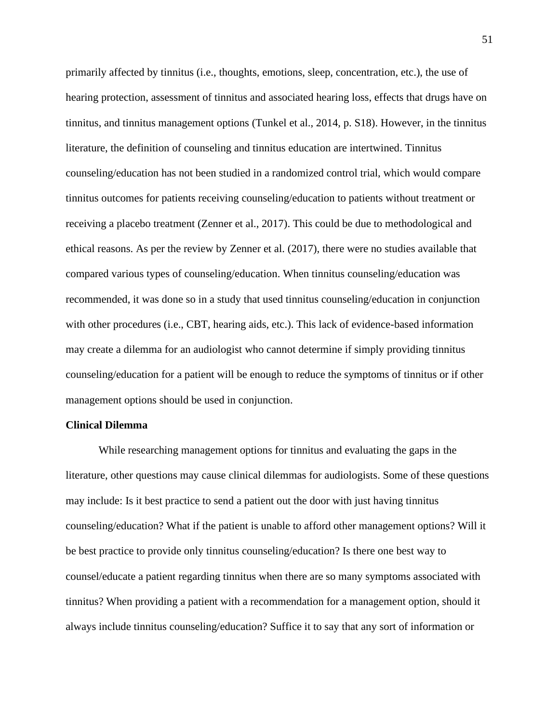primarily affected by tinnitus (i.e., thoughts, emotions, sleep, concentration, etc.), the use of hearing protection, assessment of tinnitus and associated hearing loss, effects that drugs have on tinnitus, and tinnitus management options (Tunkel et al., 2014, p. S18). However, in the tinnitus literature, the definition of counseling and tinnitus education are intertwined. Tinnitus counseling/education has not been studied in a randomized control trial, which would compare tinnitus outcomes for patients receiving counseling/education to patients without treatment or receiving a placebo treatment (Zenner et al., 2017). This could be due to methodological and ethical reasons. As per the review by Zenner et al. (2017), there were no studies available that compared various types of counseling/education. When tinnitus counseling/education was recommended, it was done so in a study that used tinnitus counseling/education in conjunction with other procedures (i.e., CBT, hearing aids, etc.). This lack of evidence-based information may create a dilemma for an audiologist who cannot determine if simply providing tinnitus counseling/education for a patient will be enough to reduce the symptoms of tinnitus or if other management options should be used in conjunction.

### **Clinical Dilemma**

While researching management options for tinnitus and evaluating the gaps in the literature, other questions may cause clinical dilemmas for audiologists. Some of these questions may include: Is it best practice to send a patient out the door with just having tinnitus counseling/education? What if the patient is unable to afford other management options? Will it be best practice to provide only tinnitus counseling/education? Is there one best way to counsel/educate a patient regarding tinnitus when there are so many symptoms associated with tinnitus? When providing a patient with a recommendation for a management option, should it always include tinnitus counseling/education? Suffice it to say that any sort of information or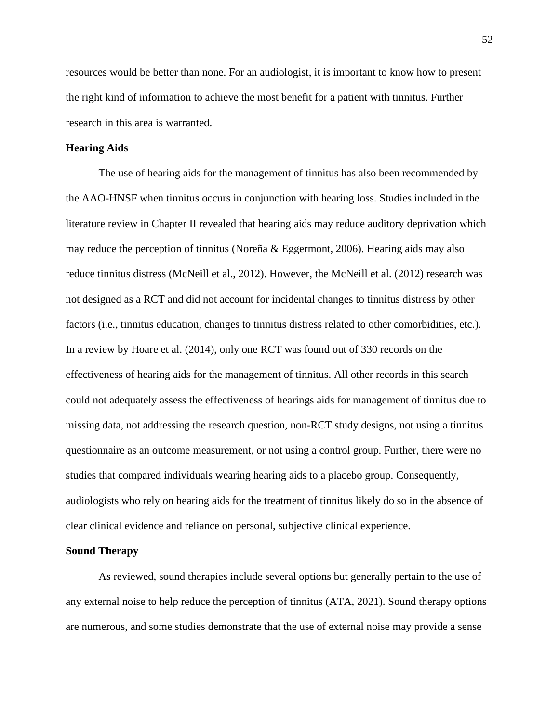resources would be better than none. For an audiologist, it is important to know how to present the right kind of information to achieve the most benefit for a patient with tinnitus. Further research in this area is warranted.

# **Hearing Aids**

The use of hearing aids for the management of tinnitus has also been recommended by the AAO-HNSF when tinnitus occurs in conjunction with hearing loss. Studies included in the literature review in Chapter II revealed that hearing aids may reduce auditory deprivation which may reduce the perception of tinnitus (Noreña & Eggermont, 2006). Hearing aids may also reduce tinnitus distress (McNeill et al., 2012). However, the McNeill et al. (2012) research was not designed as a RCT and did not account for incidental changes to tinnitus distress by other factors (i.e., tinnitus education, changes to tinnitus distress related to other comorbidities, etc.). In a review by Hoare et al. (2014), only one RCT was found out of 330 records on the effectiveness of hearing aids for the management of tinnitus. All other records in this search could not adequately assess the effectiveness of hearings aids for management of tinnitus due to missing data, not addressing the research question, non-RCT study designs, not using a tinnitus questionnaire as an outcome measurement, or not using a control group. Further, there were no studies that compared individuals wearing hearing aids to a placebo group. Consequently, audiologists who rely on hearing aids for the treatment of tinnitus likely do so in the absence of clear clinical evidence and reliance on personal, subjective clinical experience.

#### **Sound Therapy**

As reviewed, sound therapies include several options but generally pertain to the use of any external noise to help reduce the perception of tinnitus (ATA, 2021). Sound therapy options are numerous, and some studies demonstrate that the use of external noise may provide a sense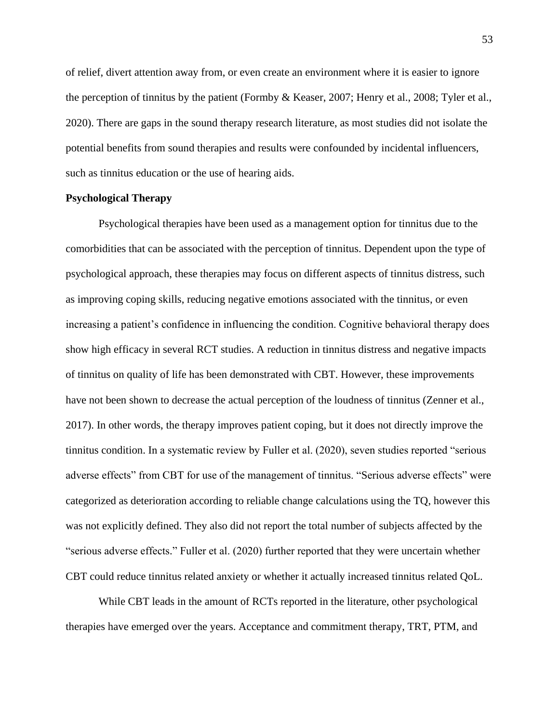of relief, divert attention away from, or even create an environment where it is easier to ignore the perception of tinnitus by the patient (Formby & Keaser, 2007; Henry et al., 2008; Tyler et al., 2020). There are gaps in the sound therapy research literature, as most studies did not isolate the potential benefits from sound therapies and results were confounded by incidental influencers, such as tinnitus education or the use of hearing aids.

# **Psychological Therapy**

Psychological therapies have been used as a management option for tinnitus due to the comorbidities that can be associated with the perception of tinnitus. Dependent upon the type of psychological approach, these therapies may focus on different aspects of tinnitus distress, such as improving coping skills, reducing negative emotions associated with the tinnitus, or even increasing a patient's confidence in influencing the condition. Cognitive behavioral therapy does show high efficacy in several RCT studies. A reduction in tinnitus distress and negative impacts of tinnitus on quality of life has been demonstrated with CBT. However, these improvements have not been shown to decrease the actual perception of the loudness of tinnitus (Zenner et al., 2017). In other words, the therapy improves patient coping, but it does not directly improve the tinnitus condition. In a systematic review by Fuller et al. (2020), seven studies reported "serious adverse effects" from CBT for use of the management of tinnitus. "Serious adverse effects" were categorized as deterioration according to reliable change calculations using the TQ, however this was not explicitly defined. They also did not report the total number of subjects affected by the "serious adverse effects." Fuller et al. (2020) further reported that they were uncertain whether CBT could reduce tinnitus related anxiety or whether it actually increased tinnitus related QoL.

While CBT leads in the amount of RCTs reported in the literature, other psychological therapies have emerged over the years. Acceptance and commitment therapy, TRT, PTM, and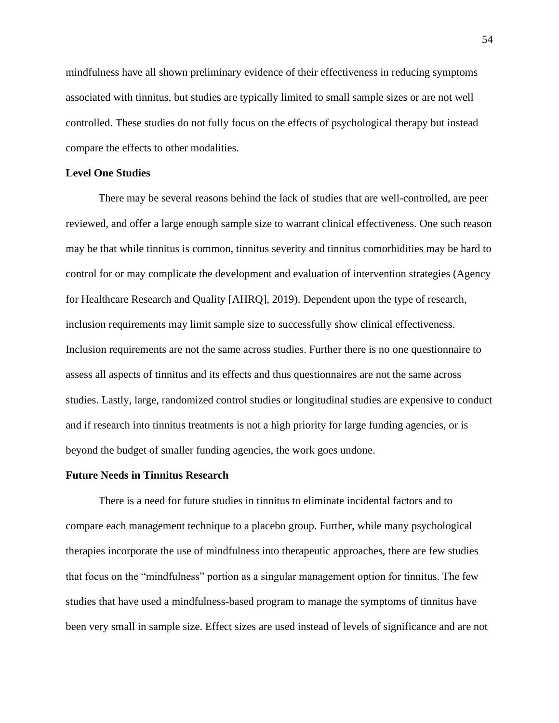mindfulness have all shown preliminary evidence of their effectiveness in reducing symptoms associated with tinnitus, but studies are typically limited to small sample sizes or are not well controlled. These studies do not fully focus on the effects of psychological therapy but instead compare the effects to other modalities.

# **Level One Studies**

There may be several reasons behind the lack of studies that are well-controlled, are peer reviewed, and offer a large enough sample size to warrant clinical effectiveness. One such reason may be that while tinnitus is common, tinnitus severity and tinnitus comorbidities may be hard to control for or may complicate the development and evaluation of intervention strategies (Agency for Healthcare Research and Quality [AHRQ], 2019). Dependent upon the type of research, inclusion requirements may limit sample size to successfully show clinical effectiveness. Inclusion requirements are not the same across studies. Further there is no one questionnaire to assess all aspects of tinnitus and its effects and thus questionnaires are not the same across studies. Lastly, large, randomized control studies or longitudinal studies are expensive to conduct and if research into tinnitus treatments is not a high priority for large funding agencies, or is beyond the budget of smaller funding agencies, the work goes undone.

### **Future Needs in Tinnitus Research**

There is a need for future studies in tinnitus to eliminate incidental factors and to compare each management technique to a placebo group. Further, while many psychological therapies incorporate the use of mindfulness into therapeutic approaches, there are few studies that focus on the "mindfulness" portion as a singular management option for tinnitus. The few studies that have used a mindfulness-based program to manage the symptoms of tinnitus have been very small in sample size. Effect sizes are used instead of levels of significance and are not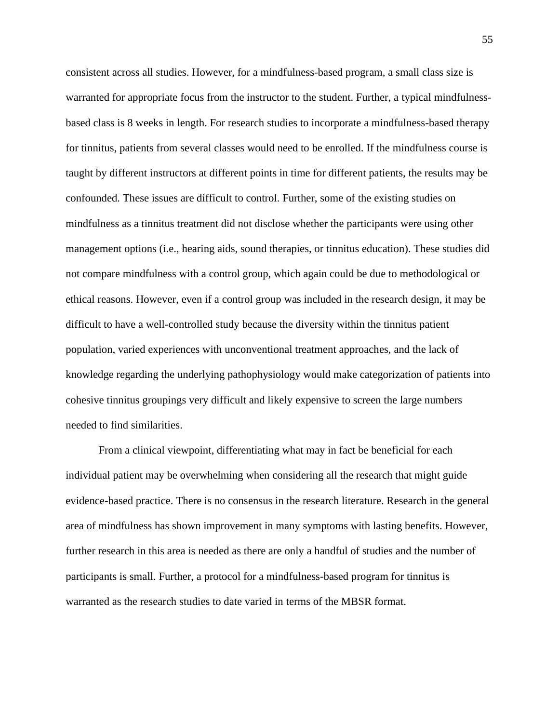consistent across all studies. However, for a mindfulness-based program, a small class size is warranted for appropriate focus from the instructor to the student. Further, a typical mindfulnessbased class is 8 weeks in length. For research studies to incorporate a mindfulness-based therapy for tinnitus, patients from several classes would need to be enrolled. If the mindfulness course is taught by different instructors at different points in time for different patients, the results may be confounded. These issues are difficult to control. Further, some of the existing studies on mindfulness as a tinnitus treatment did not disclose whether the participants were using other management options (i.e., hearing aids, sound therapies, or tinnitus education). These studies did not compare mindfulness with a control group, which again could be due to methodological or ethical reasons. However, even if a control group was included in the research design, it may be difficult to have a well-controlled study because the diversity within the tinnitus patient population, varied experiences with unconventional treatment approaches, and the lack of knowledge regarding the underlying pathophysiology would make categorization of patients into cohesive tinnitus groupings very difficult and likely expensive to screen the large numbers needed to find similarities.

From a clinical viewpoint, differentiating what may in fact be beneficial for each individual patient may be overwhelming when considering all the research that might guide evidence-based practice. There is no consensus in the research literature. Research in the general area of mindfulness has shown improvement in many symptoms with lasting benefits. However, further research in this area is needed as there are only a handful of studies and the number of participants is small. Further, a protocol for a mindfulness-based program for tinnitus is warranted as the research studies to date varied in terms of the MBSR format.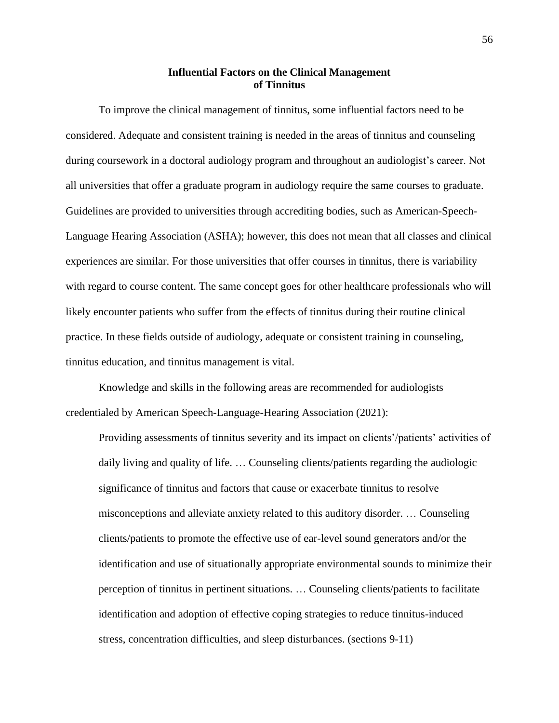# **Influential Factors on the Clinical Management of Tinnitus**

To improve the clinical management of tinnitus, some influential factors need to be considered. Adequate and consistent training is needed in the areas of tinnitus and counseling during coursework in a doctoral audiology program and throughout an audiologist's career. Not all universities that offer a graduate program in audiology require the same courses to graduate. Guidelines are provided to universities through accrediting bodies, such as American-Speech-Language Hearing Association (ASHA); however, this does not mean that all classes and clinical experiences are similar. For those universities that offer courses in tinnitus, there is variability with regard to course content. The same concept goes for other healthcare professionals who will likely encounter patients who suffer from the effects of tinnitus during their routine clinical practice. In these fields outside of audiology, adequate or consistent training in counseling, tinnitus education, and tinnitus management is vital.

Knowledge and skills in the following areas are recommended for audiologists credentialed by American Speech-Language-Hearing Association (2021):

Providing assessments of tinnitus severity and its impact on clients'/patients' activities of daily living and quality of life. … Counseling clients/patients regarding the audiologic significance of tinnitus and factors that cause or exacerbate tinnitus to resolve misconceptions and alleviate anxiety related to this auditory disorder. … Counseling clients/patients to promote the effective use of ear-level sound generators and/or the identification and use of situationally appropriate environmental sounds to minimize their perception of tinnitus in pertinent situations. … Counseling clients/patients to facilitate identification and adoption of effective coping strategies to reduce tinnitus-induced stress, concentration difficulties, and sleep disturbances. (sections 9-11)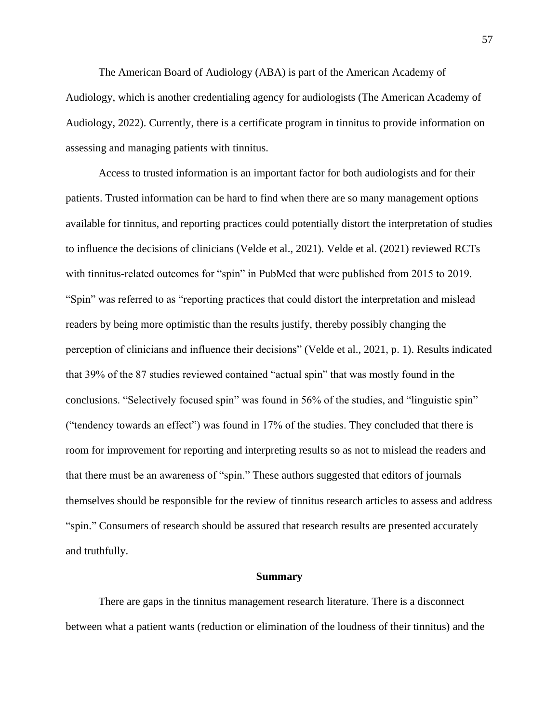The American Board of Audiology (ABA) is part of the American Academy of Audiology, which is another credentialing agency for audiologists (The American Academy of Audiology, 2022). Currently, there is a certificate program in tinnitus to provide information on assessing and managing patients with tinnitus.

Access to trusted information is an important factor for both audiologists and for their patients. Trusted information can be hard to find when there are so many management options available for tinnitus, and reporting practices could potentially distort the interpretation of studies to influence the decisions of clinicians (Velde et al., 2021). Velde et al. (2021) reviewed RCTs with tinnitus-related outcomes for "spin" in PubMed that were published from 2015 to 2019. "Spin" was referred to as "reporting practices that could distort the interpretation and mislead readers by being more optimistic than the results justify, thereby possibly changing the perception of clinicians and influence their decisions" (Velde et al., 2021, p. 1). Results indicated that 39% of the 87 studies reviewed contained "actual spin" that was mostly found in the conclusions. "Selectively focused spin" was found in 56% of the studies, and "linguistic spin" ("tendency towards an effect") was found in 17% of the studies. They concluded that there is room for improvement for reporting and interpreting results so as not to mislead the readers and that there must be an awareness of "spin." These authors suggested that editors of journals themselves should be responsible for the review of tinnitus research articles to assess and address "spin." Consumers of research should be assured that research results are presented accurately and truthfully.

#### **Summary**

There are gaps in the tinnitus management research literature. There is a disconnect between what a patient wants (reduction or elimination of the loudness of their tinnitus) and the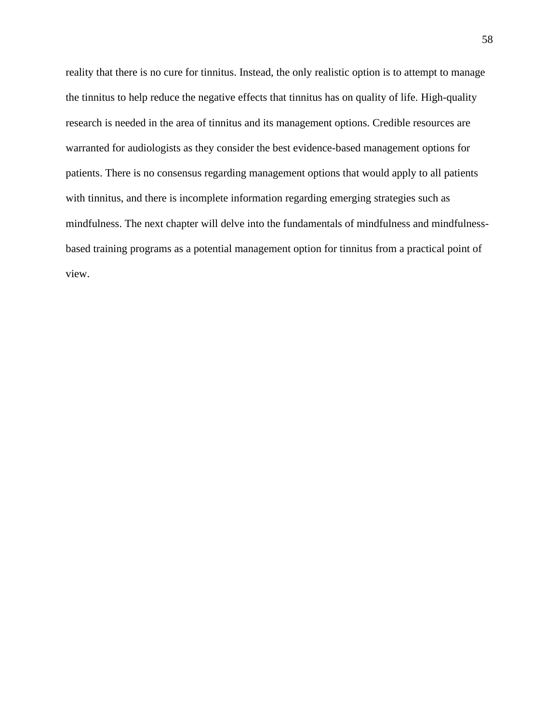reality that there is no cure for tinnitus. Instead, the only realistic option is to attempt to manage the tinnitus to help reduce the negative effects that tinnitus has on quality of life. High-quality research is needed in the area of tinnitus and its management options. Credible resources are warranted for audiologists as they consider the best evidence-based management options for patients. There is no consensus regarding management options that would apply to all patients with tinnitus, and there is incomplete information regarding emerging strategies such as mindfulness. The next chapter will delve into the fundamentals of mindfulness and mindfulnessbased training programs as a potential management option for tinnitus from a practical point of view.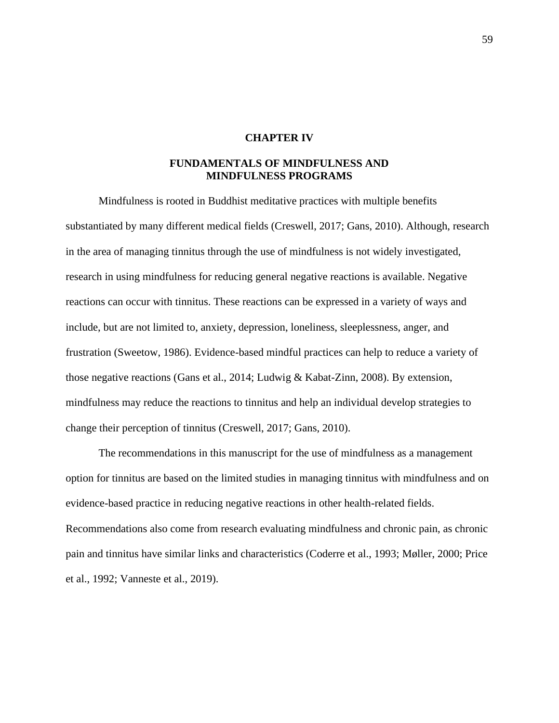## **CHAPTER IV**

## **FUNDAMENTALS OF MINDFULNESS AND MINDFULNESS PROGRAMS**

Mindfulness is rooted in Buddhist meditative practices with multiple benefits substantiated by many different medical fields (Creswell, 2017; Gans, 2010). Although, research in the area of managing tinnitus through the use of mindfulness is not widely investigated, research in using mindfulness for reducing general negative reactions is available. Negative reactions can occur with tinnitus. These reactions can be expressed in a variety of ways and include, but are not limited to, anxiety, depression, loneliness, sleeplessness, anger, and frustration (Sweetow, 1986). Evidence-based mindful practices can help to reduce a variety of those negative reactions (Gans et al., 2014; Ludwig & Kabat-Zinn, 2008). By extension, mindfulness may reduce the reactions to tinnitus and help an individual develop strategies to change their perception of tinnitus (Creswell, 2017; Gans, 2010).

The recommendations in this manuscript for the use of mindfulness as a management option for tinnitus are based on the limited studies in managing tinnitus with mindfulness and on evidence-based practice in reducing negative reactions in other health-related fields. Recommendations also come from research evaluating mindfulness and chronic pain, as chronic pain and tinnitus have similar links and characteristics (Coderre et al., 1993; Møller, 2000; Price et al., 1992; Vanneste et al., 2019).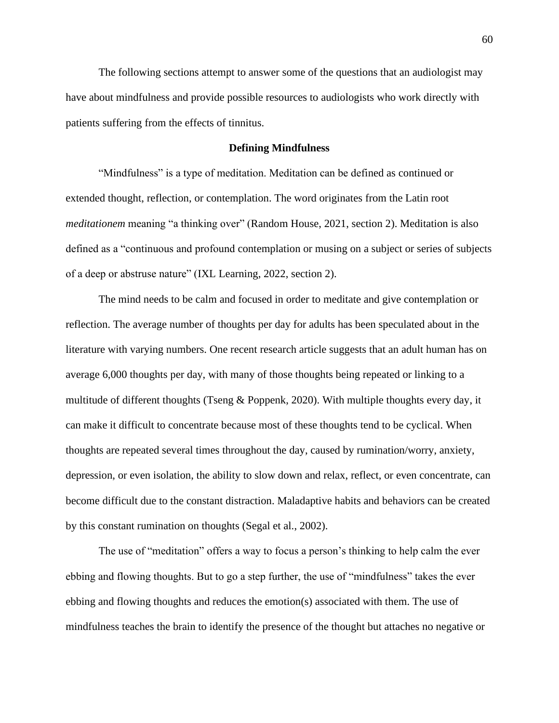The following sections attempt to answer some of the questions that an audiologist may have about mindfulness and provide possible resources to audiologists who work directly with patients suffering from the effects of tinnitus.

## **Defining Mindfulness**

"Mindfulness" is a type of meditation. Meditation can be defined as continued or extended thought, reflection, or contemplation. The word originates from the Latin root *meditationem* meaning "a thinking over" (Random House, 2021, section 2). Meditation is also defined as a "continuous and profound contemplation or musing on a subject or series of subjects of a deep or abstruse nature" (IXL Learning, 2022, section 2).

The mind needs to be calm and focused in order to meditate and give contemplation or reflection. The average number of thoughts per day for adults has been speculated about in the literature with varying numbers. One recent research article suggests that an adult human has on average 6,000 thoughts per day, with many of those thoughts being repeated or linking to a multitude of different thoughts (Tseng & Poppenk, 2020). With multiple thoughts every day, it can make it difficult to concentrate because most of these thoughts tend to be cyclical. When thoughts are repeated several times throughout the day, caused by rumination/worry, anxiety, depression, or even isolation, the ability to slow down and relax, reflect, or even concentrate, can become difficult due to the constant distraction. Maladaptive habits and behaviors can be created by this constant rumination on thoughts (Segal et al., 2002).

The use of "meditation" offers a way to focus a person's thinking to help calm the ever ebbing and flowing thoughts. But to go a step further, the use of "mindfulness" takes the ever ebbing and flowing thoughts and reduces the emotion(s) associated with them. The use of mindfulness teaches the brain to identify the presence of the thought but attaches no negative or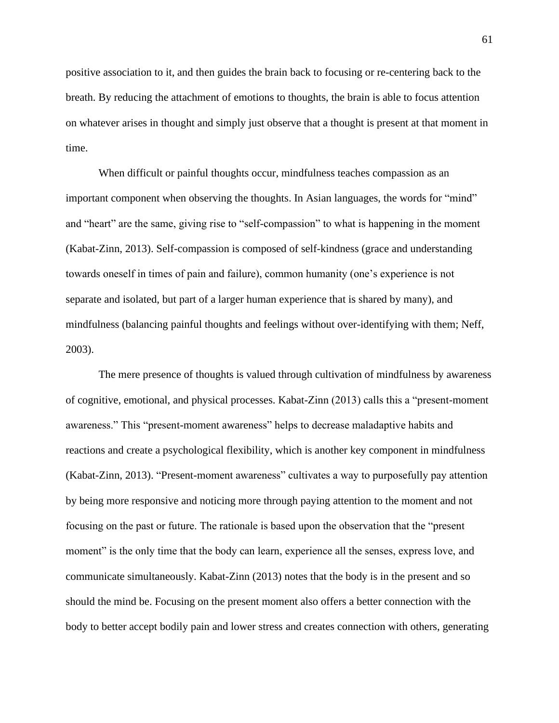positive association to it, and then guides the brain back to focusing or re-centering back to the breath. By reducing the attachment of emotions to thoughts, the brain is able to focus attention on whatever arises in thought and simply just observe that a thought is present at that moment in time.

When difficult or painful thoughts occur, mindfulness teaches compassion as an important component when observing the thoughts. In Asian languages, the words for "mind" and "heart" are the same, giving rise to "self-compassion" to what is happening in the moment (Kabat-Zinn, 2013). Self-compassion is composed of self-kindness (grace and understanding towards oneself in times of pain and failure), common humanity (one's experience is not separate and isolated, but part of a larger human experience that is shared by many), and mindfulness (balancing painful thoughts and feelings without over-identifying with them; Neff, 2003).

The mere presence of thoughts is valued through cultivation of mindfulness by awareness of cognitive, emotional, and physical processes. Kabat-Zinn (2013) calls this a "present-moment awareness." This "present-moment awareness" helps to decrease maladaptive habits and reactions and create a psychological flexibility, which is another key component in mindfulness (Kabat-Zinn, 2013). "Present-moment awareness" cultivates a way to purposefully pay attention by being more responsive and noticing more through paying attention to the moment and not focusing on the past or future. The rationale is based upon the observation that the "present moment" is the only time that the body can learn, experience all the senses, express love, and communicate simultaneously. Kabat-Zinn (2013) notes that the body is in the present and so should the mind be. Focusing on the present moment also offers a better connection with the body to better accept bodily pain and lower stress and creates connection with others, generating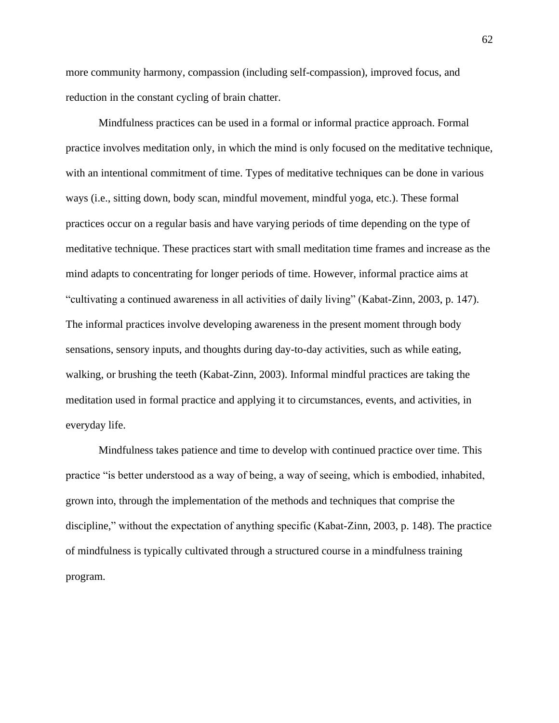more community harmony, compassion (including self-compassion), improved focus, and reduction in the constant cycling of brain chatter.

Mindfulness practices can be used in a formal or informal practice approach. Formal practice involves meditation only, in which the mind is only focused on the meditative technique, with an intentional commitment of time. Types of meditative techniques can be done in various ways (i.e., sitting down, body scan, mindful movement, mindful yoga, etc.). These formal practices occur on a regular basis and have varying periods of time depending on the type of meditative technique. These practices start with small meditation time frames and increase as the mind adapts to concentrating for longer periods of time. However, informal practice aims at "cultivating a continued awareness in all activities of daily living" (Kabat-Zinn, 2003, p. 147). The informal practices involve developing awareness in the present moment through body sensations, sensory inputs, and thoughts during day-to-day activities, such as while eating, walking, or brushing the teeth (Kabat-Zinn, 2003). Informal mindful practices are taking the meditation used in formal practice and applying it to circumstances, events, and activities, in everyday life.

Mindfulness takes patience and time to develop with continued practice over time. This practice "is better understood as a way of being, a way of seeing, which is embodied, inhabited, grown into, through the implementation of the methods and techniques that comprise the discipline," without the expectation of anything specific (Kabat-Zinn, 2003, p. 148). The practice of mindfulness is typically cultivated through a structured course in a mindfulness training program.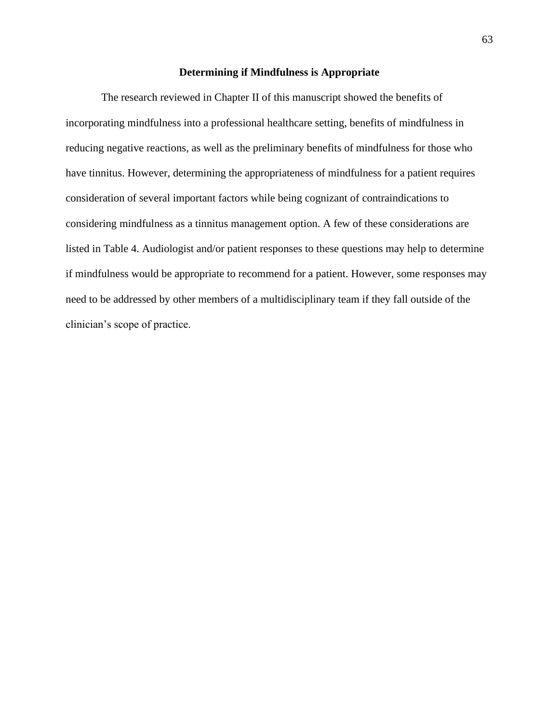## **Determining if Mindfulness is Appropriate**

The research reviewed in Chapter II of this manuscript showed the benefits of incorporating mindfulness into a professional healthcare setting, benefits of mindfulness in reducing negative reactions, as well as the preliminary benefits of mindfulness for those who have tinnitus. However, determining the appropriateness of mindfulness for a patient requires consideration of several important factors while being cognizant of contraindications to considering mindfulness as a tinnitus management option. A few of these considerations are listed in Table 4. Audiologist and/or patient responses to these questions may help to determine if mindfulness would be appropriate to recommend for a patient. However, some responses may need to be addressed by other members of a multidisciplinary team if they fall outside of the clinician's scope of practice.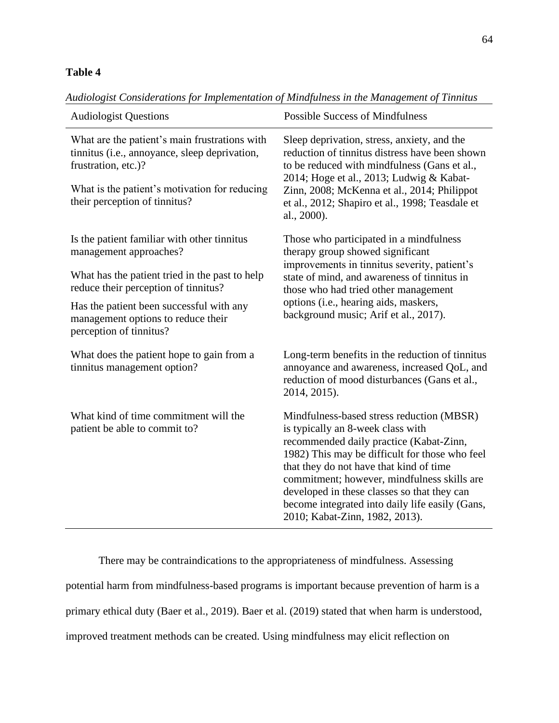# **Table 4**

| <b>Audiologist Questions</b>                                                                                                                                                                            | <b>Possible Success of Mindfulness</b>                                                                                                                                                                                                                                                                                                                                                                    |  |
|---------------------------------------------------------------------------------------------------------------------------------------------------------------------------------------------------------|-----------------------------------------------------------------------------------------------------------------------------------------------------------------------------------------------------------------------------------------------------------------------------------------------------------------------------------------------------------------------------------------------------------|--|
| What are the patient's main frustrations with<br>tinnitus (i.e., annoyance, sleep deprivation,<br>frustration, etc.)?<br>What is the patient's motivation for reducing<br>their perception of tinnitus? | Sleep deprivation, stress, anxiety, and the<br>reduction of tinnitus distress have been shown<br>to be reduced with mindfulness (Gans et al.,<br>2014; Hoge et al., 2013; Ludwig & Kabat-<br>Zinn, 2008; McKenna et al., 2014; Philippot<br>et al., 2012; Shapiro et al., 1998; Teasdale et<br>al., 2000).                                                                                                |  |
| Is the patient familiar with other tinnitus<br>management approaches?<br>What has the patient tried in the past to help                                                                                 | Those who participated in a mindfulness<br>therapy group showed significant<br>improvements in tinnitus severity, patient's<br>state of mind, and awareness of tinnitus in<br>those who had tried other management<br>options (i.e., hearing aids, maskers,<br>background music; Arif et al., 2017).                                                                                                      |  |
| reduce their perception of tinnitus?<br>Has the patient been successful with any<br>management options to reduce their<br>perception of tinnitus?                                                       |                                                                                                                                                                                                                                                                                                                                                                                                           |  |
| What does the patient hope to gain from a<br>tinnitus management option?                                                                                                                                | Long-term benefits in the reduction of tinnitus<br>annoyance and awareness, increased QoL, and<br>reduction of mood disturbances (Gans et al.,<br>2014, 2015).                                                                                                                                                                                                                                            |  |
| What kind of time commitment will the<br>patient be able to commit to?                                                                                                                                  | Mindfulness-based stress reduction (MBSR)<br>is typically an 8-week class with<br>recommended daily practice (Kabat-Zinn,<br>1982) This may be difficult for those who feel<br>that they do not have that kind of time<br>commitment; however, mindfulness skills are<br>developed in these classes so that they can<br>become integrated into daily life easily (Gans,<br>2010; Kabat-Zinn, 1982, 2013). |  |

*Audiologist Considerations for Implementation of Mindfulness in the Management of Tinnitus*

There may be contraindications to the appropriateness of mindfulness. Assessing potential harm from mindfulness-based programs is important because prevention of harm is a primary ethical duty (Baer et al., 2019). Baer et al. (2019) stated that when harm is understood, improved treatment methods can be created. Using mindfulness may elicit reflection on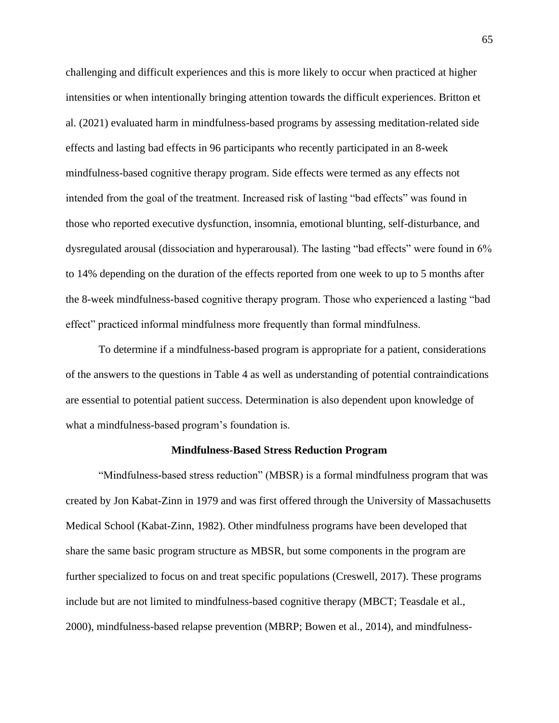challenging and difficult experiences and this is more likely to occur when practiced at higher intensities or when intentionally bringing attention towards the difficult experiences. Britton et al. (2021) evaluated harm in mindfulness-based programs by assessing meditation-related side effects and lasting bad effects in 96 participants who recently participated in an 8-week mindfulness-based cognitive therapy program. Side effects were termed as any effects not intended from the goal of the treatment. Increased risk of lasting "bad effects" was found in those who reported executive dysfunction, insomnia, emotional blunting, self-disturbance, and dysregulated arousal (dissociation and hyperarousal). The lasting "bad effects" were found in 6% to 14% depending on the duration of the effects reported from one week to up to 5 months after the 8-week mindfulness-based cognitive therapy program. Those who experienced a lasting "bad effect" practiced informal mindfulness more frequently than formal mindfulness.

To determine if a mindfulness-based program is appropriate for a patient, considerations of the answers to the questions in Table 4 as well as understanding of potential contraindications are essential to potential patient success. Determination is also dependent upon knowledge of what a mindfulness-based program's foundation is.

#### **Mindfulness-Based Stress Reduction Program**

"Mindfulness-based stress reduction" (MBSR) is a formal mindfulness program that was created by Jon Kabat-Zinn in 1979 and was first offered through the University of Massachusetts Medical School (Kabat-Zinn, 1982). Other mindfulness programs have been developed that share the same basic program structure as MBSR, but some components in the program are further specialized to focus on and treat specific populations (Creswell, 2017). These programs include but are not limited to mindfulness-based cognitive therapy (MBCT; Teasdale et al., 2000), mindfulness-based relapse prevention (MBRP; Bowen et al., 2014), and mindfulness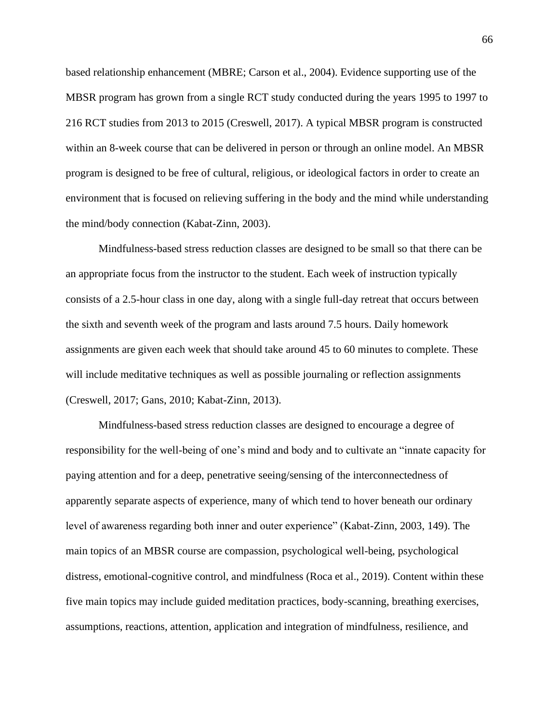based relationship enhancement (MBRE; Carson et al., 2004). Evidence supporting use of the MBSR program has grown from a single RCT study conducted during the years 1995 to 1997 to 216 RCT studies from 2013 to 2015 (Creswell, 2017). A typical MBSR program is constructed within an 8-week course that can be delivered in person or through an online model. An MBSR program is designed to be free of cultural, religious, or ideological factors in order to create an environment that is focused on relieving suffering in the body and the mind while understanding the mind/body connection (Kabat-Zinn, 2003).

Mindfulness-based stress reduction classes are designed to be small so that there can be an appropriate focus from the instructor to the student. Each week of instruction typically consists of a 2.5-hour class in one day, along with a single full-day retreat that occurs between the sixth and seventh week of the program and lasts around 7.5 hours. Daily homework assignments are given each week that should take around 45 to 60 minutes to complete. These will include meditative techniques as well as possible journaling or reflection assignments (Creswell, 2017; Gans, 2010; Kabat-Zinn, 2013).

Mindfulness-based stress reduction classes are designed to encourage a degree of responsibility for the well-being of one's mind and body and to cultivate an "innate capacity for paying attention and for a deep, penetrative seeing/sensing of the interconnectedness of apparently separate aspects of experience, many of which tend to hover beneath our ordinary level of awareness regarding both inner and outer experience" (Kabat-Zinn, 2003, 149). The main topics of an MBSR course are compassion, psychological well-being, psychological distress, emotional-cognitive control, and mindfulness (Roca et al., 2019). Content within these five main topics may include guided meditation practices, body-scanning, breathing exercises, assumptions, reactions, attention, application and integration of mindfulness, resilience, and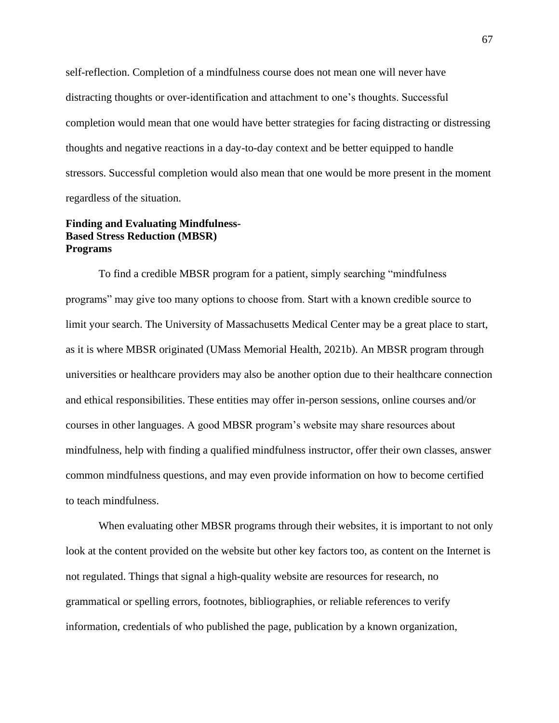self-reflection. Completion of a mindfulness course does not mean one will never have distracting thoughts or over-identification and attachment to one's thoughts. Successful completion would mean that one would have better strategies for facing distracting or distressing thoughts and negative reactions in a day-to-day context and be better equipped to handle stressors. Successful completion would also mean that one would be more present in the moment regardless of the situation.

# **Finding and Evaluating Mindfulness-Based Stress Reduction (MBSR) Programs**

To find a credible MBSR program for a patient, simply searching "mindfulness programs" may give too many options to choose from. Start with a known credible source to limit your search. The University of Massachusetts Medical Center may be a great place to start, as it is where MBSR originated (UMass Memorial Health, 2021b). An MBSR program through universities or healthcare providers may also be another option due to their healthcare connection and ethical responsibilities. These entities may offer in-person sessions, online courses and/or courses in other languages. A good MBSR program's website may share resources about mindfulness, help with finding a qualified mindfulness instructor, offer their own classes, answer common mindfulness questions, and may even provide information on how to become certified to teach mindfulness.

When evaluating other MBSR programs through their websites, it is important to not only look at the content provided on the website but other key factors too, as content on the Internet is not regulated. Things that signal a high-quality website are resources for research, no grammatical or spelling errors, footnotes, bibliographies, or reliable references to verify information, credentials of who published the page, publication by a known organization,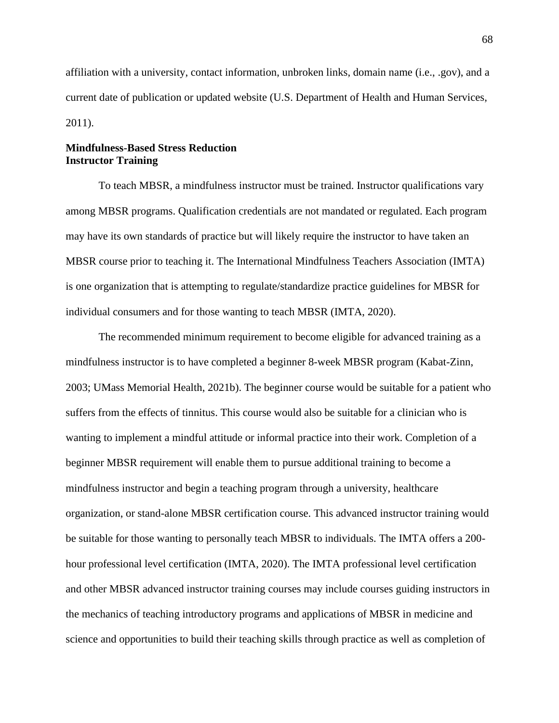affiliation with a university, contact information, unbroken links, domain name (i.e., .gov), and a current date of publication or updated website (U.S. Department of Health and Human Services, 2011).

# **Mindfulness-Based Stress Reduction Instructor Training**

To teach MBSR, a mindfulness instructor must be trained. Instructor qualifications vary among MBSR programs. Qualification credentials are not mandated or regulated. Each program may have its own standards of practice but will likely require the instructor to have taken an MBSR course prior to teaching it. The International Mindfulness Teachers Association (IMTA) is one organization that is attempting to regulate/standardize practice guidelines for MBSR for individual consumers and for those wanting to teach MBSR (IMTA, 2020).

The recommended minimum requirement to become eligible for advanced training as a mindfulness instructor is to have completed a beginner 8-week MBSR program (Kabat-Zinn, 2003; UMass Memorial Health, 2021b). The beginner course would be suitable for a patient who suffers from the effects of tinnitus. This course would also be suitable for a clinician who is wanting to implement a mindful attitude or informal practice into their work. Completion of a beginner MBSR requirement will enable them to pursue additional training to become a mindfulness instructor and begin a teaching program through a university, healthcare organization, or stand-alone MBSR certification course. This advanced instructor training would be suitable for those wanting to personally teach MBSR to individuals. The IMTA offers a 200 hour professional level certification (IMTA, 2020). The IMTA professional level certification and other MBSR advanced instructor training courses may include courses guiding instructors in the mechanics of teaching introductory programs and applications of MBSR in medicine and science and opportunities to build their teaching skills through practice as well as completion of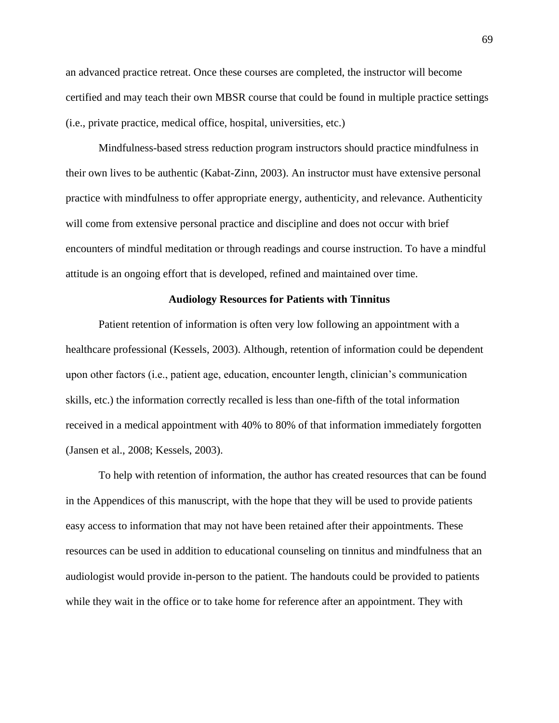an advanced practice retreat. Once these courses are completed, the instructor will become certified and may teach their own MBSR course that could be found in multiple practice settings (i.e., private practice, medical office, hospital, universities, etc.)

Mindfulness-based stress reduction program instructors should practice mindfulness in their own lives to be authentic (Kabat-Zinn, 2003). An instructor must have extensive personal practice with mindfulness to offer appropriate energy, authenticity, and relevance. Authenticity will come from extensive personal practice and discipline and does not occur with brief encounters of mindful meditation or through readings and course instruction. To have a mindful attitude is an ongoing effort that is developed, refined and maintained over time.

#### **Audiology Resources for Patients with Tinnitus**

Patient retention of information is often very low following an appointment with a healthcare professional (Kessels, 2003). Although, retention of information could be dependent upon other factors (i.e., patient age, education, encounter length, clinician's communication skills, etc.) the information correctly recalled is less than one-fifth of the total information received in a medical appointment with 40% to 80% of that information immediately forgotten (Jansen et al., 2008; Kessels, 2003).

To help with retention of information, the author has created resources that can be found in the Appendices of this manuscript, with the hope that they will be used to provide patients easy access to information that may not have been retained after their appointments. These resources can be used in addition to educational counseling on tinnitus and mindfulness that an audiologist would provide in-person to the patient. The handouts could be provided to patients while they wait in the office or to take home for reference after an appointment. They with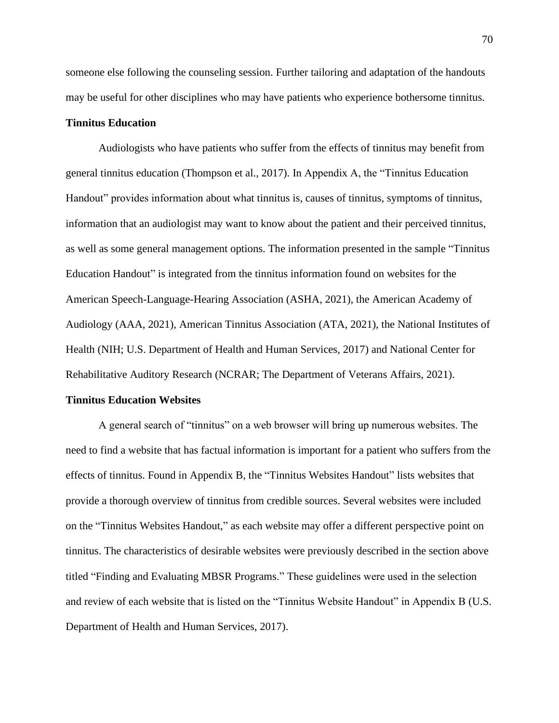someone else following the counseling session. Further tailoring and adaptation of the handouts may be useful for other disciplines who may have patients who experience bothersome tinnitus.

## **Tinnitus Education**

Audiologists who have patients who suffer from the effects of tinnitus may benefit from general tinnitus education (Thompson et al., 2017). In Appendix A, the "Tinnitus Education Handout" provides information about what tinnitus is, causes of tinnitus, symptoms of tinnitus, information that an audiologist may want to know about the patient and their perceived tinnitus, as well as some general management options. The information presented in the sample "Tinnitus Education Handout" is integrated from the tinnitus information found on websites for the American Speech-Language-Hearing Association (ASHA, 2021), the American Academy of Audiology (AAA, 2021), American Tinnitus Association (ATA, 2021), the National Institutes of Health (NIH; U.S. Department of Health and Human Services, 2017) and National Center for Rehabilitative Auditory Research (NCRAR; The Department of Veterans Affairs, 2021).

#### **Tinnitus Education Websites**

A general search of "tinnitus" on a web browser will bring up numerous websites. The need to find a website that has factual information is important for a patient who suffers from the effects of tinnitus. Found in Appendix B, the "Tinnitus Websites Handout" lists websites that provide a thorough overview of tinnitus from credible sources. Several websites were included on the "Tinnitus Websites Handout," as each website may offer a different perspective point on tinnitus. The characteristics of desirable websites were previously described in the section above titled "Finding and Evaluating MBSR Programs." These guidelines were used in the selection and review of each website that is listed on the "Tinnitus Website Handout" in Appendix B (U.S. Department of Health and Human Services, 2017).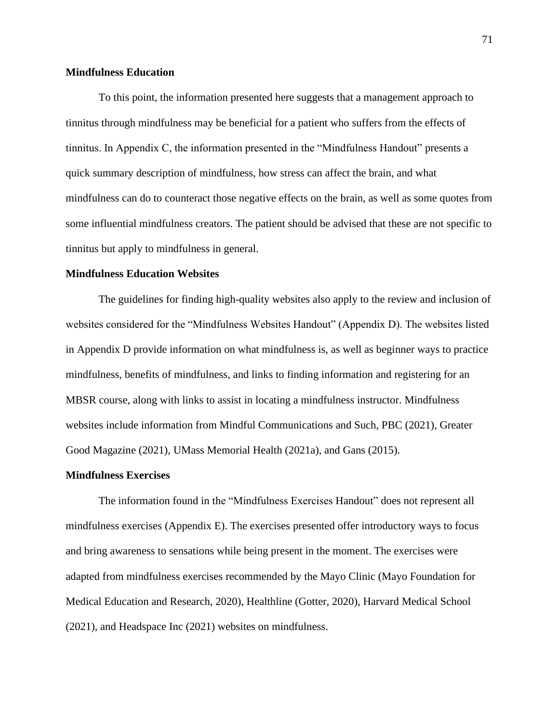## **Mindfulness Education**

To this point, the information presented here suggests that a management approach to tinnitus through mindfulness may be beneficial for a patient who suffers from the effects of tinnitus. In Appendix C, the information presented in the "Mindfulness Handout" presents a quick summary description of mindfulness, how stress can affect the brain, and what mindfulness can do to counteract those negative effects on the brain, as well as some quotes from some influential mindfulness creators. The patient should be advised that these are not specific to tinnitus but apply to mindfulness in general.

## **Mindfulness Education Websites**

The guidelines for finding high-quality websites also apply to the review and inclusion of websites considered for the "Mindfulness Websites Handout" (Appendix D). The websites listed in Appendix D provide information on what mindfulness is, as well as beginner ways to practice mindfulness, benefits of mindfulness, and links to finding information and registering for an MBSR course, along with links to assist in locating a mindfulness instructor. Mindfulness websites include information from Mindful Communications and Such, PBC (2021), Greater Good Magazine (2021), UMass Memorial Health (2021a), and Gans (2015).

#### **Mindfulness Exercises**

The information found in the "Mindfulness Exercises Handout" does not represent all mindfulness exercises (Appendix E). The exercises presented offer introductory ways to focus and bring awareness to sensations while being present in the moment. The exercises were adapted from mindfulness exercises recommended by the Mayo Clinic (Mayo Foundation for Medical Education and Research, 2020), Healthline (Gotter, 2020), Harvard Medical School (2021), and Headspace Inc (2021) websites on mindfulness.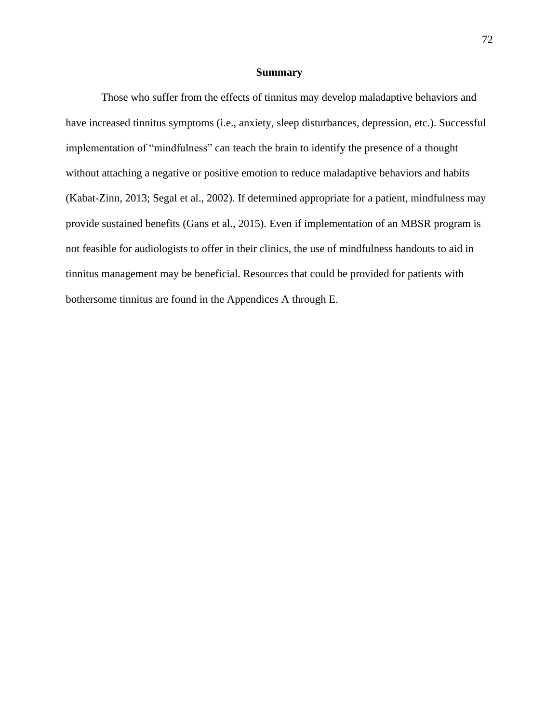#### **Summary**

Those who suffer from the effects of tinnitus may develop maladaptive behaviors and have increased tinnitus symptoms (i.e., anxiety, sleep disturbances, depression, etc.). Successful implementation of "mindfulness" can teach the brain to identify the presence of a thought without attaching a negative or positive emotion to reduce maladaptive behaviors and habits (Kabat-Zinn, 2013; Segal et al., 2002). If determined appropriate for a patient, mindfulness may provide sustained benefits (Gans et al., 2015). Even if implementation of an MBSR program is not feasible for audiologists to offer in their clinics, the use of mindfulness handouts to aid in tinnitus management may be beneficial. Resources that could be provided for patients with bothersome tinnitus are found in the Appendices A through E.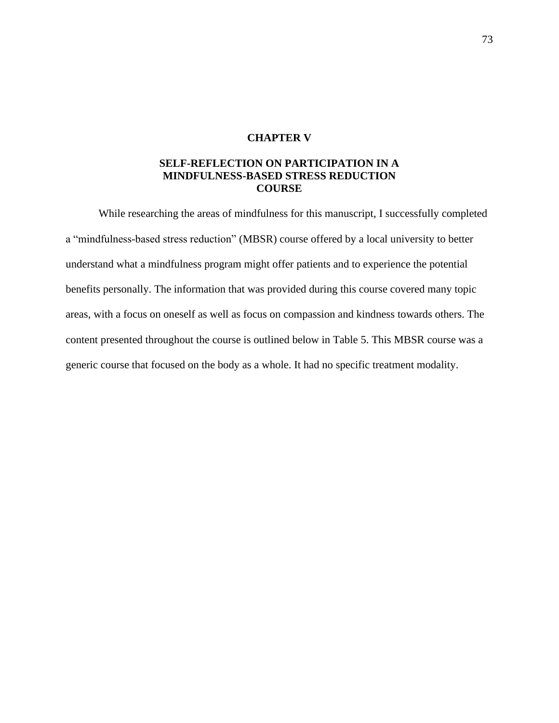# **CHAPTER V**

# **SELF-REFLECTION ON PARTICIPATION IN A MINDFULNESS-BASED STRESS REDUCTION COURSE**

While researching the areas of mindfulness for this manuscript, I successfully completed a "mindfulness-based stress reduction" (MBSR) course offered by a local university to better understand what a mindfulness program might offer patients and to experience the potential benefits personally. The information that was provided during this course covered many topic areas, with a focus on oneself as well as focus on compassion and kindness towards others. The content presented throughout the course is outlined below in Table 5. This MBSR course was a generic course that focused on the body as a whole. It had no specific treatment modality.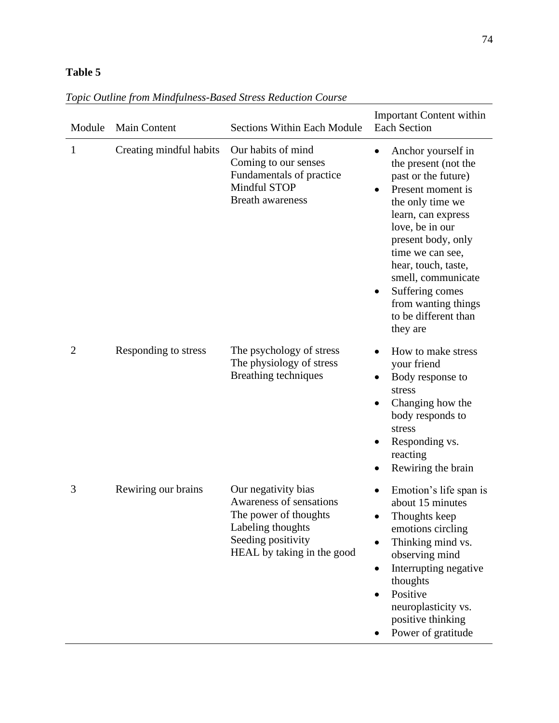# **Table 5**

| Module         | <b>Main Content</b>     | <b>Sections Within Each Module</b>                                                                                                               | <b>Important Content within</b><br><b>Each Section</b>                                                                                                                                                                                                                                                                                     |
|----------------|-------------------------|--------------------------------------------------------------------------------------------------------------------------------------------------|--------------------------------------------------------------------------------------------------------------------------------------------------------------------------------------------------------------------------------------------------------------------------------------------------------------------------------------------|
| 1              | Creating mindful habits | Our habits of mind<br>Coming to our senses<br>Fundamentals of practice<br>Mindful STOP<br><b>Breath awareness</b>                                | Anchor yourself in<br>$\bullet$<br>the present (not the<br>past or the future)<br>Present moment is<br>the only time we<br>learn, can express<br>love, be in our<br>present body, only<br>time we can see,<br>hear, touch, taste,<br>smell, communicate<br>Suffering comes<br>٠<br>from wanting things<br>to be different than<br>they are |
| $\overline{2}$ | Responding to stress    | The psychology of stress<br>The physiology of stress<br>Breathing techniques                                                                     | How to make stress<br>$\bullet$<br>your friend<br>Body response to<br>stress<br>Changing how the<br>body responds to<br>stress<br>Responding vs.<br>reacting<br>Rewiring the brain                                                                                                                                                         |
| 3              | Rewiring our brains     | Our negativity bias<br>Awareness of sensations<br>The power of thoughts<br>Labeling thoughts<br>Seeding positivity<br>HEAL by taking in the good | Emotion's life span is<br>about 15 minutes<br>Thoughts keep<br>emotions circling<br>Thinking mind vs.<br>$\bullet$<br>observing mind<br>Interrupting negative<br>thoughts<br>Positive<br>neuroplasticity vs.<br>positive thinking<br>Power of gratitude                                                                                    |

# *Topic Outline from Mindfulness-Based Stress Reduction Course*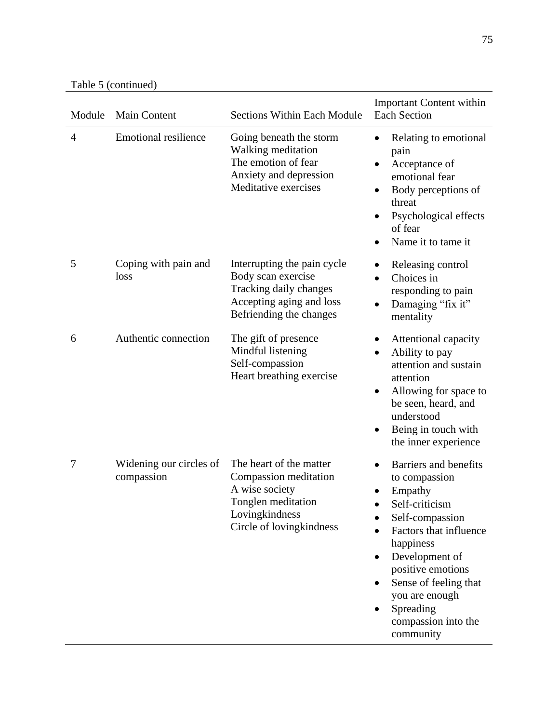Table 5 (continued)

| Module | <b>Main Content</b>                   | <b>Sections Within Each Module</b>                                                                                                     | <b>Important Content within</b><br><b>Each Section</b>                                                                                                                                                                                                                |
|--------|---------------------------------------|----------------------------------------------------------------------------------------------------------------------------------------|-----------------------------------------------------------------------------------------------------------------------------------------------------------------------------------------------------------------------------------------------------------------------|
| 4      | <b>Emotional resilience</b>           | Going beneath the storm<br>Walking meditation<br>The emotion of fear<br>Anxiety and depression<br>Meditative exercises                 | Relating to emotional<br>pain<br>Acceptance of<br>emotional fear<br>Body perceptions of<br>٠<br>threat<br>Psychological effects<br>of fear<br>Name it to tame it                                                                                                      |
| 5      | Coping with pain and<br>loss          | Interrupting the pain cycle<br>Body scan exercise<br>Tracking daily changes<br>Accepting aging and loss<br>Befriending the changes     | Releasing control<br>Choices in<br>$\bullet$<br>responding to pain<br>Damaging "fix it"<br>٠<br>mentality                                                                                                                                                             |
| 6      | Authentic connection                  | The gift of presence<br>Mindful listening<br>Self-compassion<br>Heart breathing exercise                                               | Attentional capacity<br>Ability to pay<br>attention and sustain<br>attention<br>Allowing for space to<br>be seen, heard, and<br>understood<br>Being in touch with<br>the inner experience                                                                             |
| 7      | Widening our circles of<br>compassion | The heart of the matter<br>Compassion meditation<br>A wise society<br>Tonglen meditation<br>Lovingkindness<br>Circle of lovingkindness | Barriers and benefits<br>to compassion<br>Empathy<br>Self-criticism<br>Self-compassion<br>Factors that influence<br>happiness<br>Development of<br>٠<br>positive emotions<br>Sense of feeling that<br>you are enough<br>Spreading<br>compassion into the<br>community |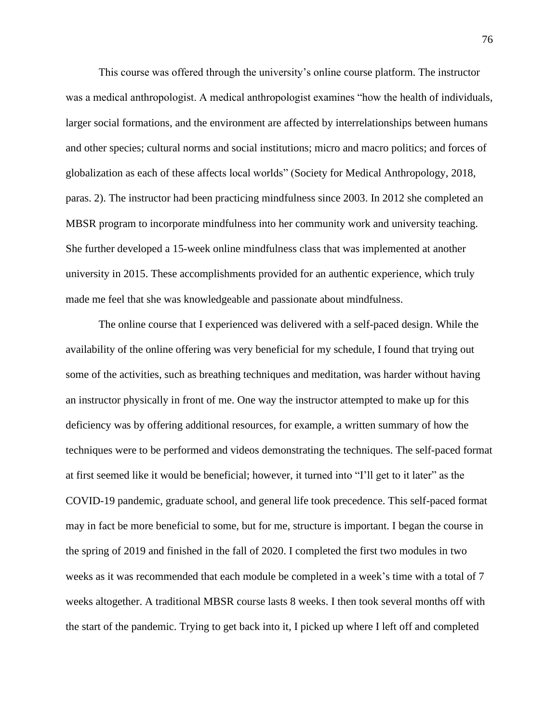This course was offered through the university's online course platform. The instructor was a medical anthropologist. A medical anthropologist examines "how the health of individuals, larger social formations, and the environment are affected by interrelationships between humans and other species; cultural norms and social institutions; micro and macro politics; and forces of globalization as each of these affects local worlds" (Society for Medical Anthropology, 2018, paras. 2). The instructor had been practicing mindfulness since 2003. In 2012 she completed an MBSR program to incorporate mindfulness into her community work and university teaching. She further developed a 15-week online mindfulness class that was implemented at another university in 2015. These accomplishments provided for an authentic experience, which truly made me feel that she was knowledgeable and passionate about mindfulness.

The online course that I experienced was delivered with a self-paced design. While the availability of the online offering was very beneficial for my schedule, I found that trying out some of the activities, such as breathing techniques and meditation, was harder without having an instructor physically in front of me. One way the instructor attempted to make up for this deficiency was by offering additional resources, for example, a written summary of how the techniques were to be performed and videos demonstrating the techniques. The self-paced format at first seemed like it would be beneficial; however, it turned into "I'll get to it later" as the COVID-19 pandemic, graduate school, and general life took precedence. This self-paced format may in fact be more beneficial to some, but for me, structure is important. I began the course in the spring of 2019 and finished in the fall of 2020. I completed the first two modules in two weeks as it was recommended that each module be completed in a week's time with a total of 7 weeks altogether. A traditional MBSR course lasts 8 weeks. I then took several months off with the start of the pandemic. Trying to get back into it, I picked up where I left off and completed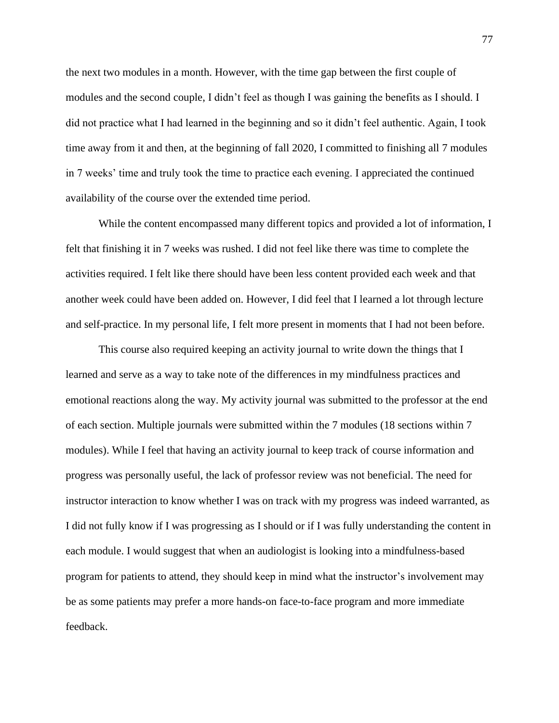the next two modules in a month. However, with the time gap between the first couple of modules and the second couple, I didn't feel as though I was gaining the benefits as I should. I did not practice what I had learned in the beginning and so it didn't feel authentic. Again, I took time away from it and then, at the beginning of fall 2020, I committed to finishing all 7 modules in 7 weeks' time and truly took the time to practice each evening. I appreciated the continued availability of the course over the extended time period.

While the content encompassed many different topics and provided a lot of information, I felt that finishing it in 7 weeks was rushed. I did not feel like there was time to complete the activities required. I felt like there should have been less content provided each week and that another week could have been added on. However, I did feel that I learned a lot through lecture and self-practice. In my personal life, I felt more present in moments that I had not been before.

This course also required keeping an activity journal to write down the things that I learned and serve as a way to take note of the differences in my mindfulness practices and emotional reactions along the way. My activity journal was submitted to the professor at the end of each section. Multiple journals were submitted within the 7 modules (18 sections within 7 modules). While I feel that having an activity journal to keep track of course information and progress was personally useful, the lack of professor review was not beneficial. The need for instructor interaction to know whether I was on track with my progress was indeed warranted, as I did not fully know if I was progressing as I should or if I was fully understanding the content in each module. I would suggest that when an audiologist is looking into a mindfulness-based program for patients to attend, they should keep in mind what the instructor's involvement may be as some patients may prefer a more hands-on face-to-face program and more immediate feedback.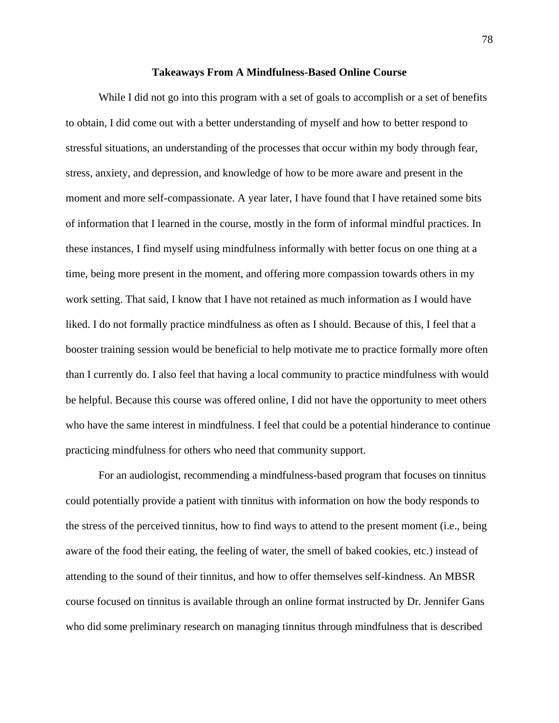#### **Takeaways From A Mindfulness-Based Online Course**

While I did not go into this program with a set of goals to accomplish or a set of benefits to obtain, I did come out with a better understanding of myself and how to better respond to stressful situations, an understanding of the processes that occur within my body through fear, stress, anxiety, and depression, and knowledge of how to be more aware and present in the moment and more self-compassionate. A year later, I have found that I have retained some bits of information that I learned in the course, mostly in the form of informal mindful practices. In these instances, I find myself using mindfulness informally with better focus on one thing at a time, being more present in the moment, and offering more compassion towards others in my work setting. That said, I know that I have not retained as much information as I would have liked. I do not formally practice mindfulness as often as I should. Because of this, I feel that a booster training session would be beneficial to help motivate me to practice formally more often than I currently do. I also feel that having a local community to practice mindfulness with would be helpful. Because this course was offered online, I did not have the opportunity to meet others who have the same interest in mindfulness. I feel that could be a potential hinderance to continue practicing mindfulness for others who need that community support.

For an audiologist, recommending a mindfulness-based program that focuses on tinnitus could potentially provide a patient with tinnitus with information on how the body responds to the stress of the perceived tinnitus, how to find ways to attend to the present moment (i.e., being aware of the food their eating, the feeling of water, the smell of baked cookies, etc.) instead of attending to the sound of their tinnitus, and how to offer themselves self-kindness. An MBSR course focused on tinnitus is available through an online format instructed by Dr. Jennifer Gans who did some preliminary research on managing tinnitus through mindfulness that is described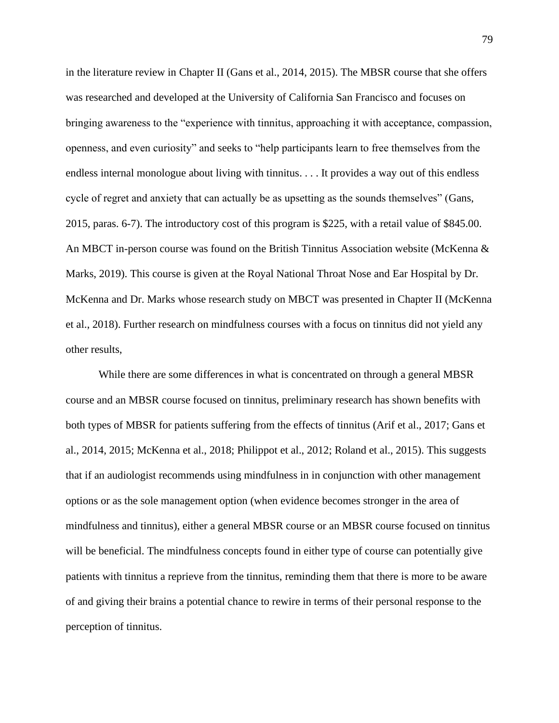in the literature review in Chapter II (Gans et al., 2014, 2015). The MBSR course that she offers was researched and developed at the University of California San Francisco and focuses on bringing awareness to the "experience with tinnitus, approaching it with acceptance, compassion, openness, and even curiosity" and seeks to "help participants learn to free themselves from the endless internal monologue about living with tinnitus. . . . It provides a way out of this endless cycle of regret and anxiety that can actually be as upsetting as the sounds themselves" (Gans, 2015, paras. 6-7). The introductory cost of this program is \$225, with a retail value of \$845.00. An MBCT in-person course was found on the British Tinnitus Association website (McKenna & Marks, 2019). This course is given at the Royal National Throat Nose and Ear Hospital by Dr. McKenna and Dr. Marks whose research study on MBCT was presented in Chapter II (McKenna et al., 2018). Further research on mindfulness courses with a focus on tinnitus did not yield any other results,

While there are some differences in what is concentrated on through a general MBSR course and an MBSR course focused on tinnitus, preliminary research has shown benefits with both types of MBSR for patients suffering from the effects of tinnitus (Arif et al., 2017; Gans et al., 2014, 2015; McKenna et al., 2018; Philippot et al., 2012; Roland et al., 2015). This suggests that if an audiologist recommends using mindfulness in in conjunction with other management options or as the sole management option (when evidence becomes stronger in the area of mindfulness and tinnitus), either a general MBSR course or an MBSR course focused on tinnitus will be beneficial. The mindfulness concepts found in either type of course can potentially give patients with tinnitus a reprieve from the tinnitus, reminding them that there is more to be aware of and giving their brains a potential chance to rewire in terms of their personal response to the perception of tinnitus.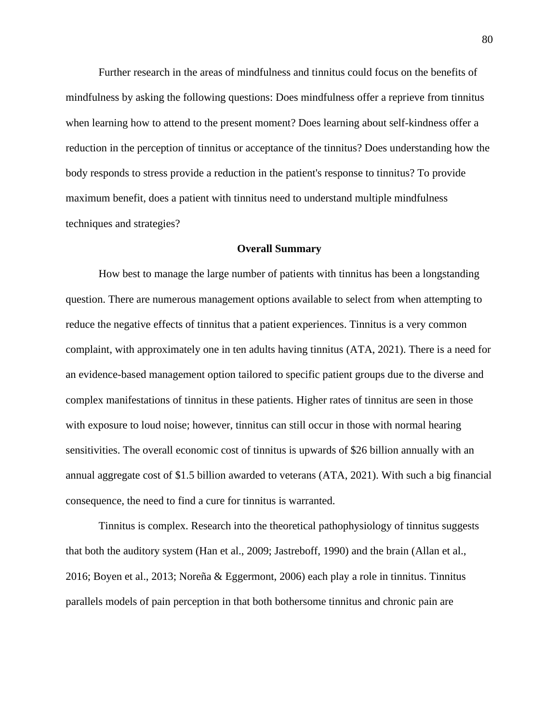Further research in the areas of mindfulness and tinnitus could focus on the benefits of mindfulness by asking the following questions: Does mindfulness offer a reprieve from tinnitus when learning how to attend to the present moment? Does learning about self-kindness offer a reduction in the perception of tinnitus or acceptance of the tinnitus? Does understanding how the body responds to stress provide a reduction in the patient's response to tinnitus? To provide maximum benefit, does a patient with tinnitus need to understand multiple mindfulness techniques and strategies?

## **Overall Summary**

How best to manage the large number of patients with tinnitus has been a longstanding question. There are numerous management options available to select from when attempting to reduce the negative effects of tinnitus that a patient experiences. Tinnitus is a very common complaint, with approximately one in ten adults having tinnitus (ATA, 2021). There is a need for an evidence-based management option tailored to specific patient groups due to the diverse and complex manifestations of tinnitus in these patients. Higher rates of tinnitus are seen in those with exposure to loud noise; however, tinnitus can still occur in those with normal hearing sensitivities. The overall economic cost of tinnitus is upwards of \$26 billion annually with an annual aggregate cost of \$1.5 billion awarded to veterans (ATA, 2021). With such a big financial consequence, the need to find a cure for tinnitus is warranted.

Tinnitus is complex. Research into the theoretical pathophysiology of tinnitus suggests that both the auditory system (Han et al., 2009; Jastreboff, 1990) and the brain (Allan et al., 2016; Boyen et al., 2013; Noreña & Eggermont, 2006) each play a role in tinnitus. Tinnitus parallels models of pain perception in that both bothersome tinnitus and chronic pain are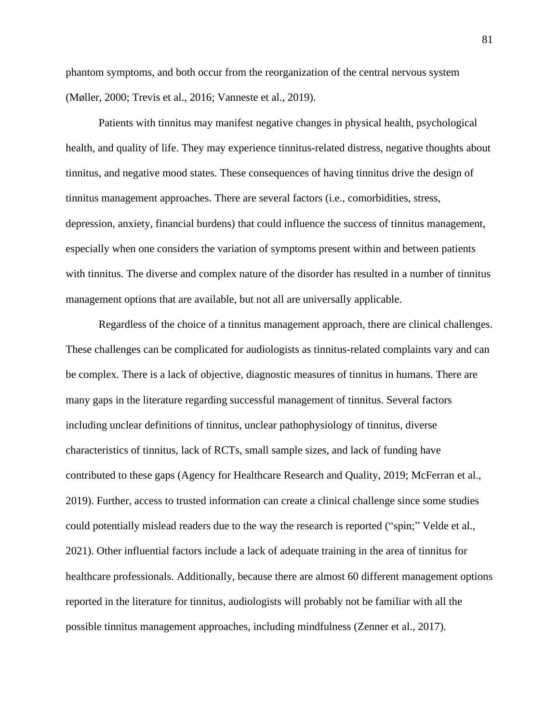phantom symptoms, and both occur from the reorganization of the central nervous system (Møller, 2000; Trevis et al., 2016; Vanneste et al., 2019).

Patients with tinnitus may manifest negative changes in physical health, psychological health, and quality of life. They may experience tinnitus-related distress, negative thoughts about tinnitus, and negative mood states. These consequences of having tinnitus drive the design of tinnitus management approaches. There are several factors (i.e., comorbidities, stress, depression, anxiety, financial burdens) that could influence the success of tinnitus management, especially when one considers the variation of symptoms present within and between patients with tinnitus. The diverse and complex nature of the disorder has resulted in a number of tinnitus management options that are available, but not all are universally applicable.

Regardless of the choice of a tinnitus management approach, there are clinical challenges. These challenges can be complicated for audiologists as tinnitus-related complaints vary and can be complex. There is a lack of objective, diagnostic measures of tinnitus in humans. There are many gaps in the literature regarding successful management of tinnitus. Several factors including unclear definitions of tinnitus, unclear pathophysiology of tinnitus, diverse characteristics of tinnitus, lack of RCTs, small sample sizes, and lack of funding have contributed to these gaps (Agency for Healthcare Research and Quality, 2019; McFerran et al., 2019). Further, access to trusted information can create a clinical challenge since some studies could potentially mislead readers due to the way the research is reported ("spin;" Velde et al., 2021). Other influential factors include a lack of adequate training in the area of tinnitus for healthcare professionals. Additionally, because there are almost 60 different management options reported in the literature for tinnitus, audiologists will probably not be familiar with all the possible tinnitus management approaches, including mindfulness (Zenner et al., 2017).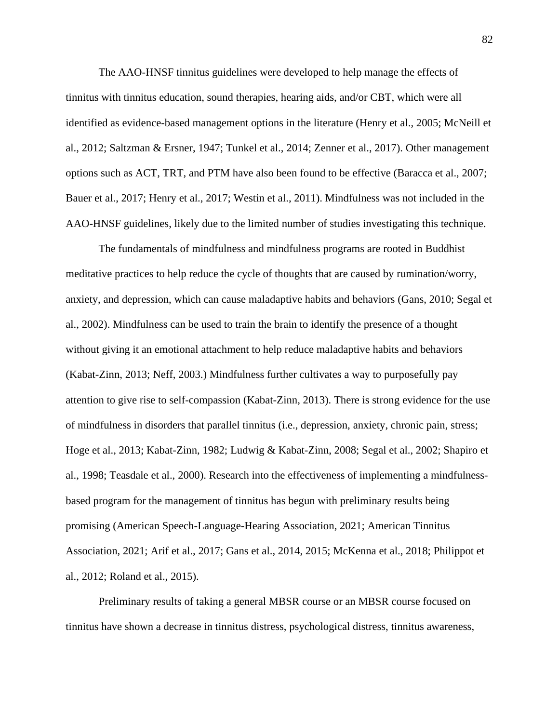The AAO-HNSF tinnitus guidelines were developed to help manage the effects of tinnitus with tinnitus education, sound therapies, hearing aids, and/or CBT, which were all identified as evidence-based management options in the literature (Henry et al., 2005; McNeill et al., 2012; Saltzman & Ersner, 1947; Tunkel et al., 2014; Zenner et al., 2017). Other management options such as ACT, TRT, and PTM have also been found to be effective (Baracca et al., 2007; Bauer et al., 2017; Henry et al., 2017; Westin et al., 2011). Mindfulness was not included in the AAO-HNSF guidelines, likely due to the limited number of studies investigating this technique.

The fundamentals of mindfulness and mindfulness programs are rooted in Buddhist meditative practices to help reduce the cycle of thoughts that are caused by rumination/worry, anxiety, and depression, which can cause maladaptive habits and behaviors (Gans, 2010; Segal et al., 2002). Mindfulness can be used to train the brain to identify the presence of a thought without giving it an emotional attachment to help reduce maladaptive habits and behaviors (Kabat-Zinn, 2013; Neff, 2003.) Mindfulness further cultivates a way to purposefully pay attention to give rise to self-compassion (Kabat-Zinn, 2013). There is strong evidence for the use of mindfulness in disorders that parallel tinnitus (i.e., depression, anxiety, chronic pain, stress; Hoge et al., 2013; Kabat-Zinn, 1982; Ludwig & Kabat-Zinn, 2008; Segal et al., 2002; Shapiro et al., 1998; Teasdale et al., 2000). Research into the effectiveness of implementing a mindfulnessbased program for the management of tinnitus has begun with preliminary results being promising (American Speech-Language-Hearing Association, 2021; American Tinnitus Association, 2021; Arif et al., 2017; Gans et al., 2014, 2015; McKenna et al., 2018; Philippot et al., 2012; Roland et al., 2015).

Preliminary results of taking a general MBSR course or an MBSR course focused on tinnitus have shown a decrease in tinnitus distress, psychological distress, tinnitus awareness,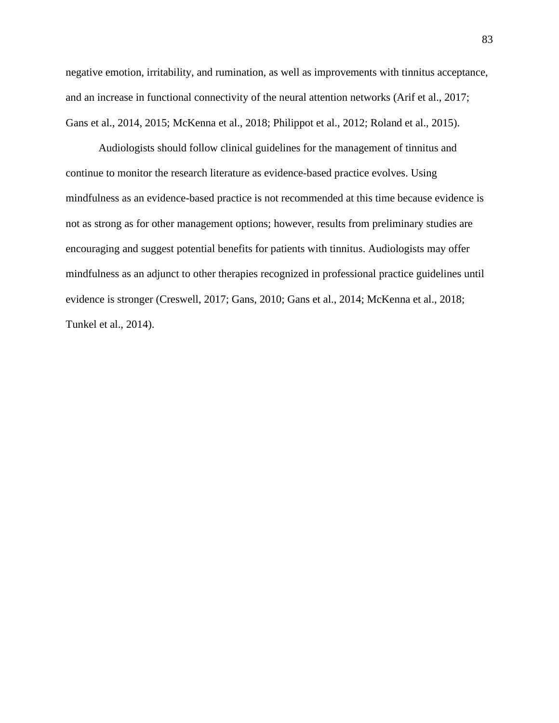negative emotion, irritability, and rumination, as well as improvements with tinnitus acceptance, and an increase in functional connectivity of the neural attention networks (Arif et al., 2017; Gans et al., 2014, 2015; McKenna et al., 2018; Philippot et al., 2012; Roland et al., 2015).

Audiologists should follow clinical guidelines for the management of tinnitus and continue to monitor the research literature as evidence-based practice evolves. Using mindfulness as an evidence-based practice is not recommended at this time because evidence is not as strong as for other management options; however, results from preliminary studies are encouraging and suggest potential benefits for patients with tinnitus. Audiologists may offer mindfulness as an adjunct to other therapies recognized in professional practice guidelines until evidence is stronger (Creswell, 2017; Gans, 2010; Gans et al., 2014; McKenna et al., 2018; Tunkel et al., 2014).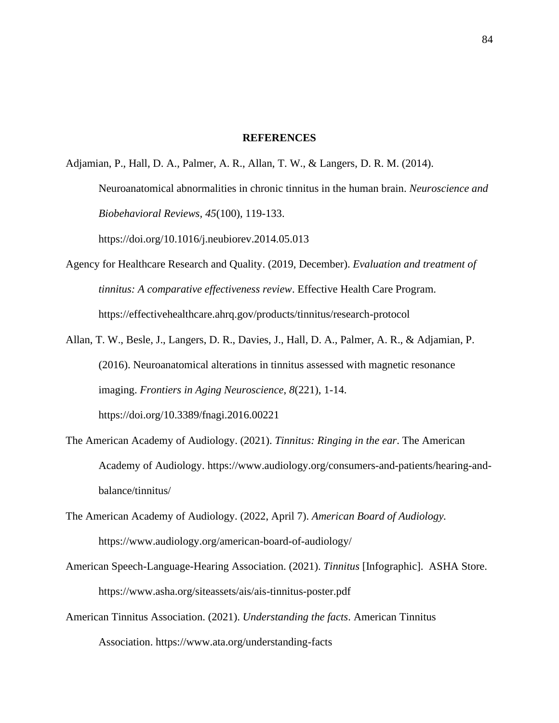## **REFERENCES**

Adjamian, P., Hall, D. A., Palmer, A. R., Allan, T. W., & Langers, D. R. M. (2014).

Neuroanatomical abnormalities in chronic tinnitus in the human brain. *Neuroscience and Biobehavioral Reviews, 45*(100), 119-133.

<https://doi.org/10.1016/j.neubiorev.2014.05.013>

- Agency for Healthcare Research and Quality. (2019, December). *Evaluation and treatment of tinnitus: A comparative effectiveness review*. Effective Health Care Program. <https://effectivehealthcare.ahrq.gov/products/tinnitus/research-protocol>
- Allan, T. W., Besle, J., Langers, D. R., Davies, J., Hall, D. A., Palmer, A. R., & Adjamian, P. (2016). Neuroanatomical alterations in tinnitus assessed with magnetic resonance imaging. *Frontiers in Aging Neuroscience*, *8*(221), 1-14. <https://doi.org/10.3389/fnagi.2016.00221>
- The American Academy of Audiology. (2021). *Tinnitus: Ringing in the ear*. The American Academy of Audiology. [https://www.audiology.org/consumers-and-patients/hearing-and](https://www.audiology.org/consumers-and-patients/hearing-and-balance/tinnitus/)[balance/tinnitus/](https://www.audiology.org/consumers-and-patients/hearing-and-balance/tinnitus/)
- The American Academy of Audiology. (2022, April 7). *American Board of Audiology.* https://www.audiology.org/american-board-of-audiology/
- American Speech-Language-Hearing Association. (2021). *Tinnitus* [Infographic]. ASHA Store. <https://www.asha.org/siteassets/ais/ais-tinnitus-poster.pdf>
- American Tinnitus Association. (2021). *Understanding the facts*. American Tinnitus Association.<https://www.ata.org/understanding-facts>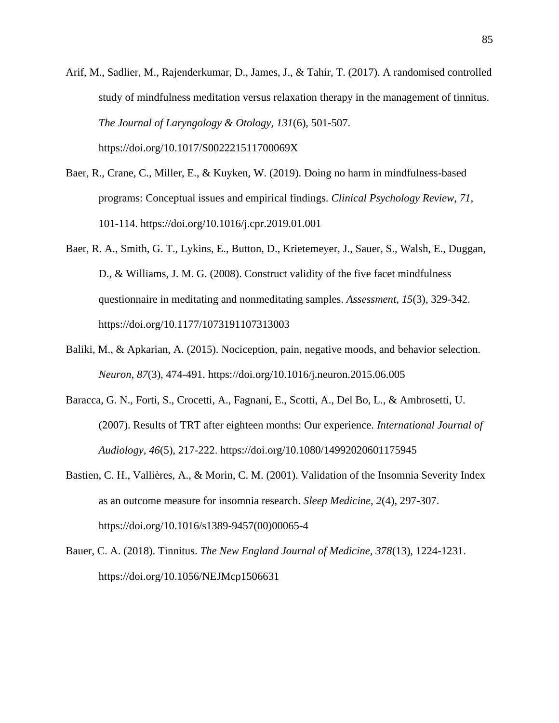- Arif, M., Sadlier, M., Rajenderkumar, D., James, J., & Tahir, T. (2017). A randomised controlled study of mindfulness meditation versus relaxation therapy in the management of tinnitus. *The Journal of Laryngology & Otology*, *131*(6), 501-507. <https://doi.org/10.1017/S002221511700069X>
- Baer, R., Crane, C., Miller, E., & Kuyken, W. (2019). Doing no harm in mindfulness-based programs: Conceptual issues and empirical findings. *Clinical Psychology Review*, *71*, 101-114.<https://doi.org/10.1016/j.cpr.2019.01.001>
- Baer, R. A., Smith, G. T., Lykins, E., Button, D., Krietemeyer, J., Sauer, S., Walsh, E., Duggan, D., & Williams, J. M. G. (2008). Construct validity of the five facet mindfulness questionnaire in meditating and nonmeditating samples. *Assessment, 15*(3), 329-342. <https://doi.org/10.1177/1073191107313003>
- Baliki, M., & Apkarian, A. (2015). Nociception, pain, negative moods, and behavior selection. *Neuron, 87*(3), 474-491.<https://doi.org/10.1016/j.neuron.2015.06.005>
- Baracca, G. N., Forti, S., Crocetti, A., Fagnani, E., Scotti, A., Del Bo, L., & Ambrosetti, U. (2007). Results of TRT after eighteen months: Our experience. *International Journal of Audiology, 46*(5), 217-222.<https://doi.org/10.1080/14992020601175945>
- Bastien, C. H., Vallières, A., & Morin, C. M. (2001). Validation of the Insomnia Severity Index as an outcome measure for insomnia research. *Sleep Medicine*, *2*(4), 297-307. [https://doi.org/10.1016/s1389-9457\(00\)00065-4](https://doi.org/10.1016/s1389-9457(00)00065-4)
- Bauer, C. A. (2018). Tinnitus. *The New England Journal of Medicine, 378*(13), 1224-1231. <https://doi.org/10.1056/NEJMcp1506631>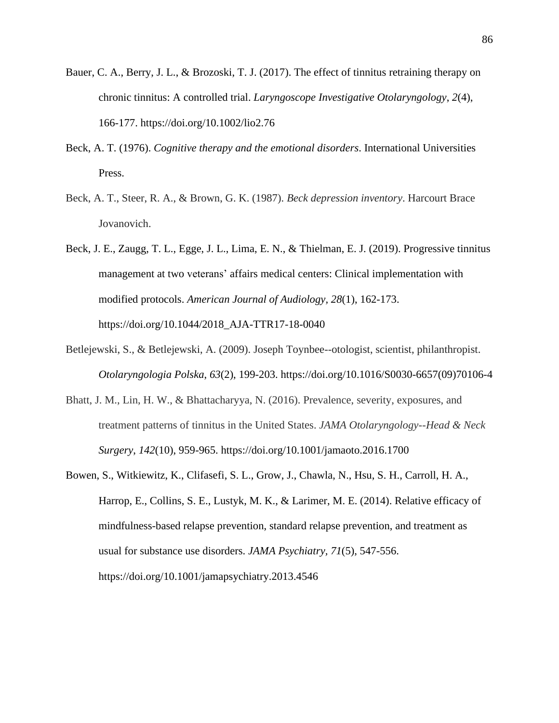- Bauer, C. A., Berry, J. L., & Brozoski, T. J. (2017). The effect of tinnitus retraining therapy on chronic tinnitus: A controlled trial. *Laryngoscope Investigative Otolaryngology*, *2*(4), 166-177.<https://doi.org/10.1002/lio2.76>
- Beck, A. T. (1976). *Cognitive therapy and the emotional disorders*. International Universities Press.
- Beck, A. T., Steer, R. A., & Brown, G. K. (1987). *Beck depression inventory*. Harcourt Brace Jovanovich.
- Beck, J. E., Zaugg, T. L., Egge, J. L., Lima, E. N., & Thielman, E. J. (2019). Progressive tinnitus management at two veterans' affairs medical centers: Clinical implementation with modified protocols. *American Journal of Audiology, 28*(1), 162-173. [https://doi.org/10.1044/2018\\_AJA-TTR17-18-0040](https://doi.org/10.1044/2018_AJA-TTR17-18-0040)
- Betlejewski, S., & Betlejewski, A. (2009). Joseph Toynbee--otologist, scientist, philanthropist. *Otolaryngologia Polska*, *63*(2), 199-203. [https://doi.org/10.1016/S0030-6657\(09\)70106-4](https://doi.org/10.1016/S0030-6657(09)70106-4)
- Bhatt, J. M., Lin, H. W., & Bhattacharyya, N. (2016). Prevalence, severity, exposures, and treatment patterns of tinnitus in the United States. *JAMA Otolaryngology--Head & Neck Surgery*, *142*(10), 959-965.<https://doi.org/10.1001/jamaoto.2016.1700>
- Bowen, S., Witkiewitz, K., Clifasefi, S. L., Grow, J., Chawla, N., Hsu, S. H., Carroll, H. A., Harrop, E., Collins, S. E., Lustyk, M. K., & Larimer, M. E. (2014). Relative efficacy of mindfulness-based relapse prevention, standard relapse prevention, and treatment as usual for substance use disorders. *JAMA Psychiatry, 71*(5), 547-556. <https://doi.org/10.1001/jamapsychiatry.2013.4546>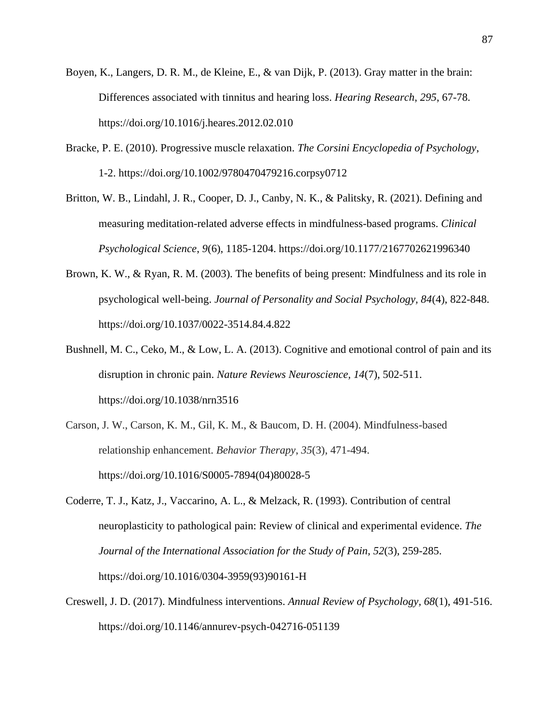- Boyen, K., Langers, D. R. M., de Kleine, E., & van Dijk, P. (2013). Gray matter in the brain: Differences associated with tinnitus and hearing loss. *Hearing Research*, *295*, 67-78. <https://doi.org/10.1016/j.heares.2012.02.010>
- Bracke, P. E. (2010). Progressive muscle relaxation. *The Corsini Encyclopedia of Psychology*, 1-2.<https://doi.org/10.1002/9780470479216.corpsy0712>
- Britton, W. B., Lindahl, J. R., Cooper, D. J., Canby, N. K., & Palitsky, R. (2021). Defining and measuring meditation-related adverse effects in mindfulness-based programs. *Clinical Psychological Science*, *9*(6), 1185-1204.<https://doi.org/10.1177/2167702621996340>
- Brown, K. W., & Ryan, R. M. (2003). The benefits of being present: Mindfulness and its role in psychological well-being. *Journal of Personality and Social Psychology, 84*(4), 822-848. <https://doi.org/10.1037/0022-3514.84.4.822>
- Bushnell, M. C., Ceko, M., & Low, L. A. (2013). Cognitive and emotional control of pain and its disruption in chronic pain. *Nature Reviews Neuroscience, 14*(7), 502-511. <https://doi.org/10.1038/nrn3516>
- Carson, J. W., Carson, K. M., Gil, K. M., & Baucom, D. H. (2004). Mindfulness-based relationship enhancement. *Behavior Therapy*, *35*(3), 471-494. [https://doi.org/10.1016/S0005-7894\(04\)80028-5](https://doi.org/10.1016/S0005-7894(04)80028-5)
- Coderre, T. J., Katz, J., Vaccarino, A. L., & Melzack, R. (1993). Contribution of central neuroplasticity to pathological pain: Review of clinical and experimental evidence. *The Journal of the International Association for the Study of Pain, 52*(3), 259-285. [https://doi.org/10.1016/0304-3959\(93\)90161-H](https://doi.org/10.1016/0304-3959(93)90161-H)
- Creswell, J. D. (2017). Mindfulness interventions. *Annual Review of Psychology, 68*(1), 491-516. <https://doi.org/10.1146/annurev-psych-042716-051139>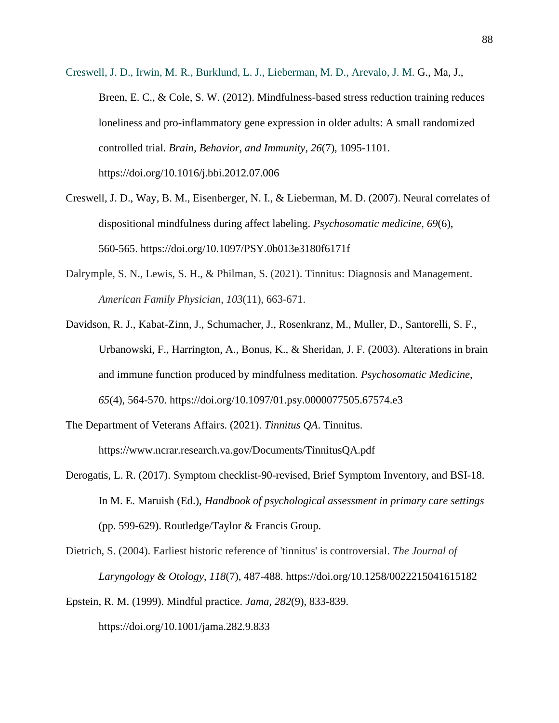- Creswell, J. D., Irwin, M. R., Burklund, L. J., Lieberman, M. D., Arevalo, J. M. G., Ma, J., Breen, E. C., & Cole, S. W. (2012). Mindfulness-based stress reduction training reduces loneliness and pro-inflammatory gene expression in older adults: A small randomized controlled trial. *Brain, Behavior, and Immunity, 26*(7), 1095-1101. <https://doi.org/10.1016/j.bbi.2012.07.006>
- Creswell, J. D., Way, B. M., Eisenberger, N. I., & Lieberman, M. D. (2007). Neural correlates of dispositional mindfulness during affect labeling. *Psychosomatic medicine*, *69*(6), 560-565.<https://doi.org/10.1097/PSY.0b013e3180f6171f>
- Dalrymple, S. N., Lewis, S. H., & Philman, S. (2021). Tinnitus: Diagnosis and Management. *American Family Physician*, *103*(11), 663-671.
- Davidson, R. J., Kabat-Zinn, J., Schumacher, J., Rosenkranz, M., Muller, D., Santorelli, S. F., Urbanowski, F., Harrington, A., Bonus, K., & Sheridan, J. F. (2003). Alterations in brain and immune function produced by mindfulness meditation. *Psychosomatic Medicine*, *65*(4), 564-570.<https://doi.org/10.1097/01.psy.0000077505.67574.e3>
- The Department of Veterans Affairs. (2021). *Tinnitus QA*. Tinnitus. <https://www.ncrar.research.va.gov/Documents/TinnitusQA.pdf>
- Derogatis, L. R. (2017). Symptom checklist-90-revised, Brief Symptom Inventory, and BSI-18. In M. E. Maruish (Ed.), *Handbook of psychological assessment in primary care settings* (pp. 599-629). Routledge/Taylor & Francis Group.
- Dietrich, S. (2004). Earliest historic reference of 'tinnitus' is controversial. *The Journal of Laryngology & Otology*, *118*(7), 487-488.<https://doi.org/10.1258/0022215041615182>
- Epstein, R. M. (1999). Mindful practice. *Jama, 282*(9), 833-839. <https://doi.org/10.1001/jama.282.9.833>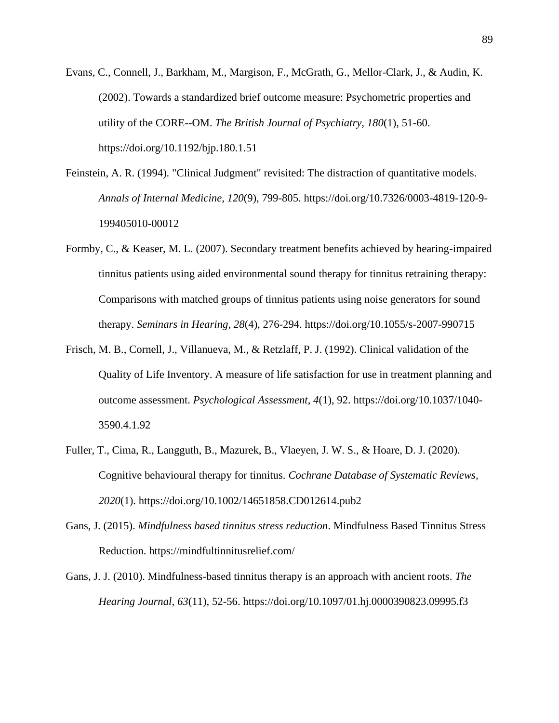- Evans, C., Connell, J., Barkham, M., Margison, F., McGrath, G., Mellor-Clark, J., & Audin, K. (2002). Towards a standardized brief outcome measure: Psychometric properties and utility of the CORE--OM. *The British Journal of Psychiatry, 180*(1), 51-60. <https://doi.org/10.1192/bjp.180.1.51>
- Feinstein, A. R. (1994). "Clinical Judgment" revisited: The distraction of quantitative models. *Annals of Internal Medicine*, *120*(9), 799-805. [https://doi.org/10.7326/0003-4819-120-9-](https://doi.org/10.7326/0003-4819-120-9-199405010-00012) [199405010-00012](https://doi.org/10.7326/0003-4819-120-9-199405010-00012)
- Formby, C., & Keaser, M. L. (2007). Secondary treatment benefits achieved by hearing-impaired tinnitus patients using aided environmental sound therapy for tinnitus retraining therapy: Comparisons with matched groups of tinnitus patients using noise generators for sound therapy. *Seminars in Hearing, 28*(4), 276-294.<https://doi.org/10.1055/s-2007-990715>
- Frisch, M. B., Cornell, J., Villanueva, M., & Retzlaff, P. J. (1992). Clinical validation of the Quality of Life Inventory. A measure of life satisfaction for use in treatment planning and outcome assessment. *Psychological Assessment*, *4*(1), 92. [https://doi.org/10.1037/1040-](https://doi.org/10.1037/1040-3590.4.1.92) [3590.4.1.92](https://doi.org/10.1037/1040-3590.4.1.92)
- Fuller, T., Cima, R., Langguth, B., Mazurek, B., Vlaeyen, J. W. S., & Hoare, D. J. (2020). Cognitive behavioural therapy for tinnitus. *Cochrane Database of Systematic Reviews, 2020*(1).<https://doi.org/10.1002/14651858.CD012614.pub2>
- Gans, J. (2015). *Mindfulness based tinnitus stress reduction*. Mindfulness Based Tinnitus Stress Reduction.<https://mindfultinnitusrelief.com/>
- Gans, J. J. (2010). Mindfulness-based tinnitus therapy is an approach with ancient roots. *The Hearing Journal*, *63*(11), 52-56.<https://doi.org/10.1097/01.hj.0000390823.09995.f3>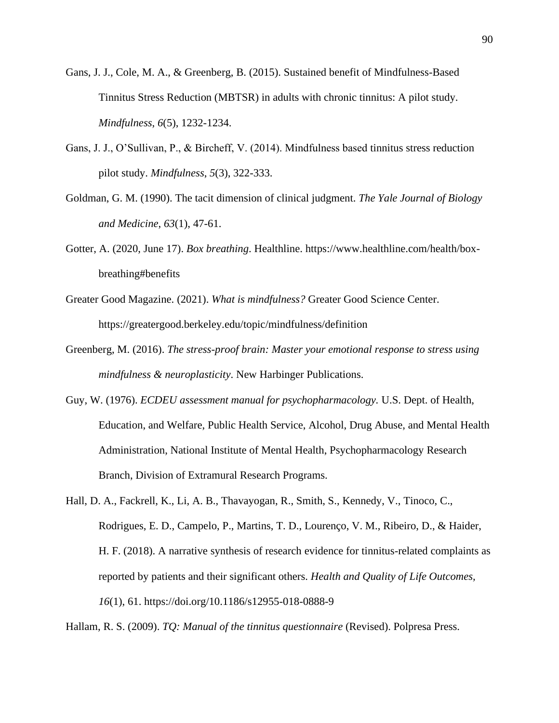- Gans, J. J., Cole, M. A., & Greenberg, B. (2015). Sustained benefit of Mindfulness-Based Tinnitus Stress Reduction (MBTSR) in adults with chronic tinnitus: A pilot study. *Mindfulness*, *6*(5), 1232-1234.
- Gans, J. J., O'Sullivan, P., & Bircheff, V. (2014). Mindfulness based tinnitus stress reduction pilot study. *Mindfulness*, *5*(3), 322-333.
- Goldman, G. M. (1990). The tacit dimension of clinical judgment. *The Yale Journal of Biology and Medicine*, *63*(1), 47-61.
- Gotter, A. (2020, June 17). *Box breathing*. Healthline. [https://www.healthline.com/health/box](https://www.healthline.com/health/box-breathing%23benefits)[breathing#benefits](https://www.healthline.com/health/box-breathing%23benefits)
- Greater Good Magazine. (2021). *What is mindfulness?* Greater Good Science Center. https://greatergood.berkeley.edu/topic/mindfulness/definition
- Greenberg, M. (2016). *The stress-proof brain: Master your emotional response to stress using mindfulness & neuroplasticity*. New Harbinger Publications.
- Guy, W. (1976). *ECDEU assessment manual for psychopharmacology.* U.S. Dept. of Health, Education, and Welfare, Public Health Service, Alcohol, Drug Abuse, and Mental Health Administration, National Institute of Mental Health, Psychopharmacology Research Branch, Division of Extramural Research Programs.
- Hall, D. A., Fackrell, K., Li, A. B., Thavayogan, R., Smith, S., Kennedy, V., Tinoco, C., Rodrigues, E. D., Campelo, P., Martins, T. D., Lourenço, V. M., Ribeiro, D., & Haider, H. F. (2018). A narrative synthesis of research evidence for tinnitus-related complaints as reported by patients and their significant others. *Health and Quality of Life Outcomes, 16*(1), 61.<https://doi.org/10.1186/s12955-018-0888-9>

Hallam, R. S. (2009). *TQ: Manual of the tinnitus questionnaire* (Revised). Polpresa Press.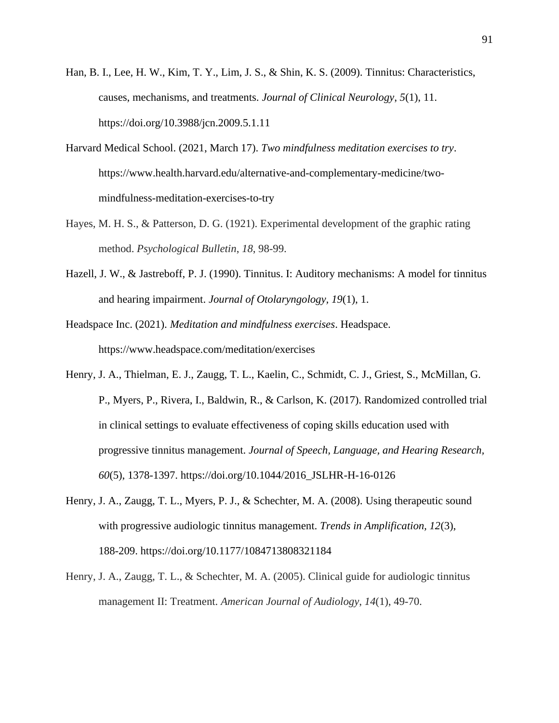- Han, B. I., Lee, H. W., Kim, T. Y., Lim, J. S., & Shin, K. S. (2009). Tinnitus: Characteristics, causes, mechanisms, and treatments. *Journal of Clinical Neurology*, *5*(1), 11. <https://doi.org/10.3988/jcn.2009.5.1.11>
- Harvard Medical School. (2021, March 17). *Two mindfulness meditation exercises to try*. [https://www.health.harvard.edu/alternative-and-complementary-medicine/two](https://www.health.harvard.edu/alternative-and-complementary-medicine/two-mindfulness-meditation-exercises-to-try)[mindfulness-meditation-exercises-to-try](https://www.health.harvard.edu/alternative-and-complementary-medicine/two-mindfulness-meditation-exercises-to-try)
- Hayes, M. H. S., & Patterson, D. G. (1921). Experimental development of the graphic rating method. *Psychological Bulletin*, *18*, 98-99.
- Hazell, J. W., & Jastreboff, P. J. (1990). Tinnitus. I: Auditory mechanisms: A model for tinnitus and hearing impairment. *Journal of Otolaryngology, 19*(1), 1.
- Headspace Inc. (2021). *Meditation and mindfulness exercises*. Headspace. <https://www.headspace.com/meditation/exercises>
- Henry, J. A., Thielman, E. J., Zaugg, T. L., Kaelin, C., Schmidt, C. J., Griest, S., McMillan, G. P., Myers, P., Rivera, I., Baldwin, R., & Carlson, K. (2017). Randomized controlled trial in clinical settings to evaluate effectiveness of coping skills education used with progressive tinnitus management. *Journal of Speech, Language, and Hearing Research, 60*(5), 1378-1397. [https://doi.org/10.1044/2016\\_JSLHR-H-16-0126](https://doi.org/10.1044/2016_JSLHR-H-16-0126)
- Henry, J. A., Zaugg, T. L., Myers, P. J., & Schechter, M. A. (2008). Using therapeutic sound with progressive audiologic tinnitus management. *Trends in Amplification, 12*(3), 188-209.<https://doi.org/10.1177/1084713808321184>
- Henry, J. A., Zaugg, T. L., & Schechter, M. A. (2005). Clinical guide for audiologic tinnitus management II: Treatment. *American Journal of Audiology*, *14*(1), 49-70.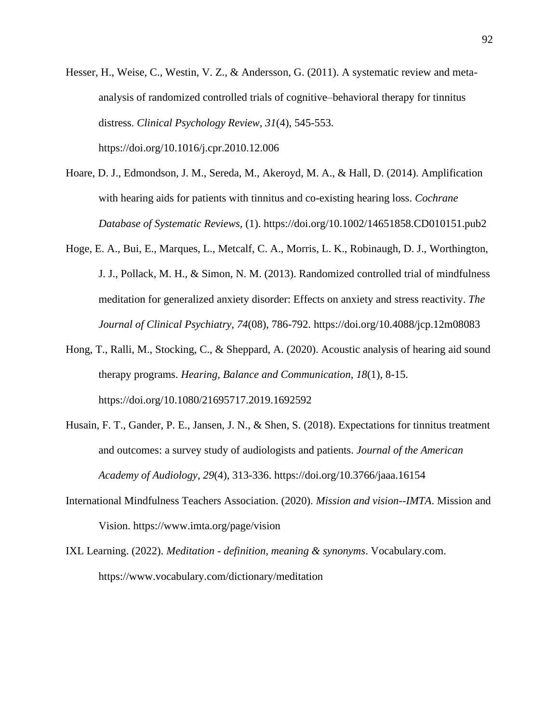- Hesser, H., Weise, C., Westin, V. Z., & Andersson, G. (2011). A systematic review and metaanalysis of randomized controlled trials of cognitive–behavioral therapy for tinnitus distress. *Clinical Psychology Review, 31*(4), 545-553. <https://doi.org/10.1016/j.cpr.2010.12.006>
- Hoare, D. J., Edmondson, J. M., Sereda, M., Akeroyd, M. A., & Hall, D. (2014). Amplification with hearing aids for patients with tinnitus and co-existing hearing loss. *Cochrane Database of Systematic Reviews,* (1).<https://doi.org/10.1002/14651858.CD010151.pub2>
- Hoge, E. A., Bui, E., Marques, L., Metcalf, C. A., Morris, L. K., Robinaugh, D. J., Worthington, J. J., Pollack, M. H., & Simon, N. M. (2013). Randomized controlled trial of mindfulness meditation for generalized anxiety disorder: Effects on anxiety and stress reactivity. *The Journal of Clinical Psychiatry, 74*(08), 786-792.<https://doi.org/10.4088/jcp.12m08083>
- Hong, T., Ralli, M., Stocking, C., & Sheppard, A. (2020). Acoustic analysis of hearing aid sound therapy programs. *Hearing, Balance and Communication, 18*(1), 8-15. <https://doi.org/10.1080/21695717.2019.1692592>
- Husain, F. T., Gander, P. E., Jansen, J. N., & Shen, S. (2018). Expectations for tinnitus treatment and outcomes: a survey study of audiologists and patients. *Journal of the American Academy of Audiology, 29*(4), 313-336. <https://doi.org/10.3766/jaaa.16154>
- International Mindfulness Teachers Association. (2020). *Mission and vision--IMTA*. Mission and Vision.<https://www.imta.org/page/vision>
- IXL Learning. (2022). *Meditation - definition, meaning & synonyms*. Vocabulary.com. https://www.vocabulary.com/dictionary/meditation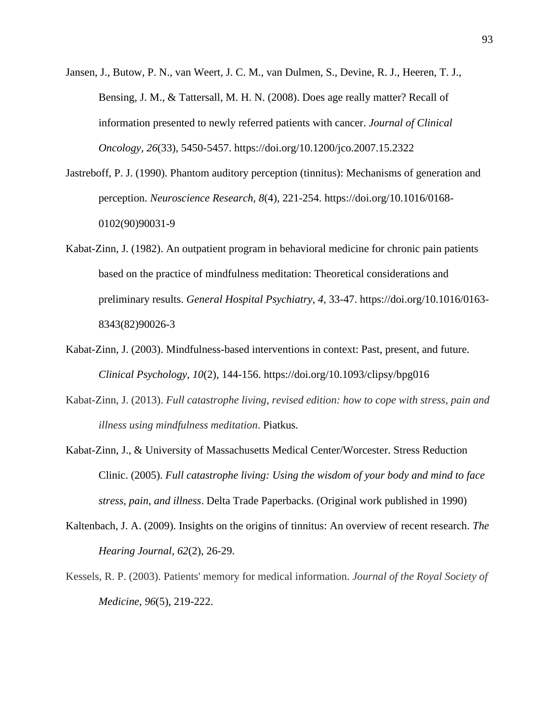- Jansen, J., Butow, P. N., van Weert, J. C. M., van Dulmen, S., Devine, R. J., Heeren, T. J., Bensing, J. M., & Tattersall, M. H. N. (2008). Does age really matter? Recall of information presented to newly referred patients with cancer. *Journal of Clinical Oncology, 26*(33), 5450-5457.<https://doi.org/10.1200/jco.2007.15.2322>
- Jastreboff, P. J. (1990). Phantom auditory perception (tinnitus): Mechanisms of generation and perception. *Neuroscience Research, 8*(4), 221-254. [https://doi.org/10.1016/0168-](https://doi.org/10.1016/0168-0102(90)90031-9) [0102\(90\)90031-9](https://doi.org/10.1016/0168-0102(90)90031-9)
- Kabat-Zinn, J. (1982). An outpatient program in behavioral medicine for chronic pain patients based on the practice of mindfulness meditation: Theoretical considerations and preliminary results. *General Hospital Psychiatry*, *4*, 33-47. [https://doi.org/10.1016/0163-](https://doi.org/10.1016/0163-8343(82)90026-3) [8343\(82\)90026-3](https://doi.org/10.1016/0163-8343(82)90026-3)
- Kabat-Zinn, J. (2003). Mindfulness-based interventions in context: Past, present, and future. *Clinical Psychology, 10*(2), 144-156.<https://doi.org/10.1093/clipsy/bpg016>
- Kabat-Zinn, J. (2013). *Full catastrophe living, revised edition: how to cope with stress, pain and illness using mindfulness meditation*. Piatkus.
- Kabat-Zinn, J., & University of Massachusetts Medical Center/Worcester. Stress Reduction Clinic. (2005). *Full catastrophe living: Using the wisdom of your body and mind to face stress, pain, and illness*. Delta Trade Paperbacks. (Original work published in 1990)
- Kaltenbach, J. A. (2009). Insights on the origins of tinnitus: An overview of recent research. *The Hearing Journal*, *62*(2), 26-29.
- Kessels, R. P. (2003). Patients' memory for medical information. *Journal of the Royal Society of Medicine*, *96*(5), 219-222.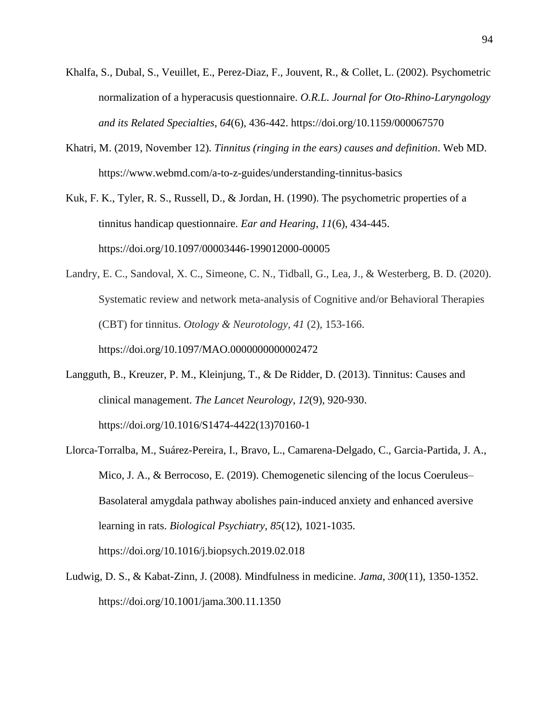- Khalfa, S., Dubal, S., Veuillet, E., Perez-Diaz, F., Jouvent, R., & Collet, L. (2002). Psychometric normalization of a hyperacusis questionnaire. *O.R.L. Journal for Oto-Rhino-Laryngology and its Related Specialties*, *64*(6), 436-442.<https://doi.org/10.1159/000067570>
- Khatri, M. (2019, November 12). *Tinnitus (ringing in the ears) causes and definition*. Web MD. <https://www.webmd.com/a-to-z-guides/understanding-tinnitus-basics>

Kuk, F. K., Tyler, R. S., Russell, D., & Jordan, H. (1990). The psychometric properties of a tinnitus handicap questionnaire. *Ear and Hearing*, *11*(6), 434-445. <https://doi.org/10.1097/00003446-199012000-00005>

- Landry, E. C., Sandoval, X. C., Simeone, C. N., Tidball, G., Lea, J., & Westerberg, B. D. (2020). Systematic review and network meta-analysis of Cognitive and/or Behavioral Therapies (CBT) for tinnitus. *Otology & Neurotology, 41* (2), 153-166. <https://doi.org/10.1097/MAO.0000000000002472>
- Langguth, B., Kreuzer, P. M., Kleinjung, T., & De Ridder, D. (2013). Tinnitus: Causes and clinical management. *The Lancet Neurology*, *12*(9), 920-930. [https://doi.org/10.1016/S1474-4422\(13\)70160-1](https://doi.org/10.1016/S1474-4422(13)70160-1)
- Llorca-Torralba, M., Suárez-Pereira, I., Bravo, L., Camarena-Delgado, C., Garcia-Partida, J. A., Mico, J. A., & Berrocoso, E. (2019). Chemogenetic silencing of the locus Coeruleus– Basolateral amygdala pathway abolishes pain-induced anxiety and enhanced aversive learning in rats. *Biological Psychiatry, 85*(12), 1021-1035. <https://doi.org/10.1016/j.biopsych.2019.02.018>
- Ludwig, D. S., & Kabat-Zinn, J. (2008). Mindfulness in medicine. *Jama*, *300*(11), 1350-1352. <https://doi.org/10.1001/jama.300.11.1350>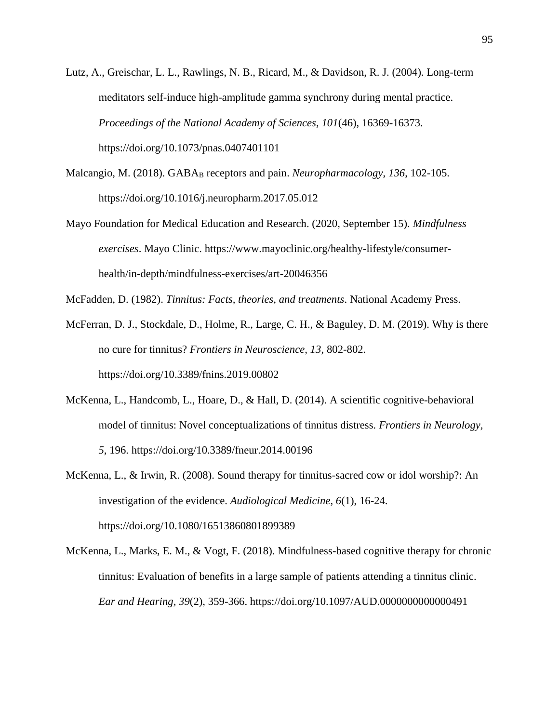- Lutz, A., Greischar, L. L., Rawlings, N. B., Ricard, M., & Davidson, R. J. (2004). Long-term meditators self-induce high-amplitude gamma synchrony during mental practice. *Proceedings of the National Academy of Sciences, 101*(46), 16369-16373. <https://doi.org/10.1073/pnas.0407401101>
- Malcangio, M. (2018). GABA<sup>B</sup> receptors and pain. *Neuropharmacology*, *136*, 102-105. <https://doi.org/10.1016/j.neuropharm.2017.05.012>
- Mayo Foundation for Medical Education and Research. (2020, September 15). *Mindfulness exercises*. Mayo Clinic. [https://www.mayoclinic.org/healthy-lifestyle/consumer](https://www.mayoclinic.org/healthy-lifestyle/consumer-health/in-depth/mindfulness-exercises/art-20046356)[health/in-depth/mindfulness-exercises/art-20046356](https://www.mayoclinic.org/healthy-lifestyle/consumer-health/in-depth/mindfulness-exercises/art-20046356)

McFadden, D. (1982). *Tinnitus: Facts, theories, and treatments*. National Academy Press.

McFerran, D. J., Stockdale, D., Holme, R., Large, C. H., & Baguley, D. M. (2019). Why is there no cure for tinnitus? *Frontiers in Neuroscience, 13*, 802-802. <https://doi.org/10.3389/fnins.2019.00802>

- McKenna, L., Handcomb, L., Hoare, D., & Hall, D. (2014). A scientific cognitive-behavioral model of tinnitus: Novel conceptualizations of tinnitus distress. *Frontiers in Neurology, 5*, 196.<https://doi.org/10.3389/fneur.2014.00196>
- McKenna, L., & Irwin, R. (2008). Sound therapy for tinnitus-sacred cow or idol worship?: An investigation of the evidence. *Audiological Medicine*, *6*(1), 16-24. <https://doi.org/10.1080/16513860801899389>
- McKenna, L., Marks, E. M., & Vogt, F. (2018). Mindfulness-based cognitive therapy for chronic tinnitus: Evaluation of benefits in a large sample of patients attending a tinnitus clinic. *Ear and Hearing, 39*(2), 359-366.<https://doi.org/10.1097/AUD.0000000000000491>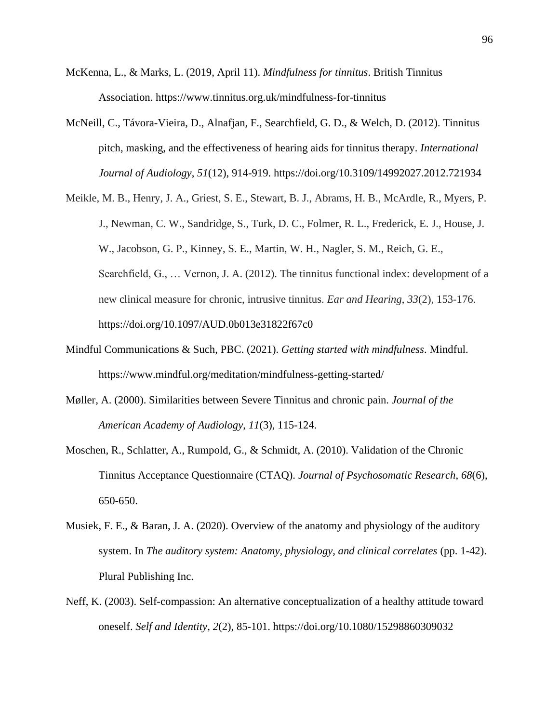- McKenna, L., & Marks, L. (2019, April 11). *Mindfulness for tinnitus*. British Tinnitus Association.<https://www.tinnitus.org.uk/mindfulness-for-tinnitus>
- McNeill, C., Távora-Vieira, D., Alnafjan, F., Searchfield, G. D., & Welch, D. (2012). Tinnitus pitch, masking, and the effectiveness of hearing aids for tinnitus therapy. *International Journal of Audiology*, *51*(12), 914-919. <https://doi.org/10.3109/14992027.2012.721934>
- Meikle, M. B., Henry, J. A., Griest, S. E., Stewart, B. J., Abrams, H. B., McArdle, R., Myers, P. J., Newman, C. W., Sandridge, S., Turk, D. C., Folmer, R. L., Frederick, E. J., House, J. W., Jacobson, G. P., Kinney, S. E., Martin, W. H., Nagler, S. M., Reich, G. E., Searchfield, G., … Vernon, J. A. (2012). The tinnitus functional index: development of a new clinical measure for chronic, intrusive tinnitus. *Ear and Hearing*, *33*(2), 153-176. <https://doi.org/10.1097/AUD.0b013e31822f67c0>
- Mindful Communications & Such, PBC. (2021). *Getting started with mindfulness*. Mindful. <https://www.mindful.org/meditation/mindfulness-getting-started/>
- Møller, A. (2000). Similarities between Severe Tinnitus and chronic pain. *Journal of the American Academy of Audiology*, *11*(3), 115-124.
- Moschen, R., Schlatter, A., Rumpold, G., & Schmidt, A. (2010). Validation of the Chronic Tinnitus Acceptance Questionnaire (CTAQ). *Journal of Psychosomatic Research*, *68*(6), 650-650.
- Musiek, F. E., & Baran, J. A. (2020). Overview of the anatomy and physiology of the auditory system. In *The auditory system: Anatomy, physiology, and clinical correlates* (pp. 1-42). Plural Publishing Inc.
- Neff, K. (2003). Self-compassion: An alternative conceptualization of a healthy attitude toward oneself. *Self and Identity, 2*(2), 85-101.<https://doi.org/10.1080/15298860309032>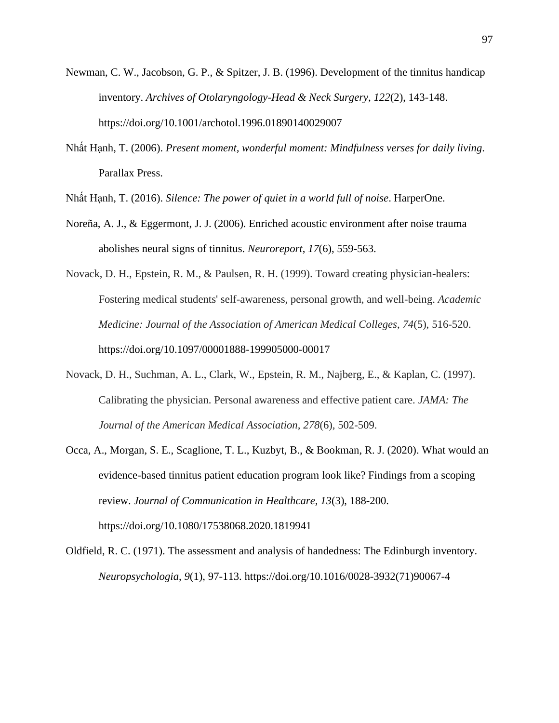- Newman, C. W., Jacobson, G. P., & Spitzer, J. B. (1996). Development of the tinnitus handicap inventory. *Archives of Otolaryngology-Head & Neck Surgery*, *122*(2), 143-148. <https://doi.org/10.1001/archotol.1996.01890140029007>
- Nhất Hạnh, T. (2006). *Present moment, wonderful moment: Mindfulness verses for daily living*. Parallax Press.
- Nhất Hạnh, T. (2016). *Silence: The power of quiet in a world full of noise*. HarperOne.
- Noreña, A. J., & Eggermont, J. J. (2006). Enriched acoustic environment after noise trauma abolishes neural signs of tinnitus. *Neuroreport*, *17*(6), 559-563.
- Novack, D. H., Epstein, R. M., & Paulsen, R. H. (1999). Toward creating physician-healers: Fostering medical students' self-awareness, personal growth, and well-being. *Academic Medicine: Journal of the Association of American Medical Colleges*, *74*(5), 516-520. <https://doi.org/10.1097/00001888-199905000-00017>
- Novack, D. H., Suchman, A. L., Clark, W., Epstein, R. M., Najberg, E., & Kaplan, C. (1997). Calibrating the physician. Personal awareness and effective patient care. *JAMA: The Journal of the American Medical Association, 278*(6), 502-509.
- Occa, A., Morgan, S. E., Scaglione, T. L., Kuzbyt, B., & Bookman, R. J. (2020). What would an evidence-based tinnitus patient education program look like? Findings from a scoping review. *Journal of Communication in Healthcare, 13*(3), 188-200. <https://doi.org/10.1080/17538068.2020.1819941>
- Oldfield, R. C. (1971). The assessment and analysis of handedness: The Edinburgh inventory. *Neuropsychologia*, *9*(1), 97-113. [https://doi.org/10.1016/0028-3932\(71\)90067-4](https://doi.org/10.1016/0028-3932(71)90067-4)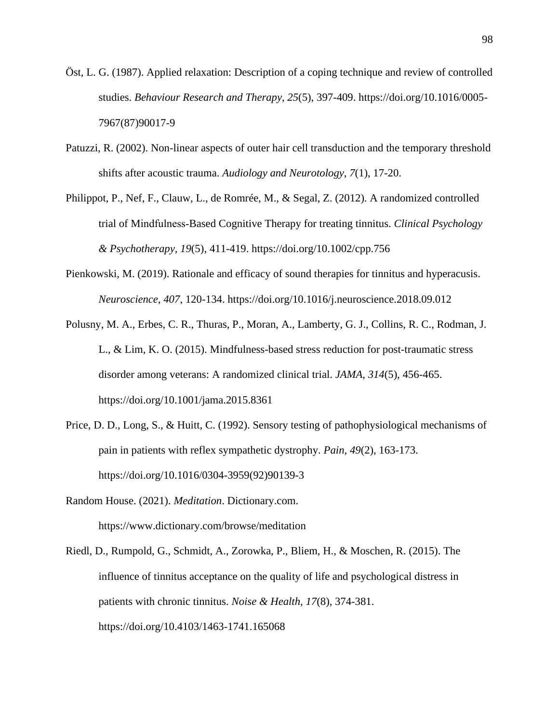- Öst, L. G. (1987). Applied relaxation: Description of a coping technique and review of controlled studies. *Behaviour Research and Therapy*, *25*(5), 397-409. [https://doi.org/10.1016/0005-](https://doi.org/10.1016/0005-7967(87)90017-9) [7967\(87\)90017-9](https://doi.org/10.1016/0005-7967(87)90017-9)
- Patuzzi, R. (2002). Non-linear aspects of outer hair cell transduction and the temporary threshold shifts after acoustic trauma. *Audiology and Neurotology*, *7*(1), 17-20.
- Philippot, P., Nef, F., Clauw, L., de Romrée, M., & Segal, Z. (2012). A randomized controlled trial of Mindfulness‐Based Cognitive Therapy for treating tinnitus. *Clinical Psychology & Psychotherapy*, *19*(5), 411-419.<https://doi.org/10.1002/cpp.756>
- Pienkowski, M. (2019). Rationale and efficacy of sound therapies for tinnitus and hyperacusis. *Neuroscience*, *407*, 120-134.<https://doi.org/10.1016/j.neuroscience.2018.09.012>
- Polusny, M. A., Erbes, C. R., Thuras, P., Moran, A., Lamberty, G. J., Collins, R. C., Rodman, J. L., & Lim, K. O. (2015). Mindfulness-based stress reduction for post-traumatic stress disorder among veterans: A randomized clinical trial. *JAMA*, *314*(5), 456-465. <https://doi.org/10.1001/jama.2015.8361>
- Price, D. D., Long, S., & Huitt, C. (1992). Sensory testing of pathophysiological mechanisms of pain in patients with reflex sympathetic dystrophy. *Pain, 49*(2), 163-173. [https://doi.org/10.1016/0304-3959\(92\)90139-3](https://doi.org/10.1016/0304-3959(92)90139-3)
- Random House. (2021). *Meditation*. Dictionary.com. <https://www.dictionary.com/browse/meditation>
- Riedl, D., Rumpold, G., Schmidt, A., Zorowka, P., Bliem, H., & Moschen, R. (2015). The influence of tinnitus acceptance on the quality of life and psychological distress in patients with chronic tinnitus. *Noise & Health, 17*(8), 374-381. <https://doi.org/10.4103/1463-1741.165068>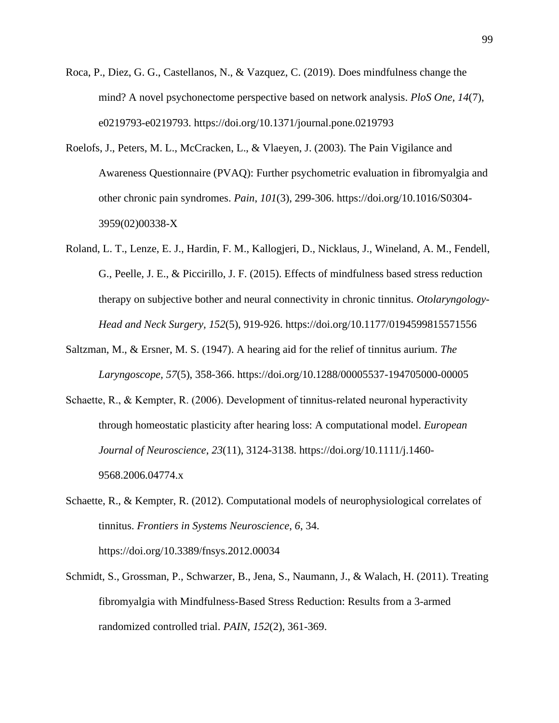- Roca, P., Diez, G. G., Castellanos, N., & Vazquez, C. (2019). Does mindfulness change the mind? A novel psychonectome perspective based on network analysis. *PloS One, 14*(7), e0219793-e0219793.<https://doi.org/10.1371/journal.pone.0219793>
- Roelofs, J., Peters, M. L., McCracken, L., & Vlaeyen, J. (2003). The Pain Vigilance and Awareness Questionnaire (PVAQ): Further psychometric evaluation in fibromyalgia and other chronic pain syndromes. *Pain*, *101*(3), 299-306. [https://doi.org/10.1016/S0304-](https://doi.org/10.1016/S0304-3959(02)00338-X) [3959\(02\)00338-X](https://doi.org/10.1016/S0304-3959(02)00338-X)
- Roland, L. T., Lenze, E. J., Hardin, F. M., Kallogjeri, D., Nicklaus, J., Wineland, A. M., Fendell, G., Peelle, J. E., & Piccirillo, J. F. (2015). Effects of mindfulness based stress reduction therapy on subjective bother and neural connectivity in chronic tinnitus. *Otolaryngology-Head and Neck Surgery, 152*(5), 919-926.<https://doi.org/10.1177/0194599815571556>
- Saltzman, M., & Ersner, M. S. (1947). A hearing aid for the relief of tinnitus aurium. *The Laryngoscope, 57*(5), 358-366.<https://doi.org/10.1288/00005537-194705000-00005>
- Schaette, R., & Kempter, R. (2006). Development of tinnitus-related neuronal hyperactivity through homeostatic plasticity after hearing loss: A computational model. *European Journal of Neuroscience*, *23*(11), 3124-3138. [https://doi.org/10.1111/j.1460-](https://doi.org/10.1111/j.1460-9568.2006.04774.x) [9568.2006.04774.x](https://doi.org/10.1111/j.1460-9568.2006.04774.x)
- Schaette, R., & Kempter, R. (2012). Computational models of neurophysiological correlates of tinnitus. *Frontiers in Systems Neuroscience*, *6*, 34. <https://doi.org/10.3389/fnsys.2012.00034>
- Schmidt, S., Grossman, P., Schwarzer, B., Jena, S., Naumann, J., & Walach, H. (2011). Treating fibromyalgia with Mindfulness-Based Stress Reduction: Results from a 3-armed randomized controlled trial. *PAIN*, *152*(2), 361-369.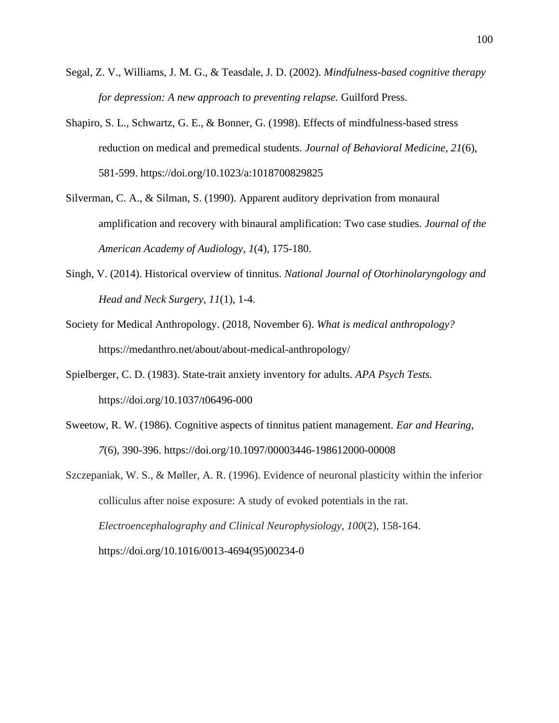- Segal, Z. V., Williams, J. M. G., & Teasdale, J. D. (2002). *Mindfulness-based cognitive therapy for depression: A new approach to preventing relapse.* Guilford Press.
- Shapiro, S. L., Schwartz, G. E., & Bonner, G. (1998). Effects of mindfulness-based stress reduction on medical and premedical students. *Journal of Behavioral Medicine*, *21*(6), 581-599.<https://doi.org/10.1023/a:1018700829825>
- Silverman, C. A., & Silman, S. (1990). Apparent auditory deprivation from monaural amplification and recovery with binaural amplification: Two case studies. *Journal of the American Academy of Audiology*, *1*(4), 175-180.
- Singh, V. (2014). Historical overview of tinnitus. *National Journal of Otorhinolaryngology and Head and Neck Surgery*, *11*(1), 1-4.
- Society for Medical Anthropology. (2018, November 6). *What is medical anthropology?*  <https://medanthro.net/about/about-medical-anthropology/>
- Spielberger, C. D. (1983). State-trait anxiety inventory for adults. *APA Psych Tests.* <https://doi.org/10.1037/t06496-000>
- Sweetow, R. W. (1986). Cognitive aspects of tinnitus patient management. *Ear and Hearing*, *7*(6), 390-396.<https://doi.org/10.1097/00003446-198612000-00008>
- Szczepaniak, W. S., & Møller, A. R. (1996). Evidence of neuronal plasticity within the inferior colliculus after noise exposure: A study of evoked potentials in the rat. *Electroencephalography and Clinical Neurophysiology*, *100*(2), 158-164. [https://doi.org/10.1016/0013-4694\(95\)00234-0](https://doi.org/10.1016/0013-4694(95)00234-0)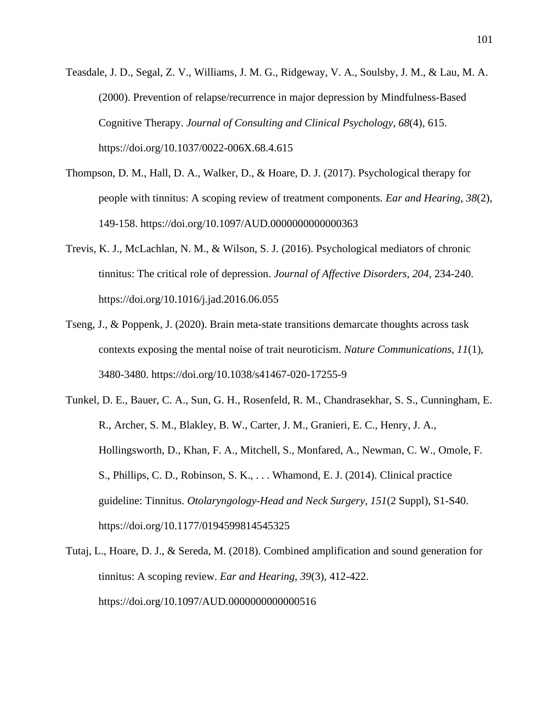Teasdale, J. D., Segal, Z. V., Williams, J. M. G., Ridgeway, V. A., Soulsby, J. M., & Lau, M. A. (2000). Prevention of relapse/recurrence in major depression by Mindfulness-Based Cognitive Therapy. *Journal of Consulting and Clinical Psychology*, *68*(4), 615. <https://doi.org/10.1037/0022-006X.68.4.615>

- Thompson, D. M., Hall, D. A., Walker, D., & Hoare, D. J. (2017). Psychological therapy for people with tinnitus: A scoping review of treatment components. *Ear and Hearing, 38*(2), 149-158.<https://doi.org/10.1097/AUD.0000000000000363>
- Trevis, K. J., McLachlan, N. M., & Wilson, S. J. (2016). Psychological mediators of chronic tinnitus: The critical role of depression. *Journal of Affective Disorders*, *204*, 234-240. <https://doi.org/10.1016/j.jad.2016.06.055>
- Tseng, J., & Poppenk, J. (2020). Brain meta-state transitions demarcate thoughts across task contexts exposing the mental noise of trait neuroticism. *Nature Communications, 11*(1), 3480-3480.<https://doi.org/10.1038/s41467-020-17255-9>

Tunkel, D. E., Bauer, C. A., Sun, G. H., Rosenfeld, R. M., Chandrasekhar, S. S., Cunningham, E. R., Archer, S. M., Blakley, B. W., Carter, J. M., Granieri, E. C., Henry, J. A., Hollingsworth, D., Khan, F. A., Mitchell, S., Monfared, A., Newman, C. W., Omole, F. S., Phillips, C. D., Robinson, S. K., . . . Whamond, E. J. (2014). Clinical practice guideline: Tinnitus. *Otolaryngology-Head and Neck Surgery, 151*(2 Suppl), S1-S40. <https://doi.org/10.1177/0194599814545325>

Tutaj, L., Hoare, D. J., & Sereda, M. (2018). Combined amplification and sound generation for tinnitus: A scoping review. *Ear and Hearing*, *39*(3), 412-422. <https://doi.org/10.1097/AUD.0000000000000516>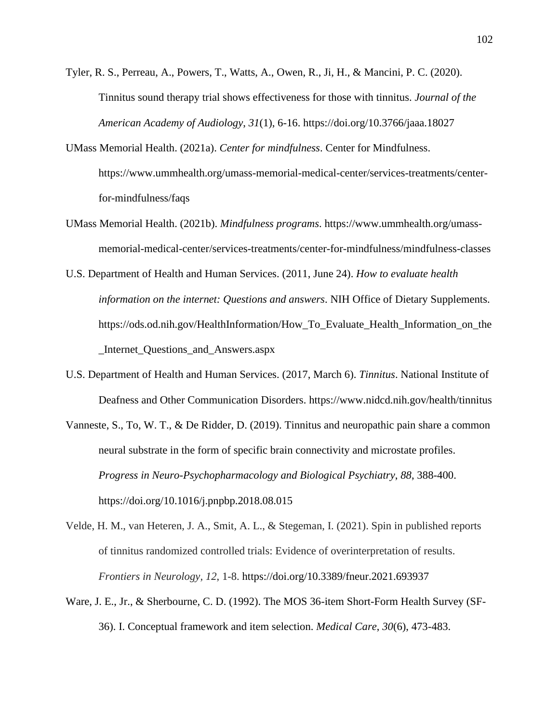- Tyler, R. S., Perreau, A., Powers, T., Watts, A., Owen, R., Ji, H., & Mancini, P. C. (2020). Tinnitus sound therapy trial shows effectiveness for those with tinnitus. *Journal of the American Academy of Audiology*, *31*(1), 6-16.<https://doi.org/10.3766/jaaa.18027>
- UMass Memorial Health. (2021a). *Center for mindfulness*. Center for Mindfulness. [https://www.ummhealth.org/umass-memorial-medical-center/services-treatments/center](https://www.ummhealth.org/umass-memorial-medical-center/services-treatments/center-for-mindfulness)[for-mindfulness/](https://www.ummhealth.org/umass-memorial-medical-center/services-treatments/center-for-mindfulness)faqs
- UMass Memorial Health. (2021b). *Mindfulness programs*. [https://www.ummhealth.org/umass](https://www.ummhealth.org/umass-memorial-medical-center/services-treatments/center-for-mindfulness/mindfulness-classes)[memorial-medical-center/services-treatments/center-for-mindfulness/mindfulness-classes](https://www.ummhealth.org/umass-memorial-medical-center/services-treatments/center-for-mindfulness/mindfulness-classes)
- U.S. Department of Health and Human Services. (2011, June 24). *How to evaluate health information on the internet: Questions and answers*. NIH Office of Dietary Supplements. [https://ods.od.nih.gov/HealthInformation/How\\_To\\_Evaluate\\_Health\\_Information\\_on\\_the](https://ods.od.nih.gov/HealthInformation/How_To_Evaluate_Health_Information_on_the_Internet_Questions_and_Answers.aspx) [\\_Internet\\_Questions\\_and\\_Answers.aspx](https://ods.od.nih.gov/HealthInformation/How_To_Evaluate_Health_Information_on_the_Internet_Questions_and_Answers.aspx)
- U.S. Department of Health and Human Services. (2017, March 6). *Tinnitus*. National Institute of Deafness and Other Communication Disorders.<https://www.nidcd.nih.gov/health/tinnitus>
- Vanneste, S., To, W. T., & De Ridder, D. (2019). Tinnitus and neuropathic pain share a common neural substrate in the form of specific brain connectivity and microstate profiles. *Progress in Neuro-Psychopharmacology and Biological Psychiatry*, *88*, 388-400. <https://doi.org/10.1016/j.pnpbp.2018.08.015>
- Velde, H. M., van Heteren, J. A., Smit, A. L., & Stegeman, I. (2021). Spin in published reports of tinnitus randomized controlled trials: Evidence of overinterpretation of results. *Frontiers in Neurology, 12*, 1-8. <https://doi.org/10.3389/fneur.2021.693937>
- Ware, J. E., Jr., & Sherbourne, C. D. (1992). The MOS 36-item Short-Form Health Survey (SF-36). I. Conceptual framework and item selection. *Medical Care*, *30*(6), 473-483.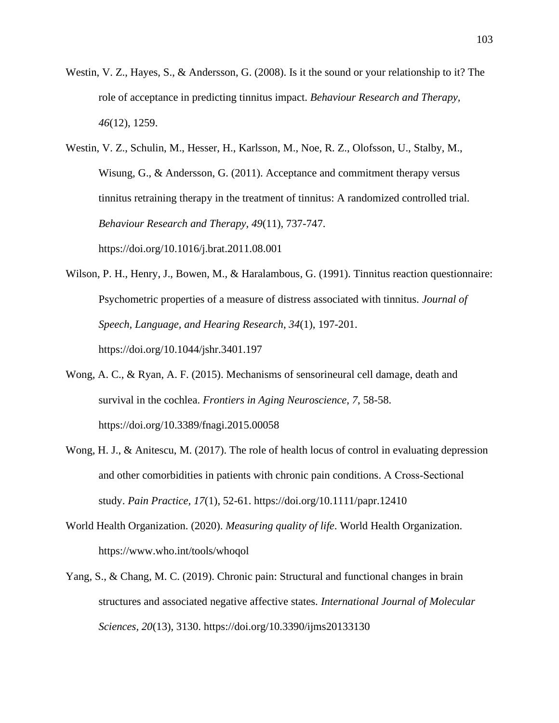- Westin, V. Z., Hayes, S., & Andersson, G. (2008). Is it the sound or your relationship to it? The role of acceptance in predicting tinnitus impact. *Behaviour Research and Therapy, 46*(12), 1259.
- Westin, V. Z., Schulin, M., Hesser, H., Karlsson, M., Noe, R. Z., Olofsson, U., Stalby, M., Wisung, G., & Andersson, G. (2011). Acceptance and commitment therapy versus tinnitus retraining therapy in the treatment of tinnitus: A randomized controlled trial. *Behaviour Research and Therapy, 49*(11), 737-747. <https://doi.org/10.1016/j.brat.2011.08.001>
- Wilson, P. H., Henry, J., Bowen, M., & Haralambous, G. (1991). Tinnitus reaction questionnaire: Psychometric properties of a measure of distress associated with tinnitus. *Journal of Speech, Language, and Hearing Research*, *34*(1), 197-201. <https://doi.org/10.1044/jshr.3401.197>
- Wong, A. C., & Ryan, A. F. (2015). Mechanisms of sensorineural cell damage, death and survival in the cochlea. *Frontiers in Aging Neuroscience*, *7*, 58-58. <https://doi.org/10.3389/fnagi.2015.00058>
- Wong, H. J., & Anitescu, M. (2017). The role of health locus of control in evaluating depression and other comorbidities in patients with chronic pain conditions. A Cross‐Sectional study. *Pain Practice, 17*(1), 52-61.<https://doi.org/10.1111/papr.12410>
- World Health Organization. (2020). *Measuring quality of life*. World Health Organization. <https://www.who.int/tools/whoqol>
- Yang, S., & Chang, M. C. (2019). Chronic pain: Structural and functional changes in brain structures and associated negative affective states. *International Journal of Molecular Sciences, 20*(13), 3130.<https://doi.org/10.3390/ijms20133130>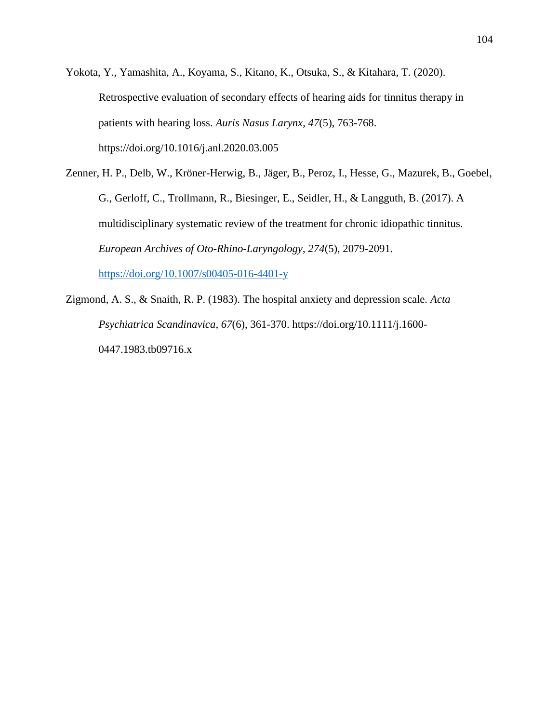Yokota, Y., Yamashita, A., Koyama, S., Kitano, K., Otsuka, S., & Kitahara, T. (2020). Retrospective evaluation of secondary effects of hearing aids for tinnitus therapy in patients with hearing loss. *Auris Nasus Larynx*, *47*(5), 763-768. <https://doi.org/10.1016/j.anl.2020.03.005>

Zenner, H. P., Delb, W., Kröner-Herwig, B., Jäger, B., Peroz, I., Hesse, G., Mazurek, B., Goebel, G., Gerloff, C., Trollmann, R., Biesinger, E., Seidler, H., & Langguth, B. (2017). A multidisciplinary systematic review of the treatment for chronic idiopathic tinnitus. *European Archives of Oto-Rhino-Laryngology*, *274*(5), 2079-2091. <https://doi.org/10.1007/s00405-016-4401-y>

Zigmond, A. S., & Snaith, R. P. (1983). The hospital anxiety and depression scale. *Acta Psychiatrica Scandinavica*, *67*(6), 361-370. [https://doi.org/10.1111/j.1600-](https://doi.org/10.1111/j.1600-0447.1983.tb09716.x) [0447.1983.tb09716.x](https://doi.org/10.1111/j.1600-0447.1983.tb09716.x)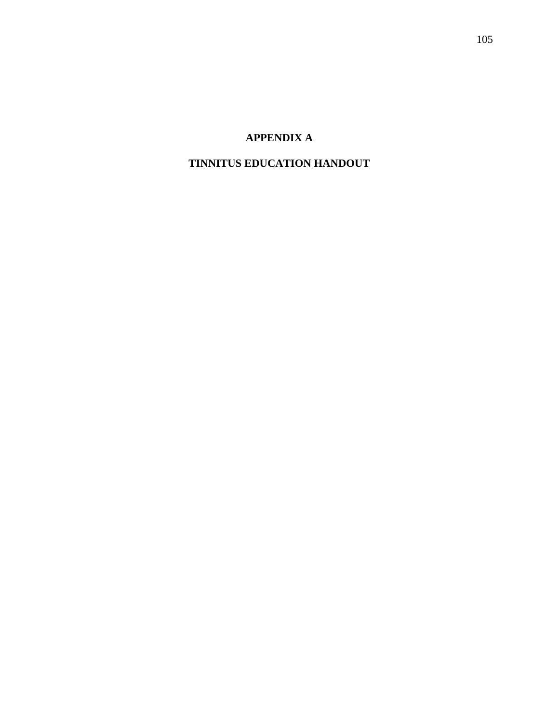## **APPENDIX A**

## **TINNITUS EDUCATION HANDOUT**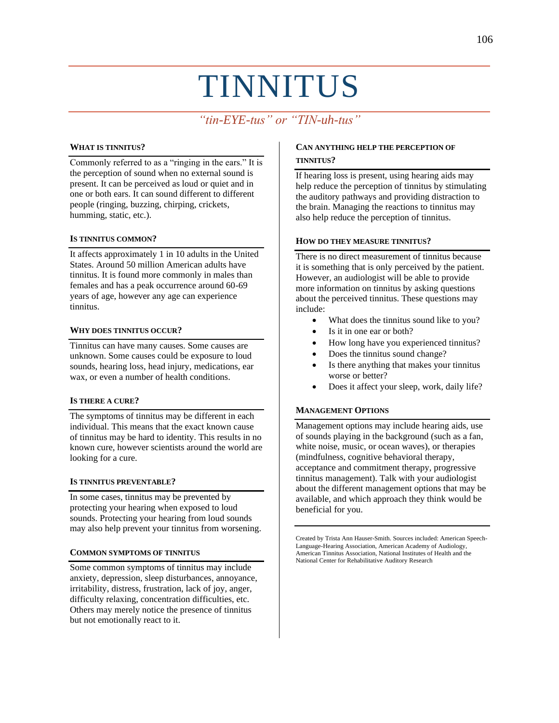# TINNITUS

# *"tin-EYE-tus" or "TIN-uh-tus"*

#### **WHAT IS TINNITUS?**

Commonly referred to as a "ringing in the ears." It is the perception of sound when no external sound is present. It can be perceived as loud or quiet and in one or both ears. It can sound different to different people (ringing, buzzing, chirping, crickets, humming, static, etc.).

#### **IS TINNITUS COMMON?**

It affects approximately 1 in 10 adults in the United States. Around 50 million American adults have tinnitus. It is found more commonly in males than females and has a peak occurrence around 60-69 years of age, however any age can experience tinnitus.

#### **WHY DOES TINNITUS OCCUR?**

Tinnitus can have many causes. Some causes are unknown. Some causes could be exposure to loud sounds, hearing loss, head injury, medications, ear wax, or even a number of health conditions.

#### **IS THERE A CURE?**

The symptoms of tinnitus may be different in each individual. This means that the exact known cause of tinnitus may be hard to identity. This results in no known cure, however scientists around the world are looking for a cure.

#### **IS TINNITUS PREVENTABLE?**

In some cases, tinnitus may be prevented by protecting your hearing when exposed to loud sounds. Protecting your hearing from loud sounds may also help prevent your tinnitus from worsening.

#### **COMMON SYMPTOMS OF TINNITUS**

Some common symptoms of tinnitus may include anxiety, depression, sleep disturbances, annoyance, irritability, distress, frustration, lack of joy, anger, difficulty relaxing, concentration difficulties, etc. Others may merely notice the presence of tinnitus but not emotionally react to it.

#### **CAN ANYTHING HELP THE PERCEPTION OF TINNITUS?**

If hearing loss is present, using hearing aids may help reduce the perception of tinnitus by stimulating the auditory pathways and providing distraction to the brain. Managing the reactions to tinnitus may also help reduce the perception of tinnitus.

#### **HOW DO THEY MEASURE TINNITUS?**

There is no direct measurement of tinnitus because it is something that is only perceived by the patient. However, an audiologist will be able to provide more information on tinnitus by asking questions about the perceived tinnitus. These questions may include:

- What does the tinnitus sound like to you?
- Is it in one ear or both?
- How long have you experienced tinnitus?
- Does the tinnitus sound change?
- Is there anything that makes your tinnitus worse or better?
- Does it affect your sleep, work, daily life?

#### **MANAGEMENT OPTIONS**

Management options may include hearing aids, use of sounds playing in the background (such as a fan, white noise, music, or ocean waves), or therapies (mindfulness, cognitive behavioral therapy, acceptance and commitment therapy, progressive tinnitus management). Talk with your audiologist about the different management options that may be available, and which approach they think would be beneficial for you.

Created by Trista Ann Hauser-Smith. Sources included: American Speech-Language-Hearing Association, American Academy of Audiology, American Tinnitus Association, National Institutes of Health and the National Center for Rehabilitative Auditory Research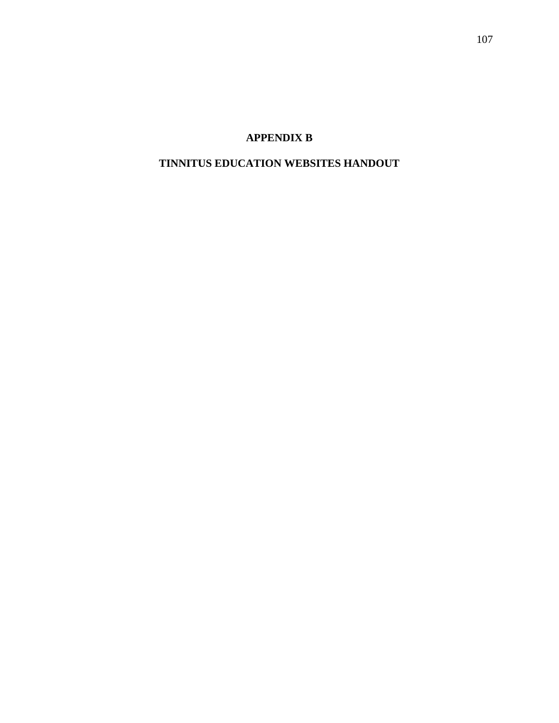## **APPENDIX B**

## **TINNITUS EDUCATION WEBSITES HANDOUT**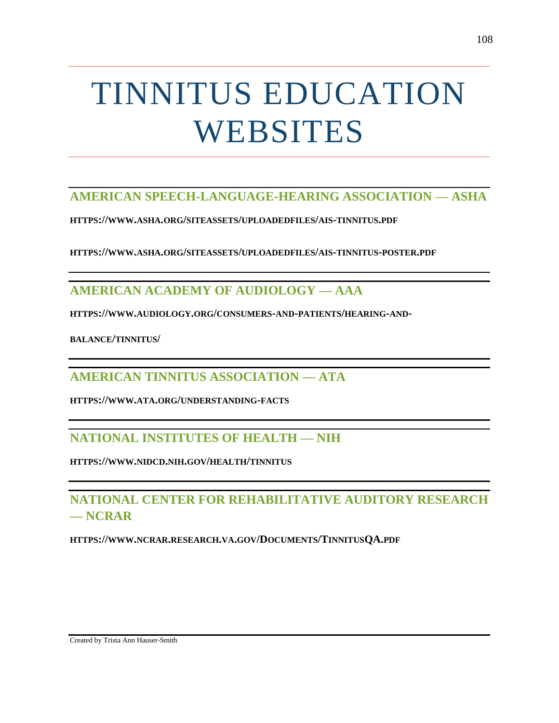# TINNITUS EDUCATION WEBSITES

## **AMERICAN SPEECH-LANGUAGE-HEARING ASSOCIATION — ASHA**

**HTTPS://WWW.ASHA.ORG/SITEASSETS/UPLOADEDFILES/AIS-TINNITUS.PDF**

**HTTPS://WWW.ASHA.ORG/SITEASSETS/UPLOADEDFILES/AIS-TINNITUS-POSTER.PDF**

# **AMERICAN ACADEMY OF AUDIOLOGY — AAA**

**HTTPS://WWW.AUDIOLOGY.ORG/[CONSUMERS](https://www.audiology.org/consumers-and-patients/hearing-and-balance/tinnitus/)-AND-PATIENTS/HEARING-AND-**

**[BALANCE](https://www.audiology.org/consumers-and-patients/hearing-and-balance/tinnitus/)/TINNITUS/**

**AMERICAN TINNITUS ASSOCIATION — ATA**

**HTTPS://WWW.ATA.ORG/UNDERSTANDING-FACTS**

## **NATIONAL INSTITUTES OF HEALTH — NIH**

**HTTPS://WWW.NIDCD.NIH.GOV/HEALTH/TINNITUS**

# **NATIONAL CENTER FOR REHABILITATIVE AUDITORY RESEARCH — NCRAR**

**HTTPS://WWW.NCRAR.RESEARCH.VA.GOV/DOCUMENTS/TINNITUSQA.PDF**

Created by Trista Ann Hauser-Smith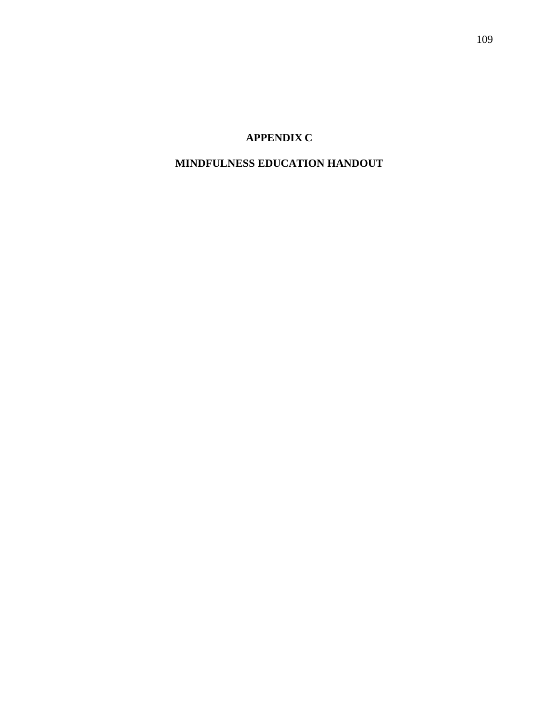## **APPENDIX C**

## **MINDFULNESS EDUCATION HANDOUT**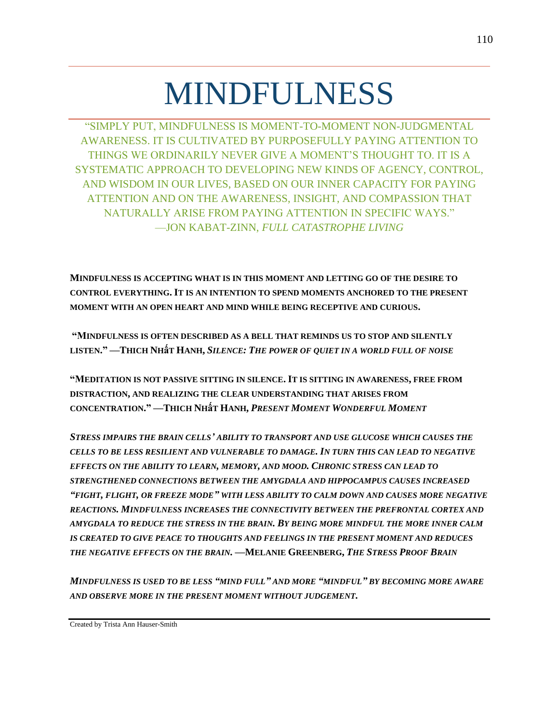# MINDFULNESS

"SIMPLY PUT, MINDFULNESS IS MOMENT-TO-MOMENT NON-JUDGMENTAL AWARENESS. IT IS CULTIVATED BY PURPOSEFULLY PAYING ATTENTION TO THINGS WE ORDINARILY NEVER GIVE A MOMENT'S THOUGHT TO. IT IS A SYSTEMATIC APPROACH TO DEVELOPING NEW KINDS OF AGENCY, CONTROL, AND WISDOM IN OUR LIVES, BASED ON OUR INNER CAPACITY FOR PAYING ATTENTION AND ON THE AWARENESS, INSIGHT, AND COMPASSION THAT NATURALLY ARISE FROM PAYING ATTENTION IN SPECIFIC WAYS." —JON KABAT-ZINN, *FULL CATASTROPHE LIVING*

**MINDFULNESS IS ACCEPTING WHAT IS IN THIS MOMENT AND LETTING GO OF THE DESIRE TO CONTROL EVERYTHING. IT IS AN INTENTION TO SPEND MOMENTS ANCHORED TO THE PRESENT MOMENT WITH AN OPEN HEART AND MIND WHILE BEING RECEPTIVE AND CURIOUS.**

**"MINDFULNESS IS OFTEN DESCRIBED AS A BELL THAT REMINDS US TO STOP AND SILENTLY LISTEN." —THICH NHấT HANH,** *SILENCE: THE POWER OF QUIET IN A WORLD FULL OF NOISE*

**"MEDITATION IS NOT PASSIVE SITTING IN SILENCE. IT IS SITTING IN AWARENESS, FREE FROM DISTRACTION, AND REALIZING THE CLEAR UNDERSTANDING THAT ARISES FROM CONCENTRATION." —THICH NHấT HANH,** *PRESENT MOMENT WONDERFUL MOMENT*

*STRESS IMPAIRS THE BRAIN CELLS' ABILITY TO TRANSPORT AND USE GLUCOSE WHICH CAUSES THE CELLS TO BE LESS RESILIENT AND VULNERABLE TO DAMAGE. IN TURN THIS CAN LEAD TO NEGATIVE EFFECTS ON THE ABILITY TO LEARN, MEMORY, AND MOOD. CHRONIC STRESS CAN LEAD TO STRENGTHENED CONNECTIONS BETWEEN THE AMYGDALA AND HIPPOCAMPUS CAUSES INCREASED "FIGHT, FLIGHT, OR FREEZE MODE" WITH LESS ABILITY TO CALM DOWN AND CAUSES MORE NEGATIVE REACTIONS. MINDFULNESS INCREASES THE CONNECTIVITY BETWEEN THE PREFRONTAL CORTEX AND AMYGDALA TO REDUCE THE STRESS IN THE BRAIN. BY BEING MORE MINDFUL THE MORE INNER CALM IS CREATED TO GIVE PEACE TO THOUGHTS AND FEELINGS IN THE PRESENT MOMENT AND REDUCES THE NEGATIVE EFFECTS ON THE BRAIN.* **—MELANIE GREENBERG,** *THE STRESS PROOF BRAIN*

*MINDFULNESS IS USED TO BE LESS "MIND FULL" AND MORE "MINDFUL" BY BECOMING MORE AWARE AND OBSERVE MORE IN THE PRESENT MOMENT WITHOUT JUDGEMENT.*

Created by Trista Ann Hauser-Smith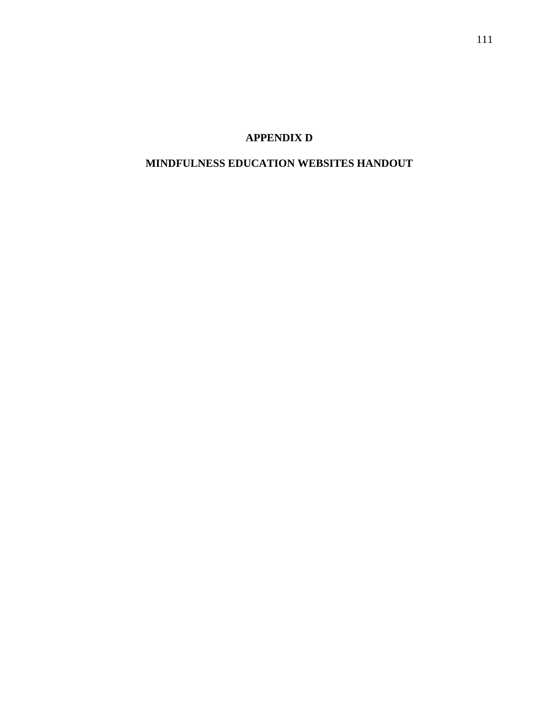## **APPENDIX D**

## **MINDFULNESS EDUCATION WEBSITES HANDOUT**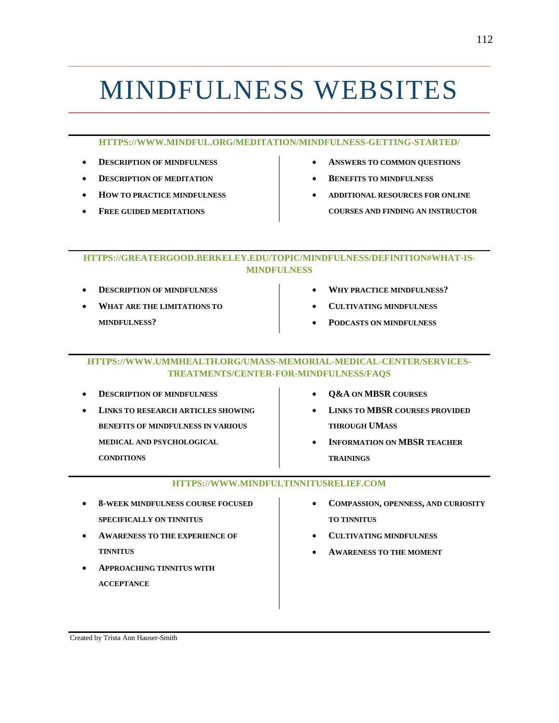# MINDFULNESS WEBSITES

#### **HTTPS://WWW.MINDFUL.ORG/MEDITATION/MINDFULNESS-GETTING-STARTED/**

- **DESCRIPTION OF MINDFULNESS**
- **DESCRIPTION OF MEDITATION**
- **HOW TO PRACTICE MINDFULNESS**
- **FREE GUIDED MEDITATIONS**
- **ANSWERS TO COMMON QUESTIONS**
- **BENEFITS TO MINDFULNESS**
- **ADDITIONAL RESOURCES FOR ONLINE COURSES AND FINDING AN INSTRUCTOR**

### **HTTPS://GREATERGOOD.BERKELEY.EDU/TOPIC/MINDFULNESS/DEFINITION#WHAT-IS-MINDFULNESS**

- **DESCRIPTION OF MINDFULNESS**
- **WHAT ARE THE LIMITATIONS TO MINDFULNESS?**
- **WHY PRACTICE MINDFULNESS?**
- **CULTIVATING MINDFULNESS**
- **PODCASTS ON MINDFULNESS**

#### **HTTPS://WWW.UMMHEALTH.ORG/UMASS-MEMORIAL-MEDICAL-CENTER/SERVICES-TREATMENTS/CENTER-FOR-MINDFULNESS/FAQS**

| <b>DESCRIPTION OF MINDFULNESS</b>         |  |
|-------------------------------------------|--|
| <b>LINKS TO RESEARCH ARTICLES SHOWING</b> |  |
| <b>BENEFITS OF MINDFULNESS IN VARIOUS</b> |  |
| MEDICAL AND PSYCHOLOGICAL                 |  |
| <b>CONDITIONS</b>                         |  |
|                                           |  |

- **Q&A ON MBSR COURSES**
- **LINKS TO MBSR COURSES PROVIDED THROUGH UMASS**
- **INFORMATION ON MBSR TEACHER TRAININGS**

#### **HTTPS://WWW.MINDFULTINNITUSRELIEF.COM**

- **8-WEEK MINDFULNESS COURSE FOCUSED SPECIFICALLY ON TINNITUS**
- **AWARENESS TO THE EXPERIENCE OF TINNITUS**
- **APPROACHING TINNITUS WITH ACCEPTANCE**
- **COMPASSION, OPENNESS, AND CURIOSITY TO TINNITUS**
- **CULTIVATING MINDFULNESS**
- **AWARENESS TO THE MOMENT**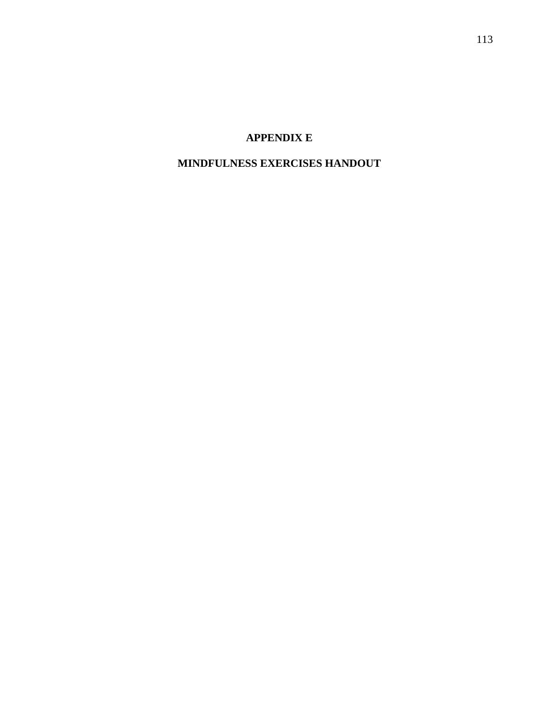## **APPENDIX E**

## **MINDFULNESS EXERCISES HANDOUT**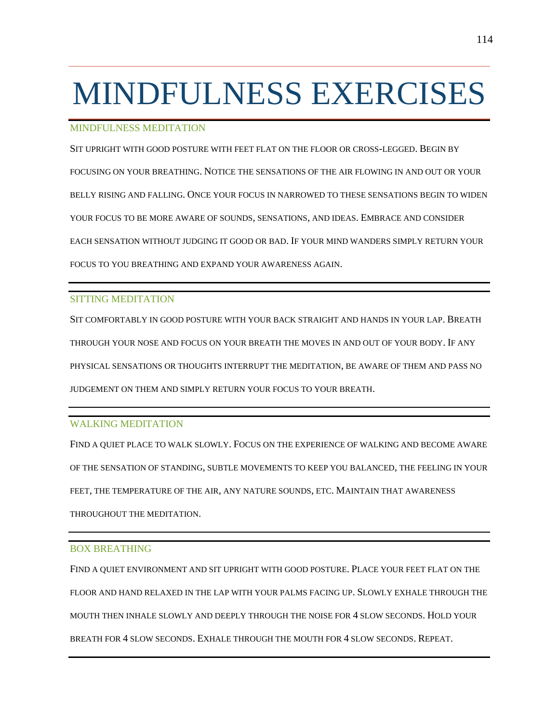# MINDFULNESS EXERCISES

### MINDFULNESS MEDITATION

SIT UPRIGHT WITH GOOD POSTURE WITH FEET FLAT ON THE FLOOR OR CROSS-LEGGED. BEGIN BY FOCUSING ON YOUR BREATHING. NOTICE THE SENSATIONS OF THE AIR FLOWING IN AND OUT OR YOUR BELLY RISING AND FALLING. ONCE YOUR FOCUS IN NARROWED TO THESE SENSATIONS BEGIN TO WIDEN YOUR FOCUS TO BE MORE AWARE OF SOUNDS, SENSATIONS, AND IDEAS. EMBRACE AND CONSIDER EACH SENSATION WITHOUT JUDGING IT GOOD OR BAD. IF YOUR MIND WANDERS SIMPLY RETURN YOUR FOCUS TO YOU BREATHING AND EXPAND YOUR AWARENESS AGAIN.

### SITTING MEDITATION

SIT COMFORTABLY IN GOOD POSTURE WITH YOUR BACK STRAIGHT AND HANDS IN YOUR LAP. BREATH THROUGH YOUR NOSE AND FOCUS ON YOUR BREATH THE MOVES IN AND OUT OF YOUR BODY. IF ANY PHYSICAL SENSATIONS OR THOUGHTS INTERRUPT THE MEDITATION, BE AWARE OF THEM AND PASS NO JUDGEMENT ON THEM AND SIMPLY RETURN YOUR FOCUS TO YOUR BREATH.

### WALKING MEDITATION

FIND A QUIET PLACE TO WALK SLOWLY. FOCUS ON THE EXPERIENCE OF WALKING AND BECOME AWARE OF THE SENSATION OF STANDING, SUBTLE MOVEMENTS TO KEEP YOU BALANCED, THE FEELING IN YOUR FEET, THE TEMPERATURE OF THE AIR, ANY NATURE SOUNDS, ETC. MAINTAIN THAT AWARENESS THROUGHOUT THE MEDITATION.

### BOX BREATHING

FIND A QUIET ENVIRONMENT AND SIT UPRIGHT WITH GOOD POSTURE. PLACE YOUR FEET FLAT ON THE FLOOR AND HAND RELAXED IN THE LAP WITH YOUR PALMS FACING UP. SLOWLY EXHALE THROUGH THE MOUTH THEN INHALE SLOWLY AND DEEPLY THROUGH THE NOISE FOR 4 SLOW SECONDS. HOLD YOUR BREATH FOR 4 SLOW SECONDS. EXHALE THROUGH THE MOUTH FOR 4 SLOW SECONDS. REPEAT.